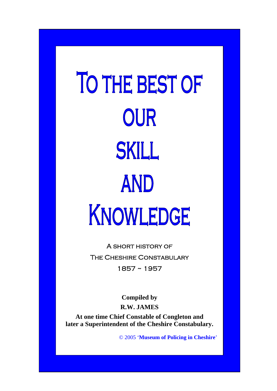TO THE BEST OF OUR SKILL AND ١ I  $\overline{\phantom{a}}$ 

> A short history of The Cheshire Constabulary 1857 ~ 1957

> > **Compiled by R.W. JAMES**

**At one time Chief Constable of Congleton and later a Superintendent of the Cheshire Constabulary.** 

© 2005 '**Museum of Policing in Cheshire**'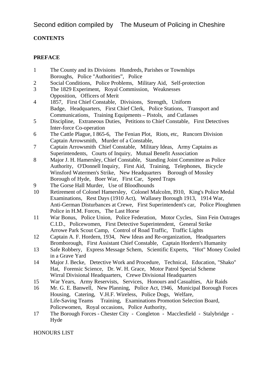Second edition compiled by The Museum of Policing in Cheshire

# **CONTENTS**

# **PREFACE**

- 1 The County and its Divisions Hundreds, Parishes or Townships Boroughs, Police "Authorities", Police
- 2 Social Conditions, Police Problems, Military Aid, Self-protection
- 3 The 1829 Experiment, Royal Commission, Weaknesses Opposition, Officers of Merit
- 4 1857, First Chief Constable, Divisions, Strength, Uniform Badge, Headquarters, First Chief Clerk, Police Stations, Transport and Communications, Training Equipments – Pistols, and Cutlasses
- 5 Discipline, Extraneous Duties, Petitions to Chief Constable, First Detectives Inter-force Co-operation
- 6 The Cattle Plague, I 865-6, The Fenian Plot, Riots, etc, Runcorn Division Captain Arrowsmith, Murder of a Constable,
- 7 Captain Arrowsmith Chief Constable, Military Ideas, Army Captains as Superintendents, Courts of Inquiry, Mutual Benefit Association
- 8 Major J. H. Hamersley, Chief Constable, Standing Joint Committee as Police Authority, O'Donnell Inquiry, First Aid, Training, Telephones, Bicycle Winsford Watermen's Strike, New Headquarters Borough of Mossley Borough of Hyde, Boer War, First Car, Speed Traps
- 9 The Gorse Hall Murder, Use of Bloodhounds
- 10 Retirement of Colonel Hamersley, Colonel Malcolm, I910, King's Police Medal Examinations, Rest Days (1910 Act), Wallasey Borough 1913, 1914 War, Anti-German Disturbances at Crewe, First Superintendent's car, Police Ploughmen Police in H.M. Forces, The Last Horse
- 11 War Bonus, Police Union, Police Federation, Motor Cycles, Sinn Fein Outrages C.I.D., Policewomen, First Detective Superintendent, General Strike Arrowe Park Scout Camp, Control of Road Traffic, Traffic Lights
- 12 Captain A. F. Hordern, 1934, New Ideas and Re-organization, Headquarters Bromborough, First Assistant Chief Constable, Captain Hordern's Humanity
- 13 Safe Robbery, Express Message Schem, Scientific Experts, "Hot" Money Cooled in a Grave Yard
- 14 Major J. Becke, Detective Work and Procedure, Technical, Education, "Shako" Hat, Forensic Science, Dr. W. H. Grace, Motor Patrol Special Scheme Wirral Divisional Headquarters, Crewe Divisional Headquarters
- 15 War Years, Army Reservists, Services, Honours and Casualties, Air Raids
- 16 Mr. G. E. Banwell, New Planning, Police Act, 1946, Municipal Borough Forces Housing, Catering, V.H.F. Wireless, Police Dogs, Welfare, Life-Saving Teams Training, Examinations Promotion Selection Board, Policewomen, Royal occasions, Police Authority,
- 17 The Borough Forces Chester City Congleton Macclesfield Stalybridge Hyde

HONOURS LIST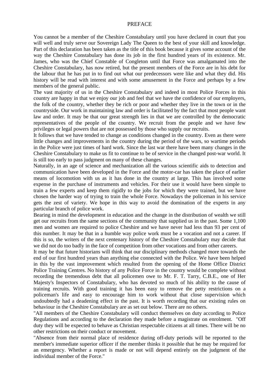#### PREFACE

You cannot be a member of the Cheshire Constabulary until you have declared in court that you will well and truly serve our Sovereign Lady The Queen to the best of your skill and knowledge. Part of this declaration has been taken as the title of this book because it gives some account of the way the Cheshire Constabulary has done its job in the first hundred years of its existence. Mr. James, who was the Chief Constable of Congleton until that Force was amalgamated into the Cheshire Constabulary, has now retired, but the present members of the Force are in his debt for the labour that he has put in to find out what our predecessors were like and what they did. His history will be read with interest and with some amusement in the Force and perhaps by a few members of the general public.

The vast majority of us in the Cheshire Constabulary and indeed in most Police Forces in this country are happy in that we enjoy our job and feel that we have the confidence of our employers, the folk of the country, whether they be rich or poor and whether they live in the town or in the countryside. Our work in maintaining law and order is facilitated by the fact that most people want law and order. It may be that our great strength lies in that we are controlled by the democratic representatives of the people of the country. We recruit from the people and we have few privileges or legal powers that are not possessed by those who supply our recruits.

It follows that we have tended to change as conditions changed in the country. Even as there were little changes and improvements in the country during the period of the wars, so wartime periods in the Police were just times of hard work. Since the last war there have been many changes in the Cheshire Constabulary to make us fit to continue to be of service in the changed post-war world. It is still too early to pass judgment on many of these changes.

Naturally, in an age of science and mechanization all the various scientific aids to detection and communication have been developed in the Force and the motor-car has taken the place of earlier means of locomotion with us as it has done in the country at large. This has involved some expense in the purchase of instruments and vehicles. For their use it would have been simple to train a few experts and keep them rigidly to the jobs for which they were trained, but we have chosen the harder way of trying to train the whole Force. Nowadays the policeman in his service gets the zest of variety. We hope in this way to avoid the domination of the experts in any particular branch of police work.

Bearing in mind the development in education and the change in the distribution of wealth we still get our recruits from the same sections of the community that supplied us in the past. Some 1,100 men and women are required to police Cheshire and we have never had less than 93 per cent of this number. It may be that in a humble way police work must be a vocation and not a career. If this is so, the writers of the next centenary history of the Cheshire Constabulary may decide that we did not do too badly in the face of competition from other vocations and from other careers.

It may be that future historians will think that our disciplinary methods changed more towards the end of our first hundred years than anything else connected with the Police. We have been helped in this by the vast improvement which resulted from the opening of the Home Office District Police Training Centres. No history of any Police Force in the country would be complete without recording the tremendous debt that all policemen owe to Mr. F. T. Tarry, C.B.E., one of Her Majesty's Inspectors of Constabulary, who has devoted so much of his ability to the cause of training recruits. With good training it has been easy to remove the petty restrictions on a policeman's life and easy to encourage him to work without that close supervision which undoubtedly had a deadening effect in the past. It is worth recording that our existing rules on behaviour in the Cheshire Constabulary are as set out below. There are no others.

"All members of the Cheshire Constabulary will conduct themselves on duty according to Police Regulations and according to the declaration they made before a magistrate on enrolment. "Off duty they will be expected to behave as Christian respectable citizens at all times. There will be no other restrictions on their conduct or movement.

"Absence from their normal place of residence during off-duty periods will be reported to the member's immediate superior officer if the member thinks it possible that he may be required for an emergency. Whether a report is made or not will depend entirely on the judgment of the individual member of the Force."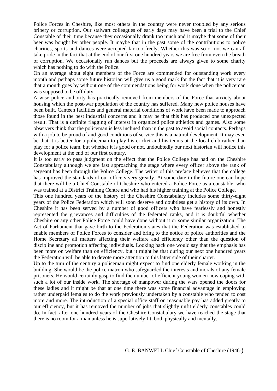Police Forces in Cheshire, like most others in the country were never troubled by any serious bribery or corruption. Our stalwart colleagues of early days may have been a trial to the Chief Constable of their time because they occasionally drank too much and it maybe that some of their beer was bought by other people. It maybe that in the past some of the contributions to police charities, sports and dances were accepted far too freely. Whether this was so or not we can all take pride in the fact that at the end of our first one hundred years we are free from even the breath of corruption. We occasionally run dances but the proceeds are always given to some charity which has nothing to do with the Police.

On an average about eight members of the Force are commended for outstanding work every month and perhaps some future historian will give us a good mark for the fact that it is very rare that a month goes by without one of the commendations being for work done when the policeman was supposed to be off duty.

A wise police authority has practically removed from members of the Force that anxiety about housing which the post-war population of the country has suffered. Many new police houses have been built. Canteen facilities and general material conditions of work have been made to approach those found in the best industrial concerns and it may be that this has produced one unexpected result. That is a definite flagging of interest in organized police athletics and games. Also some observers think that the policeman is less inclined than in the past to avoid social contacts. Perhaps with a job to be proud of and good conditions of service this is a natural development. It may even be that it is better for a policeman to play his cricket and his tennis at the local club rather than play for a police team, but whether it is good or not, undoubtedly our next historian will notice this development at the end of our first century.

It is too early to pass judgment on the effect that the Police College has had on the Cheshire Constabulary although we are fast approaching the stage where every officer above the rank of sergeant has been through the Police College. The writer of this preface believes that the college has improved the standards of our officers very greatly. At some date in the future one can hope that there will be a Chief Constable of Cheshire who entered a Police Force as a constable, who was trained at a District Training Centre and who had his higher training at the Police College.

This one hundred years of the history of the Cheshire Constabulary includes some thirty-eight years of the Police Federation which will soon deserve and doubtless get a history of its own. In Cheshire it has been served by a number of good officers who have fearlessly and honestly represented the grievances and difficulties of the federated ranks, and it is doubtful whether Cheshire or any other Police Force could have done without it or some similar organization. The Act of Parliament that gave birth to the Federation states that the Federation was established to enable members of Police Forces to consider and bring to the notice of police authorities and the Home Secretary all matters affecting their welfare and efficiency other than the question of discipline and promotion affecting individuals. Looking back one would say that the emphasis has been more on welfare than on efficiency, but it might be that during our next one hundred years the Federation will be able to devote more attention to this latter side of their charter.

Up to the turn of the century a policeman might expect to find one elderly female working in the building. She would be the police matron who safeguarded the interests and morals of any female prisoners. He would certainly gasp to find the number of efficient young women now coping with such a lot of our inside work. The shortage of manpower during the wars opened the doors for these ladies and it might be that at one time there was some financial advantage in employing rather underpaid females to do the work previously undertaken by a constable who tended to cost more and more. The introduction of a special office staff on reasonable pay has added greatly to our efficiency, but it has removed the number of jobs that slightly unfit elderly constables could do. In fact, after one hundred years of the Cheshire Constabulary we have reached the stage that there is no room for a man unless he is superlatively fit, both physically and mentally.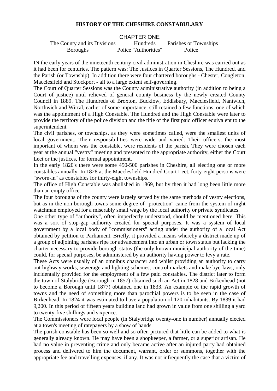### **HISTORY OF THE CHESHIRE CONSTABULARY**

#### CHAPTER ONE

The County and its Divisions Hundreds Parishes or Townships Boroughs Police "Authorities" Police

IN the early years of the nineteenth century civil administration in Cheshire was carried out as it had been for centuries. The pattern was: The Justices in Quarter Sessions, The Hundred, and the Parish (or Township). In addition there were four chartered boroughs - Chester, Congleton, Macclesfield and Stockport - all to a large extent self-governing.

The Court of Quarter Sessions was the County administrative authority (in addition to being a Court of justice) until relieved of general county business by the newly created County Council in 1889. The Hundreds of Broxton, Bucklow, Eddisbury, Macclesfield, Nantwich, Northwich and Wirral, earlier of some importance, still retained a few functions, one of which was the appointment of a High Constable. The Hundred and the High Constable were later to provide the territory of the police division and the title of the first paid officer equivalent to the superintendent.

The civil parishes, or townships, as they were sometimes called, were the smallest units of local government. Their responsibilities were wide and varied. Their officers, the most important of whom was the constable, were residents of the parish. They were chosen each year at the annual "vestry" meeting and presented to the appropriate authority, either the Court Leet or the justices, for formal appointment.

In the early 1820's there were some 450-500 parishes in Cheshire, all electing one or more constables annually. In 1828 at the Macclesfield Hundred Court Leet, forty-eight persons were "sworn-in" as constables for thirty-eight townships.

The office of High Constable was abolished in 1869, but by then it had long been little more than an empty office.

The four boroughs of the county were largely served by the same methods of vestry elections, but as in the non-borough towns some degree of "protection" came from the system of night watchman employed for a miserably small wage by the local authority or private syndicates.

One other type of "authority", often imperfectly understood, should be mentioned here. This was a sort of stop-gap authority created for special purposes. It was a system of local government by a local body of "commissioners" acting under the authority of a local Act obtained by petition to Parliament. Briefly, it provided a means whereby a district made up of a group of adjoining parishes ripe for advancement into an urban or town status but lacking the charter necessary to provide borough status (the only known municipal authority of the time) could, for special purposes, be administered by an authority having power to levy a rate.

These Acts were usually of an omnibus character and whilst providing an authority to carry out highway works, sewerage and lighting schemes, control markets and make bye-laws, only incidentally provided for the employment of a few paid constables. The district later to form the town of Stalybridge (Borough in 1857) obtained such an Act in 1828 and Birkenhead (not to become a Borough until 1877) obtained one in 1833. An example of the rapid growth of towns and the need of something more than parochial powers is to be seen in the case of Birkenhead. In 1824 it was estimated to have a population of 120 inhabitants. By 1839 it had 9,200. In this period of fifteen years building land had grown in value from one shilling a yard to twenty-five shillings and sixpence.

The Commissioners were local people (in Stalybridge twenty-one in number) annually elected at a town's meeting of ratepayers by a show of hands.

The parish constable has been so well and so often pictured that little can be added to what is generally already known. He may have been a shopkeeper, a farmer, or a superior artisan. He had no value in preventing crime and only became active after an injured party had obtained process and delivered to him the document, warrant, order or summons, together with the appropriate fee and travelling expenses, if any. It was not infrequently the case that a victim of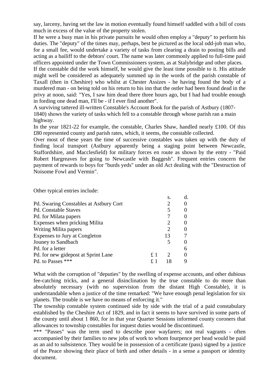say, larceny, having set the law in motion eventually found himself saddled with a bill of costs much in excess of the value of the property stolen.

If he were a busy man in his private pursuits he would often employ a "deputy" to perform his duties. The "deputy" of the times may, perhaps, best be pictured as the local odd-job man who, for a small fee, would undertake a variety of tasks from clearing a drain to posting bills and acting as a bailiff to the debtors' court. The name was later commonly applied to full-time paid officers appointed under the Town Commissioners system, as at Stalybridge and other places.

If the constable did the work himself, he would give the least time possible to it. His attitude might well be considered as adequately summed up in the words of the parish constable of Taxall (then in Cheshire) who whilst at Chester Assizes - he having found the body of a murdered man - on being told on his return to his inn that the ostler had been found dead in the privy at noon, said: "Yes, I saw him dead there three hours ago, but I had had trouble enough in fording one dead man, I'll be - if I ever find another".

A surviving tattered ill-written Constable's Account Book for the parish of Astbury (1807- 1840) shows the variety of tasks which fell to a constable through whose parish ran a main highway.

In the year 1821-22 for example, the constable, Charles Shaw, handled nearly £100. Of this £80 represented county and parish rates, which, it seems, the constable collected.

Over most of these years the time of successive constables was taken up with the duty of finding local transport (Astbury apparently being a staging point between Newcastle, Staffordshire, and Macclesfield) for military forces en route as shown by the entry - "Paid Robert Hargreaves for going to Newcastle with Baggesh". Frequent entries concern the payment of rewards to boys for "burds yeds" under an old Act dealing with the "Destruction of Noisome Fowl and Vermin".

Other typical entries include:

|                                               |                | S.                          | d. |
|-----------------------------------------------|----------------|-----------------------------|----|
| <b>Pd.</b> Swaring Constables at Astbury Cort |                |                             |    |
| <b>Pd. Constable Staves</b>                   |                | 5                           |    |
| Pd. for Milata papers                         |                |                             |    |
| Expenses when pricking Milita                 |                |                             |    |
| Writing Milita papers                         |                | $\mathcal{D}_{\mathcal{L}}$ |    |
| Expenses to Jury at Congleton                 |                | 13                          |    |
| Jouney to Sandbach                            |                | 5                           |    |
| Pd. for a letter                              |                |                             | 6  |
| Pd. for new gidepost at Sprint Lane           | f <sub>1</sub> | $\mathcal{D}$               |    |
| Pd. to Passes ***                             |                |                             |    |

What with the corruption of "deputies" by the swelling of expense accounts, and other dubious fee-catching tricks, and a general disinclination by the true constable to do more than absolutely necessary (with no supervision from the distant High Constable), it is understandable when a justice of the time remarked: "We have enough penal legislation for six planets. The trouble is we have no means of enforcing it."

The township constable system continued side by side with the trial of a paid constabulary established by the Cheshire Act of 1829, and in fact it seems to have survived in some parts of the county until about 1 860, for in that year Quarter Sessions informed county coroners that allowances to township constables for inquest duties would be discontinued.

\*\*\* "Passes" was the term used to describe poor wayfarers; not real vagrants - often accompanied by their families to new jobs of work to whom fourpence per head would be paid as an aid to subsistence. They would be in possession of a certificate (pass) signed by a justice of the Peace showing their place of birth and other details - in a sense a passport or identity document.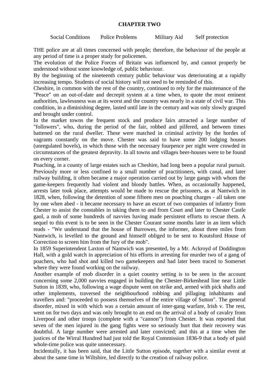### **CHAPTER TWO**

Social Conditions Police Problems Military Aid Self protection

THE police are at all times concerned with people; therefore, the behaviour of the people at any period of time is a proper study for policemen.

The evolution of the Police Forces of Britain was influenced by, and cannot properly be understood without some knowledge of, public behaviour.

By the beginning of the nineteenth century public behaviour was deteriorating at a rapidly increasing tempo. Students of social history will not need to be reminded of this.

Cheshire, in common with the rest of the country, continued to rely for the maintenance of the "Peace" on an out-of-date and decrepit system at a time when, to quote the most eminent authorities, lawlessness was at its worst and the country was nearly in a state of civil war. This condition, in a diminishing degree, lasted until late in the century and was only slowly grasped and brought under control.

In the market towns the frequent stock and produce fairs attracted a large number of "followers", who, during the period of the fair, robbed and pilfered, and between times battened on the rural dweller. These were matched in criminal activity by the hordes of vagrants constantly on the move. Chester was said to have some 200 lodging houses (unregulated hovels), in which those with the necessary fourpence per night were crowded in circumstances of the greatest depravity. In all towns and villages beer-houses were to be found on every corner.

Poaching, in a county of large estates such as Cheshire, had long been a popular rural pursuit. Previously more or less confined to a small number of practitioners, with canal, and later railway building, it often became a major operation carried out by large gangs with whom the game-keepers frequently had violent and bloody battles. When, as occasionally happened, arrests later took place, attempts would be made to rescue the prisoners, as at Nantwich in 1828, when, following the detention of some fifteen men on poaching charges - all taken one by one when abed - it became necessary to have an escort of two companies of infantry from Chester to assist the constables in taking them to and from Court and later to Chester Castle gaol, a mob of some hundreds of navvies having made persistent efforts to rescue them. A sequel to this event is to be seen in the Chester Courant some months later in an item which reads - "We understand that the house of Burrowes, the informer, about three miles from Nantwich, is levelled to the ground and himself obliged to be sent to Knutsford House of Correction to screen him from the fury of the mob".

In 1859 Superintendent Laxton of Nantwich was presented, by a Mr. Ackroyd of Doddington Hall, with a gold watch in appreciation of his efforts in arresting for murder two of a gang of poachers, who had shot and killed two gamekeepers and had later been traced to Somerset where they were found working on the railway.

Another example of mob disorder in a quiet country setting is to be seen in the account concerning some 2,000 navvies engaged in building the Chester-Birkenhead line near Little Sutton in 1839, who, following a wage dispute went on strike and, armed with pick shafts and other implements, traversed the neighbourhood robbing and pillaging inhabitants and travellers and: "proceeded to possess themselves of the entire village of Sutton". The general disorder, mixed in with which was a certain amount of inter-gang warfare, Irish v. The rest, went on for two days and was only brought to an end on the arrival of a body of cavalry from Liverpool and other troops (complete with a "cannon") from Chester. It was reported that seven of the men injured in the gang fights were so seriously hurt that their recovery was doubtful. A large number were arrested and later convicted; and this at a time when the justices of the Wirral Hundred had just told the Royal Commission 1836-9 that a body of paid whole-time police was quite unnecessary.

Incidentally, it has been said, that the Little Sutton episode, together with a similar event at about the same time in Wiltshire, led directly to the creation of railway police.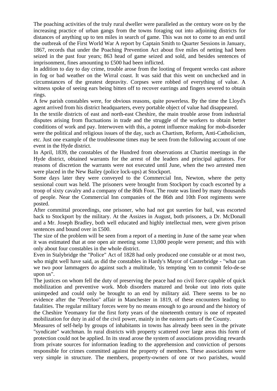The poaching activities of the truly rural dweller were paralleled as the century wore on by the increasing practice of urban gangs from the towns foraging out into adjoining districts for distances of anything up to ten miles in search of game. This was not to come to an end until the outbreak of the First World War A report by Captain Smith to Quarter Sessions in January, 1867, records that under the Poaching Prevention Act about five miles of netting had been seized in the past four years; 863 head of game seized and sold, and besides sentences of imprisonment, fines amounting to £500 had been inflicted.

In addition to day to day crime, trouble arose from the looting of frequent wrecks cast ashore in fog or bad weather on the Wirral coast. It was said that this went on unchecked and in circumstances of the greatest depravity. Corpses were robbed of everything of value. A witness spoke of seeing ears being bitten off to recover earrings and fingers severed to obtain rings.

A few parish constables were, for obvious reasons, quite powerless. By the time the Lloyd's agent arrived from his district headquarters, every portable object of value had disappeared.

In the textile districts of east and north-east Cheshire, the main trouble arose from industrial disputes arising from fluctuations in trade and the struggle of the workers to obtain better conditions of work and pay. Interwoven with this, a potent influence making for mob-disorder were the political and religious issues of the day, such as Chartism, Reform, Anti-Catholicism, etc. Just one example of the troublesome times may be seen from the following account of one event in the Hyde district.

In April, 1839, the constables of the Hundred from observations at Chartist meetings in the Hyde district, obtained warrants for the arrest of the leaders and principal agitators. For reasons of discretion the warrants were not executed until June, when the two arrested men were placed in the New Bailey (police lock-ups) at Stockport.

Some days later they were conveyed to the Commercial Inn, Newton, where the petty sessional court was held. The prisoners were brought from Stockport by coach escorted by a troop of sixty cavalry and a company of the 86th Foot. The route was lined by many thousands of people. Near the Commercial Inn companies of the 86th and 10th Foot regiments were posted.

After committal proceedings, one prisoner, who had not got sureties for bail, was escorted back to Stockport by the military. At the Assizes in August, both prisoners, a Dr. McDonall and a Mr. Joseph Bradley, both well educated and highly intellectual men, were given prison sentences and bound over in £500.

The size of the problem will be seen from a report of a meeting in June of the same year when it was estimated that at one open air meeting some 13,000 people were present; and this with only about four constables in the whole district.

Even in Stalybridge the "Police" Act of 1828 had only produced one constable or at most two, who might well have said, as did the constables in Hardy's Mayor of Casterbridge - "what can we two poor lammagers do against such a multitude, 'tis tempting 'em to commit felo-de-se upon us".

The justices on whom fell the duty of preserving the peace had no civil force capable of quick mobilization and preventive work. Mob disorders matured and broke out into riots quite unimpeded and could only be brought to an end by military aid. There seems to be no evidence after the "Peterloo" affair in Manchester in 1819, of these encounters leading to fatalities. The regular military forces were by no means enough to go around and the history of the Cheshire Yeomanry for the first forty years of the nineteenth century is one of repeated mobilization for duty in aid of the civil power, mainly in the eastern parts of the County.

Measures of self-help by groups of inhabitants in towns has already been seen in the private "syndicate" watchman. In rural districts with property scattered over large areas this form of protection could not be applied. In its stead arose the system of associations providing rewards from private sources for information leading to the apprehension and conviction of persons responsible for crimes committed against the property of members. These associations were very simple in structure. The members, property-owners of one or two parishes, would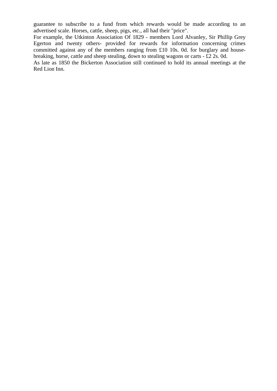guarantee to subscribe to a fund from which rewards would be made according to an advertised scale. Horses, cattle, sheep, pigs, etc., all had their "price".

For example, the Utkinton Association Of 1829 - members Lord Alvanley, Sir Phillip Grey Egerton and twenty others- provided for rewards for information concerning crimes committed against any of the members ranging from £10 10s. 0d. for burglary and housebreaking, horse, cattle and sheep stealing, down to stealing wagons or carts - £2 2s. 0d.

As late as 1850 the Bickerton Association still continued to hold its annual meetings at the Red Lion Inn.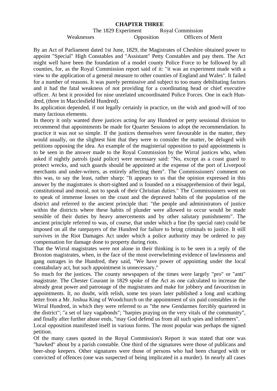#### **CHAPTER THREE**

# The 1829 Experiment Royal Commission Weaknesses Opposition Officers of Merit

By an Act of Parliament dated 1st June, 1829, the Magistrates of Cheshire obtained power to appoint "Special" High Constables and "Assistant" Petty Constables and pay them. The Act might well have been the foundation of a model county Police Force to be followed by all counties, for, as the Royal Commission report said of it: "it was an experiment made with a view to the application of a general measure to other counties of England and Wales". It failed for a number of reasons. It was purely permissive and subject to too many debilitating factors and it had the fatal weakness of not providing for a coordinating head or chief executive officer. At best it provided for nine unrelated uncoordinated Police Forces. One in each Hundred, (three in Macclesfield Hundred).

Its application depended, if not legally certainly in practice, on the wish and good-will of too many factious elements.

In theory it only wanted three justices acting for any Hundred or petty sessional division to recommend that appointments be made for Quarter Sessions to adopt the recommendation. In practice it was not so simple. If the justices themselves were favourable in the matter, they would usually, on the slightest hint that they were to consider the matter, be deluged with petitions opposing the idea. An example of the magisterial opposition to paid appointments is to be seen in the answer made to the Royal Commission by the Wirral justices who, when asked if nightly patrols (paid police) were necessary said: "No, except as a coast guard to protect wrecks, and such guards should be appointed at the expense of the port of Liverpool merchants and under-writers, as entirely affecting them". The Commissioners' comment on this was, to say the least, rather sharp: "It appears to us that the opinion expressed in this answer by the magistrates is short-sighted and is founded on a misapprehension of their legal, constitutional and moral, not to speak of their Christian duties." The Commissioners went on to speak of immense losses on the coast and the depraved habits of the population of the district and referred to the ancient principle that: "the people and administrators of justice within the districts where these habits of plunder were allowed to occur would be made sensible of their duties by heavy amercements and by other salutary punishments". The ancient principle referred to was, of course, that under which a fine (by special rate) could be imposed on all the ratepayers of the Hundred for failure to bring criminals to justice. It still survives in the Riot Damages Act under which a police authority may be ordered to pay compensation for damage done to property during riots.

That the Wirral magistrates were not alone in their thinking is to be seen in a reply of the Broxton magistrates, when, in the face of the most overwhelming evidence of lawlessness and gang outrages in the Hundred, they said, "We have power of appointing under the local constabulary act, but such appointment is unnecessary."

So much for the justices. The county newspapers of the times were largely "pro" or "anti" magistrate. The Chester Courant in 1829 spoke of the Act as one calculated to increase the already great power and patronage of the magistrates and make for jobbery and favouritism in appointments. It, no doubt, with relish, some ten years later published a long and scathing letter from a Mr. Joshua King of Woodchurch on the appointment of six paid constables in the Wirral Hundred, in which they were referred to as "the new Gendarmes forcibly quartered in the district"; "a set of lazy vagabonds"; "harpies praying on the very vitals of the community", and finally after further abuse ends, "may God defend us from all such spies and informers".

Local opposition manifested itself in various forms. The most popular was perhaps the signed petition.

Of the many cases quoted in the Royal Commission's Report it was stated that one was "hawked" about by a parish constable. One third of the signatures were those of publicans and beer-shop keepers. Other signatures were those of persons who had been charged with or convicted of offences (one was suspected of being implicated in a murder). In nearly all cases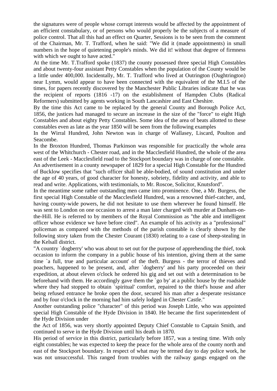the signatures were of people whose corrupt interests would be affected by the appointment of an efficient constabulary, or of persons who would properly be the subjects of a measure of police control. That all this had an effect on Quarter, Sessions is to be seen from the comment of the Chairman, Mr. T. Trafford, when he said: "We did it (made appointments) in small numbers in the hope of quietening people's minds. We did it! without that degree of firmness with which we ought to have acted."

At the time Mr. T.Trafford spoke (1837) the county possessed three special High Constables and about twenty-four assistant Petty Constables when the population of the County would be a little under 400,000. Incidentally, Mr. T. Trafford who lived at Outrington (Oughtrington) near Lymm, would appear to have been connected with the equivalent of the M.I.5 of the times, for papers recently discovered by the Manchester Public Libraries indicate that he was the recipient of reports (1816 -17) on the establishment of Hampden Clubs (Radical Reformers) submitted by agents working in South Lancashire and East Cheshire.

By the time this Act came to be replaced by the general County and Borough Police Act, 1856, the justices had managed to secure an increase in the size of the "force" to eight High Constables and about eighty Petty Constables. Some idea of the area of beats allotted to these constables even as late as the year 1850 will be seen from the following examples

In the Wirral Hundred, John Newton was in charge of Wallasey, Liscard, Poulton and Seacombe.

In the Broxton Hundred, Thomas Parkinson was responsible for practically the whole area west of the Whitchurch - Chester road, and in the Macclesfield Hundred, the whole of the area east of the Leek - Macclesfield road to the Stockport boundary was in charge of one constable.

An advertisement in a county newspaper of 1829 for a special High Constable for the Hundred of Bucklow specifies that "such officer shall be able-bodied, of sound constitution and under the age of 40 years, of good character for honesty, sobriety, fidelity and activity, and able to read and write. Applications, with testimonials, to Mr. Roscoe, Solicitor, Knutsford".

In the meantime some rather outstanding men came into prominence. One, a Mr. Burgess, the first special High Constable of the Macclesfield Hundred, was a renowned thief-catcher, and, having county-wide powers, he did not hesitate to use them wherever he found himself. He was sent to London on one occasion to arrest a man later charged with murder at Dunham-onthe-Hill. He is referred to by members of the Royal Commission as "the able and intelligent officer whose evidence we have before cited". An example of his activity as a "professional" policeman as compared with the methods of the parish constable is clearly shown by the following story taken from the Chester Courant (1830) relating to a case of sheep-stealing in the Kelsall district.

"A country `dogberry' who was about to set out for the purpose of apprehending the thief, took occasion to inform the company in a public house of his intention, giving them at the same time `a full, true and particular account' of the theft. Burgess - the terror of thieves and poachers, happened to be present, and, after `dogberry' and his party proceeded on their expedition, at about eleven o'clock he ordered his gig and set out with a determination to be beforehand with them. He accordingly gave them the `go by' at a public house by the roadside where they had stopped to obtain `spiritual' comfort, repaired to the thief's house and after being refused entrance he broke open the door, secured his man after a desperate resistance and by four o'clock in the morning had him safely lodged in Chester Castle."

Another outstanding police "character" of this period was Joseph Little, who was appointed special High Constable of the Hyde Division in 1840. He became the first superintendent of the Hyde Division under

the Act of 1856, was very shortly appointed Deputy Chief Constable to Captain Smith, and continued to serve in the Hyde Division until his death in 1870.

His period of service in this district, particularly before 1857, was a testing time. With only eight constables; he was expected to keep the peace for the whole area of the county north and east of the Stockport boundary. In respect of what may be termed day to day police work, he was not unsuccessful. This ranged from troubles with the railway gangs engaged on the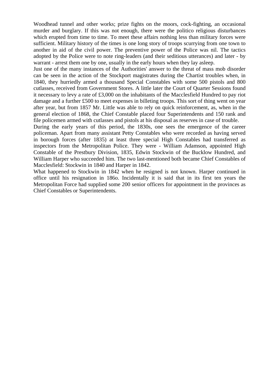Woodhead tunnel and other works; prize fights on the moors, cock-fighting, an occasional murder and burglary. If this was not enough, there were the politico religious disturbances which erupted from time to time. To meet these affairs nothing less than military forces were sufficient. Military history of the times is one long story of troops scurrying from one town to another in aid of the civil power. The preventive power of the Police was nil. The tactics adopted by the Police were to note ring-leaders (and their seditious utterances) and later - by warrant - arrest them one by one, usually in the early hours when they lay asleep.

Just one of the many instances of the Authorities' answer to the threat of mass mob disorder can be seen in the action of the Stockport magistrates during the Chartist troubles when, in 1840, they hurriedly armed a thousand Special Constables with some 500 pistols and 800 cutlasses, received from Government Stores. A little later the Court of Quarter Sessions found it necessary to levy a rate of £3,000 on the inhabitants of the Macclesfield Hundred to pay riot damage and a further £500 to meet expenses in billeting troops. This sort of thing went on year after year, but from 1857 Mr. Little was able to rely on quick reinforcement, as, when in the general election of 1868, the Chief Constable placed four Superintendents and 150 rank and file policemen armed with cutlasses and pistols at his disposal as reserves in case of trouble.

During the early years of this period, the 1830s, one sees the emergence of the career policeman. Apart from many assistant Petty Constables who were recorded as having served in borough forces (after 1835) at least three special High Constables had transferred as inspectors from the Metropolitan Police. They were - William Adamson, appointed High Constable of the Prestbury Division, 1835, Edwin Stockwin of the Bucklow Hundred, and William Harper who succeeded him. The two last-mentioned both became Chief Constables of Macclesfield: Stockwin in 1840 and Harper in 1842.

What happened to Stockwin in 1842 when he resigned is not known. Harper continued in office until his resignation in 186o. Incidentally it is said that in its first ten years the Metropolitan Force had supplied some 200 senior officers for appointment in the provinces as Chief Constables or Superintendents.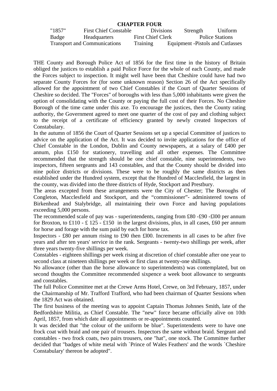#### **CHAPTER FOUR**

| "1857" | <b>First Chief Constable</b>        | <b>Divisions</b>         | Strength                          |                 | Uniform |
|--------|-------------------------------------|--------------------------|-----------------------------------|-----------------|---------|
| Badge  | Headquarters                        | <b>First Chief Clerk</b> |                                   | Police Stations |         |
|        | <b>Transport and Communications</b> | <b>Training</b>          | Equipment - Pistols and Cutlasses |                 |         |

THE County and Borough Police Act of 1856 for the first time in the history of Britain obliged the justices to establish a paid Police Force for the whole of each County, and made the Forces subject to inspection. It might well have been that Cheshire could have had two separate County Forces for (for some unknown reason) Section 26 of the Act specifically allowed for the appointment of two Chief Constables if the Court of Quarter Sessions of Cheshire so decided. The "Forces" of boroughs with less than 5,000 inhabitants were given the option of consolidating with the County or paying the full cost of their Forces. No Cheshire Borough of the time came under this axe. To encourage the justices, then the County rating authority, the Government agreed to meet one quarter of the cost of pay and clothing subject to the receipt of a certificate of efficiency granted by newly created Inspectors of Constabulary.

In the autumn of 1856 the Court of Quarter Sessions set up a special Committee of justices to advice on the application of the Act. It was decided to invite applications for the office of Chief Constable in the London, Dublin and County newspapers, at a salary of £400 per annum, plus £150 for stationery, travelling and all other expenses. The Committee recommended that the strength should be one chief constable, nine superintendents, two inspectors, fifteen sergeants and 143 constables, and that the County should be divided into nine police districts or divisions. These were to be roughly the same districts as then established under the Hundred system, except that the Hundred of Macclesfield, the largest in the county, was divided into the three districts of Hyde, Stockport and Prestbury.

The areas excepted from these arrangements were the City of Chester; The Boroughs of Congleton, Macclesfield and Stockport, and the "commissioner"- administered towns of Birkenhead and Stalybridge, all maintaining their own Force and having populations exceeding 5,000 persons.

The recommended scale of pay was - superintendents, ranging from £80 -£90 -£l00 per annum for Broxton, to £110 - £ 125 - £150 in the largest divisions, plus, in all cases, £60 per annum for horse and forage with the sum paid by each for horse tax.

Inspectors - £80 per annum rising to £90 then £l00. Increments in all cases to be after five years and after ten years' service in the rank. Sergeants - twenty-two shillings per week, after three years twenty-five shillings per week.

Constables - eighteen shillings per week rising at discretion of chief constable after one year to second class at nineteen shillings per week or first class at twenty-one shillings.

No allowance (other than the horse allowance to superintendents) was contemplated, but on second thoughts the Committee recommended sixpence a week boot allowance to sergeants and constables.

The full Police Committee met at the Crewe Arms Hotel, Crewe, on 3rd February, 1857, under the Chairmanship of Mr. Trafford Trafford, who had been chairman of Quarter Sessions when the 1829 Act was obtained.

The first business of the meeting was to appoint Captain Thomas Johnnes Smith, late of the Bedfordshire Militia, as Chief Constable. The "new" force became officially alive on 10th April, 1857, from which date all appointments or re-appointments counted.

It was decided that "the colour of the uniform be blue". Superintendents were to have one frock coat with braid and one pair of trousers. Inspectors the same without braid. Sergeant and constables - two frock coats, two pairs trousers, one "hat", one stock. The Committee further decided that "badges of white metal with `Prince of Wales Feathers' and the words `Cheshire Constabulary' thereon be adopted".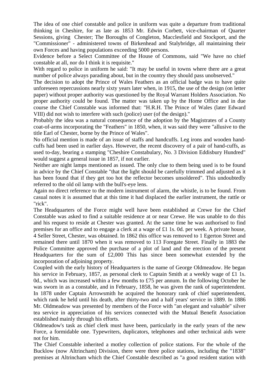The idea of one chief constable and police in uniform was quite a departure from traditional thinking in Cheshire, for as late as 1853 Mr. Edwin Corbett, vice-chairman of Quarter Sessions, giving Chester; The Boroughs of Congleton, Macclesfield and Stockport, and the "Commissioner" - administered towns of Birkenhead and Stalybridge, all maintaining their own Forces and having populations exceeding 5000 persons.

Evidence before a Select Committee of the House of Commons, said "We have no chief constable at all, nor do I think it is requisite."

With regard to police in uniform he said: "It may be useful in towns where there are a great number of police always parading about, but in the country they should pass unobserved."

The decision to adopt the Prince of Wales Feathers as an official badge was to have quite unforeseen repercussions nearly sixty years later when, in 1915, the use of the design (on letter paper) without proper authority was questioned by the Royal Warrant Holders Association. No proper authority could be found. The matter was taken up by the Home Office and in due course the Chief Constable was informed that: "H.R.H. The Prince of Wales (later Edward VIII) did not wish to interfere with such (police) user (of the design)."

Probably the idea was a natural consequence of the adoption by the Magistrates of a County coat-of-arms incorporating the "Feathers" in 1850, when, it was said they were "allusive to the title Earl of Chester, borne by the Prince of Wales".

No official mention is made of an issue of staffs and handcuffs. Leg irons and wooden handcuffs had been used in earlier days. However, the recent discovery of a pair of hand-cuffs, as used to-day, bearing a stamping "Cheshire Constabulary, No. 3 Division Eddisbury Hundred" would suggest a general issue in 1857, if not earlier.

Neither are night lamps mentioned as issued. The only clue to them being used is to be found in advice by the Chief Constable "that the light should be carefully trimmed and adjusted as it has been found that if they get too hot the reflector becomes unsoldered". This undoubtedly referred to the old oil lamp with the bull's-eye lens.

Again no direct reference to the modern instrument of alarm, the whistle, is to be found. From casual notes it is assumed that at this time it had displaced the earlier instrument, the rattle or "rick".

The Headquarters of the Force might well have been established at Crewe for the Chief Constable was asked to find a suitable residence at or near Crewe. He was unable to do this and his request to reside at Chester was granted. At the same time he was authorised to find premises for an office and to engage a clerk at a wage of £1 1s. 0d. per week. A private house, 4 Seller Street, Chester, was obtained. In 1862 this office was removed to 1 Egerton Street and remained there until 1870 when it was removed to 113 Foregate Street. Finally in 1883 the Police Committee approved the purchase of a plot of land and the erection of the present Headquarters for the sum of £2,000 This has since been somewhat extended by the incorporation of adjoining property.

Coupled with the early history of Headquarters is the name of George Oldmeadow. He began his service in February, 1857, as personal clerk to Captain Smith at a weekly wage of £1 1s. 0d., which was increased within a few months to £75 per annum. In the following October he was sworn in as a constable, and in February, 1858, he was given the rank of superintendent. In 1878 under Captain Arrowsmith he acquired the honorary rank of chief superintendent, which rank he held until his death, after thirty-two and a half years' service in 1889. In 1886 Mr. Oldmeadow was presented by members of the Force with "an elegant and valuable" silver tea service in appreciation of his services connected with the Mutual Benefit Association established mainly through his efforts.

Oldmeadow's task as chief clerk must have been, particularly in the early years of the new Force, a formidable one. Typewriters, duplicators, telephones and other technical aids were not for him.

The Chief Constable inherited a motley collection of police stations. For the whole of the Bucklow (now Altrincham) Division, there were three police stations, including the "1838" premises at Altrincham which the Chief Constable described as "a good resident station with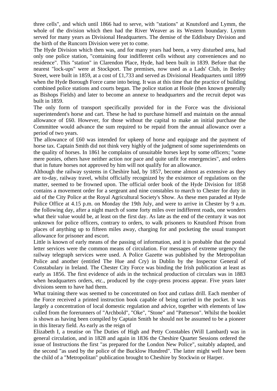three cells", and which until 1866 had to serve, with "stations" at Knutsford and Lymm, the whole of the division which then had the River Weaver as its Western boundary. Lymm served for many years as Divisional Headquarters. The demise of the Eddisbury Division and the birth of the Runcorn Division were yet to come.

The Hyde Division which then was, and for many years had been, a very disturbed area, had only one police station, "containing four indifferent cells without any conveniences and no residence". This "station" in Clarendon Place, Hyde, had been built in 1839. Before that the nearest "lock-ups" were at Stockport. The premises, now used as a Lads' Club, in Beeley Street, were built in 1859, at a cost of £1,733 and served as Divisional Headquarters until 1899 when the Hyde Borough Force came into being. It was at this time that the practice of building combined police stations and courts began. The police station at Hoole (then known generally as Bishops Fields) and later to become an annexe to headquarters and the recruit depot was built in 1859.

The only form of transport specifically provided for in the Force was the divisional superintendent's horse and cart. These he had to purchase himself and maintain on the annual allowance of £60. However, for those without the capital to make an initial purchase the Committee would advance the sum required to be repaid from the annual allowance over a period of two years.

The allowance of £60 was intended for upkeep of horse and equipage and the payment of horse tax. Captain Smith did not think very highly of the judgment of some superintendents on the quality of horses. In 1861 he complains of unsuitable horses kept by some officers; "some mere ponies, others have neither action nor pace and quite unfit for emergencies", and orders that in future horses not approved by him will not qualify for an allowance.

Although the railway systems in Cheshire had, by 1857, become almost as extensive as they are to-day, railway travel, whilst officially recognized by the existence of regulations on the matter, seemed to be frowned upon. The official order book of the Hyde Division for 1858 contains a movement order for a sergeant and nine constables to march to Chester for duty in aid of the City Police at the Royal Agricultural Society's Show. As these men paraded at Hyde Police Office at 4.15 p.m. on Monday the 19th July, and were to arrive in Chester by 9 a.m. the following day, after a night march of some forty miles over indifferent roads, one wonders what their value would be, at least on the first day. As late as the end of the century it was not unknown for police officers, contrary to orders, to walk prisoners to Knutsford Prison from places of anything up to fifteen miles away, charging for and pocketing the usual transport allowance for prisoner and escort.

Little is known of early means of the passing of information, and it is probable that the postal letter services were the common means of circulation. For messages of extreme urgency the railway telegraph services were used. A Police Gazette was published by the Metropolitan Police and another (entitled The Hue and Cry) in Dublin by the Inspector General of Constabulary in Ireland. The Chester City Force was binding the Irish publication at least as early as 1856. The first evidence of aids in the technical production of circulars was in 1883 when headquarters orders, etc., produced by the copy-press process appear. Five years later divisions seem to have had them.

What training there was seemed to be concentrated on foot and cutlass drill. Each member of the Force received a printed instruction book capable of being carried in the pocket. It was largely a concentration of local domestic regulation and advice, together with elements of law culled from the forerunners of "Archbold", "Oke", "Stone" and "Patterson". Whilst the booklet is shown as having been compiled by Captain Smith he should not be assumed to be a pioneer in this literary field. As early as the reign of

Elizabeth I, a treatise on The Duties of High and Petty Constables (Will Lambard) was in general circulation, and in 1828 and again in 1836 the Cheshire Quarter Sessions ordered the issue of Instructions the first "as prepared for the London New Police", suitably adapted, and the second "as used by the police of the Bucklow Hundred". The latter might well have been the child of a "Metropolitan" publication brought to Cheshire by Stockwin or Harper.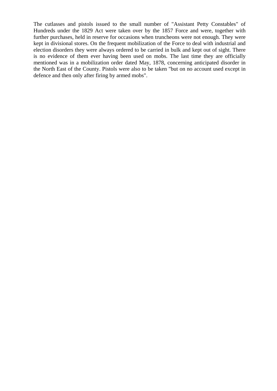The cutlasses and pistols issued to the small number of "Assistant Petty Constables" of Hundreds under the 1829 Act were taken over by the 1857 Force and were, together with further purchases, held in reserve for occasions when truncheons were not enough. They were kept in divisional stores. On the frequent mobilization of the Force to deal with industrial and election disorders they were always ordered to be carried in bulk and kept out of sight. There is no evidence of them ever having been used on mobs. The last time they are officially mentioned was in a mobilization order dated May, 1878, concerning anticipated disorder in the North East of the County. Pistols were also to be taken "but on no account used except in defence and then only after firing by armed mobs".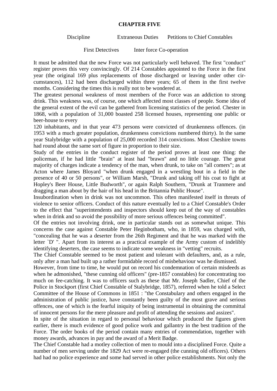#### **CHAPTER FIVE**

Discipline Extraneous Duties Petitions to Chief Constables

First Detectives Inter force Co-operation

It must be admitted that the new Force was not particularly well behaved. The first "conduct" register proves this very convincingly. Of 214 Constables appointed to the Force in the first year (the original 169 plus replacements of those discharged or leaving under other circumstances), 112 had been discharged within three years; 65 of them in the first twelve months. Considering the times this is really not to be wondered at.

The greatest personal weakness of most members of the Force was an addiction to strong drink. This weakness was, of course, one which affected most classes of people. Some idea of the general extent of the evil can be gathered from licensing statistics of the period. Chester in 1868, with a population of 31,000 boasted 258 licensed houses, representing one public or beer-house to every

120 inhabitants, and in that year 473 persons were convicted of drunkenness offences. (in 1953 with a much greater population, drunkenness convictions numbered thirty). In the same year Stalybridge with a population of 25,000 recorded 314 convictions. Most Cheshire towns had round about the same sort of figure in proportion to their size.

Study of the entries in the conduct register of the period proves at least one thing: the policeman, if he had little "brain" at least had "brawn" and no little courage. The great majority of charges indicate a tendency of the man, when drunk, to take on "all comers"; as at Acton where James Bloyard "when drunk engaged in a wrestling bout in a field in the presence of 40 or 50 persons", or William Marsh, "Drunk and taking off his coat to fight at Hopley's Beer House, Little Budworth", or again Ralph Southern, "Drunk at Tranmere and dragging a man about by the hair of his head in the Britannia Public House".

Insubordination when in drink was not uncommon. This often manifested itself in threats of violence to senior officers. Conduct of this nature eventually led to a Chief Constable's Order to the effect that "superintendents and inspectors should keep out of the way of constables when in drink and so avoid the possibility of more serious offences being committed".

Of the entries not involving drink, one in particular stands out as somewhat unique. This concerns the case against Constable Peter Heginbotham, who, in 1859, was charged with, "concealing that he was a deserter from the 26th Regiment and that he was marked with the letter `D' ". Apart from its interest as a practical example of the Army custom of indelibly identifying deserters, the case seems to indicate some weakness in "vetting" recruits.

The Chief Constable seemed to be most patient and tolerant with defaulters, and, as a rule, only after a man had built up a rather formidable record of misbehaviour was he dismissed.

However, from time to time, he would put on record his condemnation of certain misdeeds as when he admonished, "these cunning old officers" (pre-1857 constables) for concentrating too much on fee-catching. It was to officers such as these that Mr. Joseph Sadler, Chief of the Police in Stockport (first Chief Constable of Stalybridge, 1857), referred when he told a Select Committee of the House of Commons in 1851 : "the Constabulary and others engaged in the administration of public justice, have constantly been guilty of the most grave and serious offences, one of which is the fearful iniquity of being instrumental in obtaining the committal of innocent persons for the mere pleasure and profit of attending the sessions and assizes".

In spite of the situation in regard to personal behaviour which produced the figures given earlier, there is much evidence of good police work and gallantry in the best tradition of the Force. The order books of the period contain many entries of commendation, together with money awards, advances in pay and the award of a Merit Badge.

The Chief Constable had a motley collection of men to mould into a disciplined Force. Quite a number of men serving under the 1829 Act were re-engaged (the cunning old officers). Others had had no police experience and some had served in other police establishments. Not only the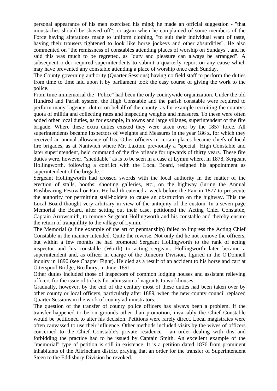personal appearance of his men exercised his mind; he made an official suggestion - "that moustaches should be shaved off"; or again when he complained of some members of the Force having alterations made to uniform clothing, "to suit their individual want of taste, having their trousers tightened to look like horse jockeys and other absurdities". He also commented on "the remissness of constables attending places of worship on Sundays", and he said this was much to be regretted, as "duty and pleasure can always be arranged". A subsequent order required superintendents to submit a quarterly report on any cause which may have prevented any constable attending a place of worship once each Sunday.

The County governing authority (Quarter Sessions) having no field staff to perform the duties from time to time laid upon it by parliament took the easy course of giving the work to the police.

From time immemorial the "Police" had been the only countywide organization. Under the old Hundred and Parish system, the High Constable and the parish constable were required to perform many "agency" duties on behalf of the county, as for example recruiting the county's quota of militia and collecting rates and inspecting weights and measures. To these were often added other local duties, as for example, in towns and large villages, superintendent of the fire brigade. Where these extra duties existed they were taken over by the 1857 force. All superintendents became Inspectors of Weights and Measures in the year 186 z, for which they received an annual allowance of l15. Other officers in certain places became chiefs of local fire brigades, as at Nantwich where Mr. Laxton, previously a "special" High Constable and later superintendent, held command of the fire brigade for upwards of thirty years. These fire duties were, however, "sheddable" as is to be seen in a case at Lymm where, in 1878, Sergeant Hollingworth, following a conflict with the Local Board, resigned his appointment as superintendent of the brigade.

Sergeant Hollingworth had crossed swords with the local authority in the matter of the erection of stalls, booths; shooting galleries, etc., on the highway (luring the Annual Rushbearing Festival or Fair. He had threatened a week before the Fair in 1877 to prosecute the authority for permitting stall-holders to cause an obstruction on the highway. This the Local Board thought very arbitrary in view of the antiquity of the custom. In a seven page Memorial the Board, after setting out their case, petitioned the Acting Chief Constable, Captain Arrowsmith, to remove Sergeant Hollingworth and his constable and thereby ensure the return of tranquillity to the village of Lymm.

The Memorial (a fine example of the art of penmanship) failed to impress the Acting Chief Constable in the manner intended. Quite the reverse. Not only did he not remove the officers, but within a few months he had promoted Sergeant Hollingworth to the rank of acting inspector and his constable (Worth) to acting sergeant. Hollingworth later became a superintendent and, as officer in charge of the Runcorn Division, figured in the O'Donnell inquiry in 1890 (see Chapter Fight). He died as a result of an accident to his horse and cart at Otterspool Bridge, Bredbury, in June, 1891.

Other duties included those of inspectors of common lodging houses and assistant relieving officers for the issue of tickets for admission of vagrants to workhouses.

Gradually, however, by the end of the century most of these duties had been taken over by other county or local officers, particularly after 1889, when the new county council replaced Quarter Sessions in the work of county administrators.

The question of the transfer of county police officers has always been a problem. If the transfer happened to be on grounds other than promotion, invariably the Chief Constable would be petitioned to alter his decision. Petitions were rarely direct. Local magistrates were often canvassed to use their influence. Other methods included visits by the wives of officers concerned to the Chief Constable's private residence - an order dealing with this and forbidding the practice had to be issued by Captain Smith. An excellent example of the "memorial" type of petition is still in existence. It is a petition dated 1876 from prominent inhabitants of the Altrincham district praying that an order for the transfer of Superintendent Steen to the Eddisbury Division be revoked.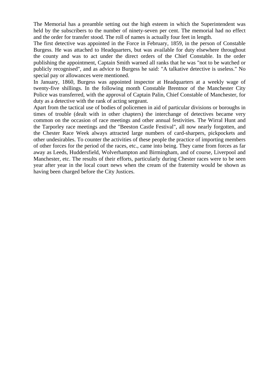The Memorial has a preamble setting out the high esteem in which the Superintendent was held by the subscribers to the number of ninety-seven per cent. The memorial had no effect and the order for transfer stood. The roll of names is actually four feet in length.

The first detective was appointed in the Force in February, 1859, in the person of Constable Burgess. He was attached to Headquarters, but was available for duty elsewhere throughout the county and was to act under the direct orders of the Chief Constable. In the order publishing the appointment, Captain Smith warned all ranks that he was "not to be watched or publicly recognised", and as advice to Burgess he said: "A talkative detective is useless." No special pay or allowances were mentioned.

In January, 1860, Burgess was appointed inspector at Headquarters at a weekly wage of twenty-five shillings. In the following month Constable Brentnor of the Manchester City Police was transferred, with the approval of Captain Palin, Chief Constable of Manchester, for duty as a detective with the rank of acting sergeant.

Apart from the tactical use of bodies of policemen in aid of particular divisions or boroughs in times of trouble (dealt with in other chapters) the interchange of detectives became very common on the occasion of race meetings and other annual festivities. The Wirral Hunt and the Tarporley race meetings and the "Beeston Castle Festival", all now nearly forgotten, and the Chester Race Week always attracted large numbers of card-sharpers, pickpockets and other undesirables. To counter the activities of these people the practice of importing members of other forces for the period of the races, etc., came into being. They came from forces as far away as Leeds, Huddersfield, Wolverhampton and Birmingham, and of course, Liverpool and Manchester, etc. The results of their efforts, particularly during Chester races were to be seen year after year in the local court news when the cream of the fraternity would be shown as having been charged before the City Justices.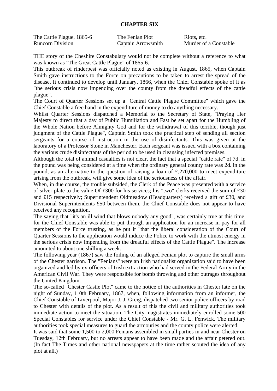## **CHAPTER SIX**

| The Cattle Plague, 1865-6 | The Fenian Plot    | Riots, etc.           |
|---------------------------|--------------------|-----------------------|
| <b>Runcorn Division</b>   | Captain Arrowsmith | Murder of a Constable |

THE story of the Cheshire Constabulary would not be complete without a reference to what was known as "The Great Cattle Plague" of 1865-6.

This outbreak of rinderpest was officially noted as existing in August, 1865, when Captain Smith gave instructions to the Force on precautions to be taken to arrest the spread of the disease. It continued to develop until January, 1866, when the Chief Constable spoke of it as "the serious crisis now impending over the county from the dreadful effects of the cattle plague".

The Court of Quarter Sessions set up a "Central Cattle Plague Committee" which gave the Chief Constable a free hand in the expenditure of money to do anything necessary.

Whilst Quarter Sessions dispatched a Memorial to the Secretary of State, "Praying Her Majesty to direct that a day of Public Humiliation and Fast be set apart for the Humbling of the Whole Nation before Almighty God and for the withdrawal of this terrible, though just judgment of the Cattle Plague", Captain Smith took the practical step of sending all section sergeants for a course of instruction in the use of disinfectants. This was given at the laboratory of a Professor Stone in Manchester. Each sergeant was issued with a box containing the various crude disinfectants of the period to be used in cleansing infected premises.

Although the total of animal casualties is not clear, the fact that a special "cattle rate" of 7d. in the pound was being considered at a time when the ordinary general county rate was 2d. in the pound, as an alternative to the question of raising a loan of £,270,000 to meet expenditure arising from the outbreak, will give some idea of the seriousness of the affair.

When, in due course, the trouble subsided, the Clerk of the Peace was presented with a service of silver plate to the value Of £300 for his services; his "two" clerks received the sum of £30 and £15 respectively; Superintendent Oldmeadow (Headquarters) received a gift of £30, and Divisional Superintendents £50 between them, the Chief Constable does not appear to have received any recognition.

The saying that "it's an ill wind that blows nobody any good", was certainly true at this time, for the Chief Constable was able to put through an application for an increase in pay for all members of the Force trusting, as he put it "that the liberal consideration of the Court of Quarter Sessions to the application would induce the Police to work with the utmost energy in the serious crisis now impending from the dreadful effects of the Cattle Plague". The increase amounted to about one shilling a week.

The following year (1867) saw the foiling of an alleged Fenian plot to capture the small arms of the Chester garrison. The "Fenians" were an Irish nationalist organization said to have been organized and led by ex-officers of Irish extraction who had served in the Federal Army in the American Civil War. They were responsible for bomb throwing and other outrages throughout the United Kingdom.

The so-called "Chester Castle Plot" came to the notice of the authorities in Chester late on the night of Sunday, 1 0th February, 1867, when, following information from an informer, the Chief Constable of Liverpool, Major J. J. Greig, dispatched two senior police officers by road to Chester with details of the plot. As a result of this the civil and military authorities took immediate action to meet the situation. The City magistrates immediately enrolled some 500 Special Constables for service under the Chief Constable - Mr. G. L. Fenwick. The military authorities took special measures to guard the armouries and the county police were alerted.

It was said that some 1,500 to 2,000 Fenians assembled in small parties in and near Chester on Tuesday, 12th February, but no arrests appear to have been made and the affair petered out. (In fact The Times and other national newspapers at the time rather scouted the idea of any plot at all.)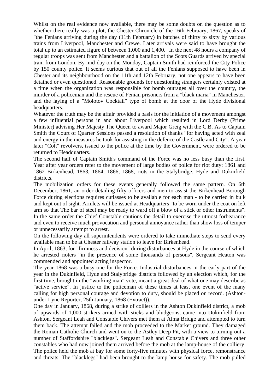Whilst on the real evidence now available, there may be some doubts on the question as to whether there really was a plot, the Chester Chronicle of the 16th February, 1867, speaks of "the Fenians arriving during the day (11th February) in batches of thirty to sixty by various trains from Liverpool, Manchester and Crewe. Later arrivals were said to have brought the total up to an estimated figure of between 1,000 and 1,400." In the next 48 hours a company of regular troops was sent from Manchester and a battalion of the Scots Guards arrived by special train from London. By mid-day on the Monday, Captain Smith had reinforced the City Police by 150 county police. It seems curious that out of all the Fenians supposed to have been in Chester and its neighbourhood on the 11th and 12th February, not one appears to have been detained or even questioned. Reasonable grounds for questioning strangers certainly existed at a time when the organization was responsible for bomb outrages all over the country, the murder of a policeman and the rescue of Fenian prisoners from a "black maria" in Manchester, and the laying of a "Molotov Cocktail" type of bomb at the door of the Hyde divisional headquarters.

Whatever the truth may be the affair provided a basis for the initiation of a movement amongst a few influential persons in and about Liverpool which resulted in Lord Derby (Prime Minister) advising Her Majesty The Queen to award Major Greig with the C.B. As to Captain Smith the Court of Quarter Sessions passed a resolution of thanks "for having acted with zeal and energy in the measures he took for assisting in the defence of the Castle and City". A year later "Colt" revolvers, issued to the police at the time by the Government, were ordered to be returned to Headquarters.

The second half of Captain Smith's command of the Force was no less busy than the first. Year after year orders refer to the movement of large bodies of police for riot duty: 1861 and 1862 Birkenhead, 1863, 1864, 1866, 1868, riots in the Stalybridge, Hyde and Dukinfield districts.

The mobilization orders for these events generally followed the same pattern. On 6th December, 1861, an order detailing fifty officers and men to assist the Birkenhead Borough Force during elections requires cutlasses to be available for each man - to be carried in bulk and kept out of sight. Armlets will be issued at Headquarters "to be worn under the coat on left arm so that The bar of steel may be ready to ward off a blow of a stick or other instruments". In the same order the Chief Constable cautions the detail to exercise the utmost forbearance and even to receive much provocation and personal annoyance rather than show loss of temper or unnecessarily attempt to arrest.

On the following day all superintendents were ordered to take immediate steps to send every available man to be at Chester railway station to leave for Birkenhead.

In April, 1863, for "firmness and decision" during disturbances at Hyde in the course of which he arrested rioters "in the presence of some thousands of persons", Sergeant Heaton was commended and appointed acting inspector.

The year 1868 was a busy one for the Force. Industrial disturbances in the early part of the year in the Dukinfield, Hyde and Stalybridge districts followed by an election which, for the first time, brought in the "working man" vote, meant a great deal of what one may describe as "active service". In justice to the policeman of these times at least one event of the many calling for high personal courage and devotion to duty, should be placed on record. (Ashtonunder-Lyne Reporter, 25th January, 1868 (Extract)).

One day in January, 1868, during a strike of colliers in the Ashton Dukinfield district, a mob of upwards of 1,000 strikers armed with sticks and bludgeons, came into Dukinfield from Ashton. Sergeant Leah and Constable Chivers met them at Alma Bridge and attempted to turn them back. The attempt failed and the mob proceeded to the Market ground. They damaged the Roman Catholic Church and went on to the Astley Deep Pit, with a view to turning out a number of Staffordshire "blacklegs". Sergeant Leah and Constable Chivers and three other constables who had now joined them arrived before the mob at the lamp-house of the colliery. The police held the mob at bay for some forty-five minutes with physical force, remonstrance and threats. The "blacklegs" had been brought to the lamp-house for safety. The mob pulled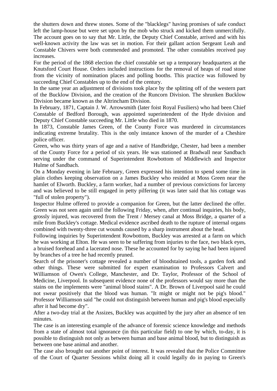the shutters down and threw stones. Some of the "blacklegs" having promises of safe conduct left the lamp-house but were set upon by the mob who struck and kicked them unmercifully. The account goes on to say that Mr. Little, the Deputy Chief Constable, arrived and with his well-known activity the law was set in motion. For their gallant action Sergeant Leah and Constable Chivers were both commended and promoted. The other constables received pay increases.

For the period of the 1868 election the chief constable set up a temporary headquarters at the Knutsford Court House. Orders included instructions for the removal of heaps of road stone from the vicinity of nomination places and polling booths. This practice was followed by succeeding Chief Constables up to the end of the century.

In the same year an adjustment of divisions took place by the splitting off of the western part of the Bucklow Division, and the creation of the Runcorn Division. The shrunken Bucklow Division became known as the Altrincham Division.

In February, 1871, Captain J. W. Arrowsmith (later foist Royal Fusiliers) who had been Chief Constable of Bedford Borough, was appointed superintendent of the Hyde division and Deputy Chief Constable succeeding Mr. Little who died in 1870.

In 1873, Constable James Green, of the County Force was murdered in circumstances indicating extreme brutality. This is the only instance known of the murder of a Cheshire police officer.

Green, who was thirty years of age and a native of Handbridge, Chester, had been a member of the County Force for a period of six years. He was stationed at Bradwall near Sandbach serving under the command of Superintendent Rowbottom of Middlewich and Inspector Hulme of Sandbach.

On a Monday evening in late February, Green expressed his intention to spend some time in plain clothes keeping observation on a James Buckley who resided at Moss Green near the hamlet of Elworth. Buckley, a farm worker, had a number of previous convictions for larceny and was believed to be still engaged in petty pilfering (it was later said that his cottage was "full of stolen property").

Inspector Hulme offered to provide a companion for Green, but the latter declined the offer. Green was not seen again until the following Friday, when, after continual inquiries, his body, grossly injured, was recovered from the Trent / Mersey canal at Moss Bridge, a quarter of a mile from Buckley's cottage. Medical evidence ascribed death to the rupture of internal organs combined with twenty-three cut wounds caused by a sharp instrument about the head.

Following inquiries by Superintendent Rowbottom, Buckley was arrested at a farm on which he was working at Elton. He was seen to be suffering from injuries to the face, two black eyes, a bruised forehead and a lacerated nose. These he accounted for by saying he had been injured by branches of a tree he had recently pruned.

Search of the prisoner's cottage revealed a number of bloodstained tools, a garden fork and other things. These were submitted for expert examination to Professors Calvert and Williamson of Owen's College, Manchester, and Dr. Taylor, Professor of the School of Medicine, Liverpool. In subsequent evidence none of the professors would say more than the stains on the implements were "animal blood stains". A Dr. Brown of Liverpool said he could not swear positively that the blood was human. "It might or might not be pig's blood." Professor Williamson said "he could not distinguish between human and pig's blood especially after it had become dry".

After a two-day trial at the Assizes, Buckley was acquitted by the jury after an absence of ten minutes.

The case is an interesting example of the advance of forensic science knowledge and methods from a state of almost total ignorance (in this particular field) to one by which, to-day, it is possible to distinguish not only as between human and base animal blood, but to distinguish as between one base animal and another.

The case also brought out another point of interest. It was revealed that the Police Committee of the Court of Quarter Sessions whilst doing all it could legally do in paying to Green's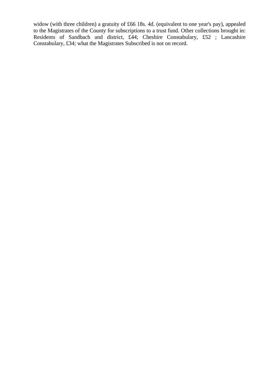widow (with three children) a gratuity of £66 18s. 4d. (equivalent to one year's pay), appealed to the Magistrates of the County for subscriptions to a trust fund. Other collections brought in: Residents of Sandbach and district, £44; Cheshire Constabulary, £52; Lancashire Constabulary, £34; what the Magistrates Subscribed is not on record.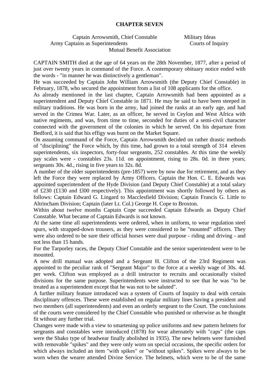#### **CHAPTER SEVEN**

Captain Arrowsmith, Chief Constable Military Ideas Army Captains as Superintendents Courts of Inquiry Mutual Benefit Association

CAPTAIN SMITH died at the age of 64 years on the 28th November, 1877, after a period of just over twenty years in command of the Force. A contemporary obituary notice ended with the words - "in manner he was distinctively a gentleman".

He was succeeded by Captain John William Arrowsmith (the Deputy Chief Constable) in February, 1878, who secured the appointment from a list of 108 applicants for the office.

As already mentioned in the last chapter, Captain Arrowsmith had been appointed as a superintendent and Deputy Chief Constable in 1871. He may be said to have been steeped in military traditions. He was born in the army, had joined the ranks at an early age, and had served in the Crimea War. Later, as an officer, he served in Ceylon and West Africa with native regiments, and was, from time to time, seconded for duties of a semi-civil character connected with the government of the colonies in which he served. On his departure from Bedford, it is said that his effigy was burnt on the Market Square.

On assuming command of the Force, Captain Arrowsmith decided on rather drastic methods of "disciplining" the Force which, by this time, had grown to a total strength of 314 eleven superintendents, six inspectors, forty-four sergeants, 252 constables. At this time the weekly pay scales were - constables 23s. 11d. on appointment, rising to 28s. 0d. in three years; sergeants 30s. 4d., rising in five years to 32s. 8d.

A number of the older superintendents (pre-1857) were by now due for retirement, and as they left the Force they were replaced by Army Officers. Captain the Hon. C. E. Edwards was appointed superintendent of the Hyde Division (and Deputy Chief Constable) at a total salary of £230 (£130 and £l00 respectively). This appointment was shortly followed by others as follows: Captain Edward G. Lingard to Macclesfield Division; Captain Francis G. Little to Altrincham Division; Captain (later Lt. Col.) George H. Cope to Broxton.

Within about twelve months Captain Cope succeeded Captain Edwards as Deputy Chief Constable. What became of Captain Edwards is not known.

At the same time all superintendents were ordered, when in uniform, to wear regulation steel spurs, with strapped-down trousers, as they were considered to be "mounted" officers. They were also ordered to be sure their official horses were dual purpose - riding and driving - and not less than 15 hands.

For the Tarporley races, the Deputy Chief Constable and the senior superintendent were to be mounted.

A new drill manual was adopted and a Sergeant H. Clifton of the 23rd Regiment was appointed to the peculiar rank of "Sergeant Major" to the force at a weekly wage of 30s. 4d. per week. Clifton was employed as a drill instructor to recruits and occasionally visited divisions for the same purpose. Superintendents were instructed to see that he was "to be treated as a superintendent except that he was not to be saluted".

A further military feature introduced was a system of Courts of Inquiry to deal with certain disciplinary offences. These were established on regular military lines having a president and two members (all superintendents) and even an orderly sergeant to the Court. The conclusions of the courts were considered by the Chief Constable who punished or otherwise as he thought fit without any further trial.

Changes were made with a view to smartening up police uniforms and new pattern helmets for sergeants and constables were introduced (1878) for wear alternately with "caps" (the caps were the Shako type of headwear finally abolished in 1935). The new helmets were furnished with removable "spikes" and they were only worn on special occasions, the specific orders for which always included an item "with spikes" or "without spikes". Spikes were always to be worn when the wearer attended Divine Service. The helmets, which were to be of the same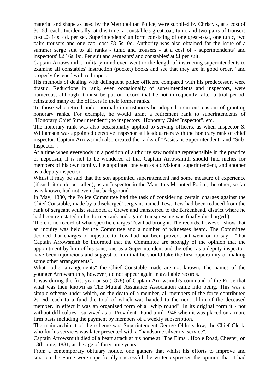material and shape as used by the Metropolitan Police, were supplied by Christy's, at a cost of 8s. 6d. each. Incidentally, at this time, a constable's greatcoat, tunic and two pairs of trousers cost £3 14s. 4d. per set. Superintendents' uniform consisting of one great-coat, one tunic, two pairs trousers and one cap, cost £8 5s. 0d. Authority was also obtained for the issue of a summer serge suit to all ranks - tunic and trousers - at a cost of - superintendents' and inspectors' £2 16s. 0d. Per suit and sergeants' and constables' at £I per suit.

Captain Arrowsmith's military mind even went to the length of instructing superintendents to examine all constables' instruction (pocket) books and see that they are in good order, "and properly fastened with red-tape".

His methods of dealing with delinquent police officers, compared with his predecessor, were drastic. Reductions in rank, even occasionally of superintendents and inspectors, were numerous, although it must be put on record that he not infrequently, after a trial period, reinstated many of the officers in their former ranks.

To those who retired under normal circumstances he adopted a curious custom of granting honorary ranks. For example, he would grant a retirement rank to superintendents of "Honorary Chief Superintendent"; to inspectors "Honorary Chief Inspector", etc.

The honorary rank was also occasionally applied to serving officers, as when Inspector S. Williamson was appointed detective inspector at Headquarters with the honorary rank of chief inspector. Captain Arrowsmith also created the ranks of "Assistant Superintendent" and "Sub-Inspector".

At a time when everybody in a position of authority saw nothing reprehensible in the practice of nepotism, it is not to be wondered at that Captain Arrowsmith should find niches for members of his own family. He appointed one son as a divisional superintendent, and another as a deputy inspector.

Whilst it may be said that the son appointed superintendent had some measure of experience (if such it could be called), as an Inspector in the Mauritius Mounted Police, the other, so far as is known, had not even that background.

In May, 1880, the Police Committee had the task of considering certain charges against the Chief Constable, made by a discharged' sergeant named Tew. Tew had been reduced from the rank of sergeant whilst stationed at Crewe and transferred to the Birkenhead, district where he had been reinstated in his former rank and again'; transgressing was finally discharged.)

There is no record of what specific charges Tew had brought. The records, however, show that an inquiry was held by the Committee and a number of witnesses heard. The Committee decided that charges of injustice to Tew had not been proved, but went on to say - "that Captain Arrowsmith be informed that the Committee are strongly of the opinion that the appointment by him of his sons, one as a Superintendent and the other as a deputy inspector, have been injudicious and suggest to him that he should take the first opportunity of making some other arrangements".

What "other arrangements" the Chief Constable made are not known. The names of the younger Arrowsmith's, however, do not appear again in available records.

It was during the first year or so (1878) of Captain Arrowsmith's command of the Force that what was then known as The Mutual Assurance Association came into being. This was a simple scheme under which, on the death of a member, all members of the force contributed 2s. 6d. each to a fund the total of which was handed to the next-of-kin of the deceased member. In effect it was an organized form of a "whip round". In its original form it - not without difficulties - survived as a "Provident" Fund until 1946 when it was placed on a more firm basis including the payment by members of a weekly subscription.

The main architect of the scheme was Superintendent George Oldmeadow, the Chief Clerk, who for his services was later presented with a "handsome silver tea service".

Captain Arrowsmith died of a heart attack at his home at "The Elms", Hoole Road, Chester, on 18th June, 1881, at the age of forty-nine years.

From a contemporary obituary notice, one gathers that whilst his efforts to improve and smarten the Force were superficially successful the writer expresses the opinion that it had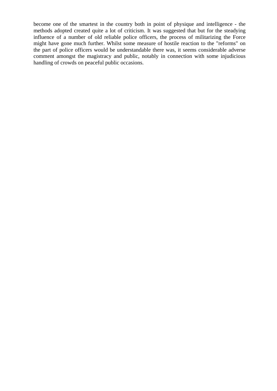become one of the smartest in the country both in point of physique and intelligence - the methods adopted created quite a lot of criticism. It was suggested that but for the steadying influence of a number of old reliable police officers, the process of militarizing the Force might have gone much further. Whilst some measure of hostile reaction to the "reforms" on the part of police officers would be understandable there was, it seems considerable adverse comment amongst the magistracy and public, notably in connection with some injudicious handling of crowds on peaceful public occasions.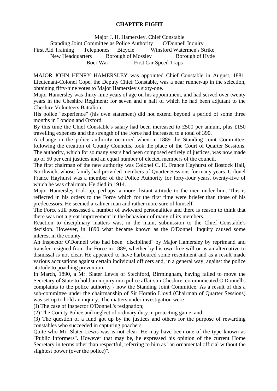## **CHAPTER EIGHT**

Major J. H. Hamersley, Chief Constable

Standing Joint Committee as Police Authority O'Donnell Inquiry First Aid Training Telephones Bicycle Winsford Watermen's Strike New Headquarters Borough of Mossley Borough of Hyde Boer War First Car Speed Traps

MAJOR JOHN HENRY HAMERSLEY was appointed Chief Constable in August, 1881. Lieutenant-Colonel Cope, the Deputy Chief Constable, was a near runner-up in the selection, obtaining fifty-nine votes to Major Hamersley's sixty-one.

Major Hamersley was thirty-nine years of age on his appointment, and had served over twenty years in the Cheshire Regiment; for seven and a half of which he had been adjutant to the Cheshire Volunteers Battalion.

His police "experience" (his own statement) did not extend beyond a period of some three months in London and Oxford.

By this time the Chief Constable's salary had been increased to £500 per annum, plus £150 travelling expenses and the strength of the Force had increased to a total of 390.

A change in the police authority occurred when in 1889 the Standing Joint Committee, following the creation of County Councils, took the place of the Court of Quarter Sessions. The authority, which for so many years had been composed entirely of justices, was now made up of 50 per cent justices and an equal number of elected members of the council.

The first chairman of the new authority was Colonel C. H. France Hayhurst of Bostock Hall, Northwich, whose family had provided members of Quarter Sessions for many years. Colonel France Hayhurst was a member of the Police Authority for forty-four years, twenty-five of which he was chairman. He died in 1914.

Major Hamersley took up, perhaps, a more distant attitude to the men under him. This is reflected in his orders to the Force which for the first time were briefer than those of his predecessors. He seemed a calmer man and rather more sure of himself.

The Force still possessed a number of awkward personalities and there is reason to think that there was not a great improvement in the behaviour of many of its members.

Reaction to disciplinary matters was, in the main, submission to the Chief Constable's decision. However, in 1890 what became known as the O'Donnell Inquiry caused some interest in the county.

An Inspector O'Donnell who had been "disciplined" by Major Hamersley by reprimand and transfer resigned from the Force in 1889, whether by his own free will or as an alternative to dismissal is not clear. He appeared to have harboured some resentment and as a result made various accusations against certain individual officers and, in a general way, against the police attitude to poaching prevention.

In March, 1890, a Mr. Slater Lewis of Stechford, Birmingham, having failed to move the Secretary of State to hold an inquiry into police affairs in Cheshire, communicated O'Donnell's complaints to the police authority - now the Standing Joint Committee. As a result of this a sub-committee under the chairmanship of Sir Horatio Lloyd (Chairman of Quarter Sessions) was set up to hold an inquiry. The matters under investigation were

(I) The case of Inspector O'Donnell's resignation;

(2) The County Police and neglect of ordinary duty in protecting game; and

(3) The question of a fund got up by the justices and others for the purpose of rewarding constables who succeeded in capturing poachers.

Quite who Mr. Slater Lewis was is not clear. He may have been one of the type known as "Public Informers". However that may be, he expressed his opinion of the current Home Secretary in terms other than respectful, referring to him as "an ornamental official without the slightest power (over the police)".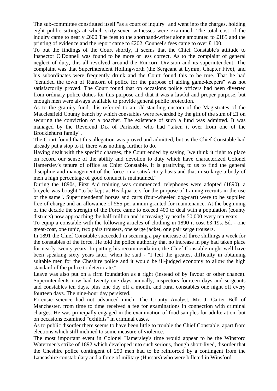The sub-committee constituted itself "as a court of inquiry" and went into the charges, holding eight public sittings at which sixty-seven witnesses were examined. The total cost of the inquiry came to nearly £600 The fees to the shorthand-writer alone amounted to £185 and the printing of evidence and the report came to £202. Counsel's fees came to over £ 100.

To put the findings of the Court shortly, it seems that the Chief Constable's attitude to Inspector O'Donnell was found to be more or less correct. As to the complaint of general neglect of duty, this all revolved around the Runcorn Division and its superintendent. The complaint was that Superintendent Hollingworth (the Sergeant at Lymm, Chapter Five), and his subordinates were frequently drunk and the Court found this to be true. That he had "denuded the town of Runcorn of police for the purpose of aiding game-keepers" was not satisfactorily proved. The Court found that on occasions police officers had been diverted from ordinary police duties for this purpose and that it was a lawful and proper purpose, but enough men were always available to provide general public protection.

As to the gratuity fund, this referred to an old-standing custom of the Magistrates of the Macclesfield County bench by which constables were rewarded by the gift of the sum of £1 on securing the conviction of a poacher. The existence of such a fund was admitted. It was managed by the Reverend Dix of Parkside, who had "taken it over from one of the Brocklehurst family".

The Court found that this allegation was proved and admitted, but as the Chief Constable had already put a stop to it, there was nothing further to do.

Having dealt with the specific charges, the Court ended by saying "we think it right to place on record our sense of the ability and devotion to duty which have characterized Colonel Hamersley's tenure of office as Chief Constable. It is gratifying to us to find the general discipline and management of the force on a satisfactory basis and that in so large a body of men a high percentage of good conduct is maintained."

During the 1890s, First Aid training was commenced, telephones were adopted (1890), a bicycle was bought "to be kept at Headquarters for the purpose of training recruits in the use of the same". Superintendents' horses and carts (four-wheeled dog-cart) were to be supplied free of charge and an allowance of £55 per annum granted for maintenance. At the beginning of the decade the strength of the Force came to exceed 400 to deal with a population (county districts) now approaching the half-million and increasing by nearly 50,000 every ten years.

To equip a constable with the following articles of clothing in 1890 it cost £3 19s. 5d. - one great-coat, one tunic, two pairs trousers, one serge jacket, one pair serge trousers.

In 1891 the Chief Constable succeeded in securing a pay increase of three shillings a week for the constables of the force. He told the police authority that no increase in pay had taken place for nearly twenty years. In putting his recommendation, the Chief Constable might well have been speaking sixty years later, when he said - "I feel the greatest difficulty in obtaining suitable men for the Cheshire police and it would be ill-judged economy to allow the high standard of the police to deteriorate."

Leave was also put on a firm foundation as a right (instead of by favour or other chance). Superintendents now had twenty-one days annually, inspectors fourteen days and sergeants and constables ten days, plus one day off a month, and rural constables one night off every fourteen days. The nine-hour day persisted.

Forensic science had not advanced much. The County Analyst, Mr. J. Carter Bell of Manchester, from time to time received a fee for examinations in connection with criminal charges. He was principally engaged in the examination of food samples for adulteration, but on occasions examined "exhibits" in criminal cases.

As to public disorder there seems to have been little to trouble the Chief Constable, apart from elections which still inclined to some measure of violence.

The most important event in Colonel Hamersley's time would appear to be the Winsford Watermen's strike of 1892 which developed into such serious, though short-lived, disorder that the Cheshire police contingent of 250 men had to be reinforced by a contingent from the Lancashire constabulary and a force of military (Hussars) who were billeted in Winsford.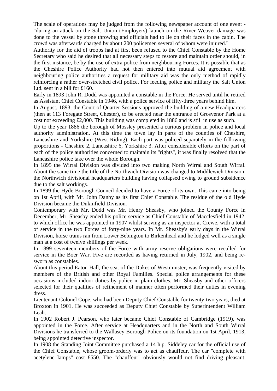The scale of operations may be judged from the following newspaper account of one event - "during an attack on the Salt Union (Employers) launch on the River Weaver damage was done to the vessel by stone throwing and officials had to lie on their faces in the cabin. The crowd was afterwards charged by about 200 policemen several of whom were injured."

Authority for the aid of troops had at first been refused to the Chief Constable by the Home Secretary who said he desired that all necessary steps to restore and maintain order should, in the first instance, be by the use of extra police from neighbouring Forces. It is possible that as the Cheshire Police Authority had not then entered into mutual aid agreement with neighbouring police authorities a request for military aid was the only method of rapidly reinforcing a rather over-stretched civil police. For feeding police and military the Salt Union Ltd. sent in a bill for £160.

Early in 1893 John R. Dodd was appointed a constable in the Force. He served until he retired as Assistant Chief Constable in 1946, with a police service of fifty-three years behind him.

In August, 1893, the Court of Quarter Sessions approved the building of a new Headquarters (then at 113 Foregate Street, Chester), to be erected near the entrance of Grosvenor Park at a cost not exceeding £2,000. This building was completed in 1886 and is still in use as such.

Up to the year 1886 the borough of Mossley presented a curious problem in police and local authority administration. At this time the town lay in parts of the counties of Cheshire, Lancashire and Yorkshire (West Riding). Each part was policed separately in the following proportions - Cheshire 2, Lancashire 6, Yorkshire 3. After considerable efforts on the part of each of the police authorities concerned to maintain its "rights", it was finally resolved that the Lancashire police take over the whole Borough.

In 1895 the Wirral Division was divided into two making North Wirral and South Wirral. About the same time the title of the Northwich Division was changed to Middlewich Division, the Northwich divisional headquarters building having collapsed owing to ground subsidence due to the salt workings.

In 1899 the Hyde Borough Council decided to have a Force of its own. This came into being on 1st April, with Mr. John Danby as its first Chief Constable. The residue of the old Hyde Division became the Dukinfield Division.

Contemporary with Mr. Dodd was Mr. Henry Sheasby, who joined the County Force in December, Mr. Sheasby ended his police service as Chief Constable of Macclesfield in 1942, to which office he was appointed in 1907 whilst serving as an inspector at Crewe, with a total of service in the two Forces of forty-nine years. In Mr. Sheasby's early days in the Wirral Division, horse trams ran from Lower Bebington to Birkenhead and he lodged well as a single man at a cost of twelve shillings per week.

In 1899 seventeen members of the Force with army reserve obligations were recalled for service in the Boer War. Five are recorded as having returned in July, 1902, and being resworn as constables.

About this period Eaton Hall, the seat of the Dukes of Westminster, was frequently visited by members of the British and other Royal Families. Special police arrangements for these occasions included indoor duties by police in plain clothes. Mr. Sheasby and other officers selected for their qualities of refinement of manner often performed their duties in evening dress.

Lieutenant-Colonel Cope, who had been Deputy Chief Constable for twenty-two years, died at Broxton in 1901. He was succeeded as Deputy Chief Constable by Superintendent William Leah.

In 1902 Robert J. Pearson, who later became Chief Constable of Cambridge (1919), was appointed in the Force. After service at Headquarters and in the North and South Wirral Divisions he transferred to the Wallasey Borough Police on its foundation on 1st April, 1913, being appointed detective inspector.

In 1908 the Standing Joint Committee purchased a 14 h.p. Siddeley car for the official use of the Chief Constable, whose groom-orderly was to act as chauffeur. The car "complete with acetylene lamps" cost £550. The "chauffeur" obviously would not find driving pleasant,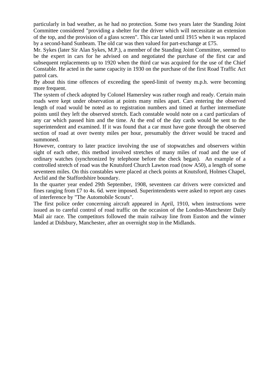particularly in bad weather, as he had no protection. Some two years later the Standing Joint Committee considered "providing a shelter for the driver which will necessitate an extension of the top, and the provision of a glass screen". This car lasted until 1915 when it was replaced by a second-hand Sunbeam. The old car was then valued for part-exchange at £75.

Mr. Sykes (later Sir Alan Sykes, M.P.), a member of the Standing Joint Committee, seemed to be the expert in cars for he advised on and negotiated the purchase of the first car and subsequent replacements up to 1920 when the third car was acquired for the use of the Chief Constable. He acted in the same capacity in 1930 on the purchase of the first Road Traffic Act patrol cars.

By about this time offences of exceeding the speed-limit of twenty m.p.h. were becoming more frequent.

The system of check adopted by Colonel Hamersley was rather rough and ready. Certain main roads were kept under observation at points many miles apart. Cars entering the observed length of road would be noted as to registration numbers and timed at further intermediate points until they left the observed stretch. Each constable would note on a card particulars of any car which passed him and the time. At the end of the day cards would be sent to the superintendent and examined. If it was found that a car must have gone through the observed section of road at over twenty miles per hour, presumably the driver would be traced and summoned.

However, contrary to later practice involving the use of stopwatches and observers within sight of each other, this method involved stretches of many miles of road and the use of ordinary watches (synchronized by telephone before the check began). An example of a controlled stretch of road was the Knutsford Church Lawton road (now A50), a length of some seventeen miles. On this constables were placed at check points at Knutsford, Holmes Chapel, Arclid and the Staffordshire boundary.

In the quarter year ended 29th September, 1908, seventeen car drivers were convicted and fines ranging from £7 to 4s. 6d. were imposed. Superintendents were asked to report any cases of interference by "The Automobile Scouts".

The first police order concerning aircraft appeared in April, 1910, when instructions were issued as to careful control of road traffic on the occasion of the London-Manchester Daily Mail air race. The competitors followed the main railway line from Euston and the winner landed at Didsbury, Manchester, after an overnight stop in the Midlands.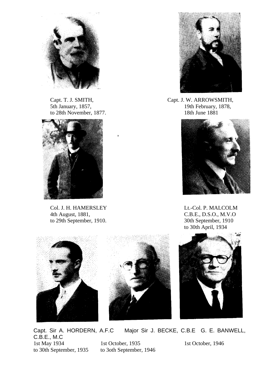

to 28th November, 1877.



Col. J. H. HAMERSLEY Lt.-Col. P. MALCOLM 4th August, 1881, C.B.E., D.S.O., M.V.O to 29th September, 1910. 30th September, 1910



Capt. T. J. SMITH, Capt. J. W. ARROWSMITH, 5th January, 1857,<br>to 28th November, 1877.<br>18th June 1881



to 30th April, 1934



Capt. Sir A. HORDERN, A.F.C Major Sir J. BECKE, C.B.E G. E. BANWELL, C.B.E., M.C 1st May 1934 1st October, 1935 1st October, 1946<br>to 30th September, 1935 to 30th September, 1946 to 3oth September, 1946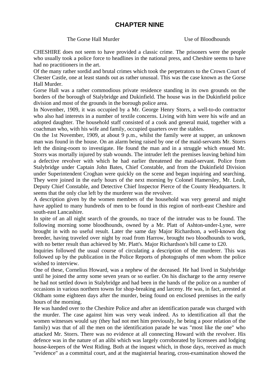# **CHAPTER NINE**

## The Gorse Hall Murder The Gorse Hall Murder Use of Bloodhounds

CHESHIRE does not seem to have provided a classic crime. The prisoners were the people who usually took a police force to headlines in the national press, and Cheshire seems to have had no practitioners in the art.

Of the many rather sordid and brutal crimes which took the perpetrators to the Crown Court of Chester Castle, one at least stands out as rather unusual. This was the case known as the Gorse Hall Murder.

Gorse Hall was a rather commodious private residence standing in its own grounds on the borders of the borough of Stalybridge and Dukinfield. The house was in the Dukinfield police division and most of the grounds in the borough police area.

In November, 1909, it was occupied by a Mr. George Henry Storrs, a well-to-do contractor who also had interests in a number of textile concerns. Living with him were his wife and an adopted daughter. The household staff consisted of a cook and general maid, together with a coachman who, with his wife and family, occupied quarters over the stables.

On the 1st November, 1909, at about 9 p.m., whilst the family were at supper, an unknown man was found in the house. On an alarm being raised by one of the maid-servants Mr. Storrs left the dining-room to investigate. He found the man and in a struggle which ensued Mr. Storrs was mortally injured by stab wounds. The intruder left the premises leaving behind him a defective revolver with which he had earlier threatened the maid-servant. Police from Stalybridge under Captain John Bates, Chief Constable, and from the Dukinfield Division under Superintendent Croghan were quickly on the scene and began inquiring and searching. They were joined in the early hours of the next morning by Colonel Hamersley, Mr. Leah, Deputy Chief Constable, and Detective Chief Inspector Pierce of the County Headquarters. It seems that the only clue left by the murderer was the revolver.

A description given by the women members of the household was very general and might have applied to many hundreds of men to be found in this region of north-east Cheshire and south-east Lancashire.

In spite of an all night search of the grounds, no trace of the intruder was to be found. The following morning some bloodhounds, owned by a Mr. Platt of Ashton-under-Lyne, were brought in with no useful result. Later the same day Major Richardson, a well-known dog breeder, having traveled over night by road from Harrow, brought two bloodhounds to work, with no better result than achieved by Mr. Platt's. Major Richardson's bill came to £20.

Inquiries followed the usual course of circulating a description of the murderer. This was followed up by the publication in the Police Reports of photographs of men whom the police wished to interview.

One of these, Cornelius Howard, was a nephew of the deceased. He had lived in Stalybridge until he joined the army some seven years or so earlier. On his discharge to the army reserve he had not settled down in Stalybridge and had been in the hands of the police on a number of occasions in various northern towns for shop-breaking and larceny. He was, in fact, arrested at Oldham some eighteen days after the murder, being found on enclosed premises in the early hours of the morning.

He was handed over to the Cheshire Police and after an identification parade was charged with the murder. The case against him was very weak indeed. As to identification all that the women witnesses would say (they had not met him previously, he being a poor relation of the family) was that of all the men on the identification parade he was "most like the one" who attacked Mr. Storrs. There was no evidence at all connecting Howard with the revolver. His defence was in the nature of an alibi which was largely corroborated by licensees and lodging house-keepers of the West Riding. Both at the inquest which, in those days, received as much "evidence" as a committal court, and at the magisterial hearing, cross-examination showed the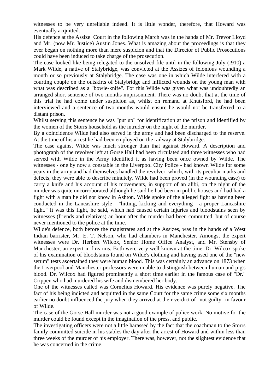witnesses to be very unreliable indeed. It is little wonder, therefore, that Howard was eventually acquitted.

His defence at the Assize Court in the following March was in the hands of Mr. Trevor Lloyd and Mr. (now Mr. Justice) Austin Jones. What is amazing about the proceedings is that they ever began on nothing more than mere suspicion and that the Director of Public Prosecutions could have been induced to take charge of the prosecution.

The case looked like being relegated to the unsolved file until in the following July (I910) a Mark Wilde, a native of Stalybridge, was convicted at the Assizes of felonious wounding a month or so previously at Stalybridge. The case was one in which Wilde interfered with a courting couple on the outskirts of Stalybridge and inflicted wounds on the young man with what was described as a "bowie-knife". For this Wilde was given what was undoubtedly an arranged short sentence of two months imprisonment. There was no doubt that at the time of this trial he had come under suspicion as, whilst on remand at Knutsford, he had been interviewed and a sentence of two months would ensure he would not be transferred to a distant prison.

Whilst serving this sentence he was "put up" for identification at the prison and identified by the women of the Storrs household as the intruder on the night of the murder.

By a coincidence Wilde had also served in the army and had been discharged to the reserve. At the time of his arrest he had been employed on the railway at Stalybridge.

The case against Wilde was much stronger than that against Howard. A description and photograph of the revolver left at Gorse Hall had been circulated and three witnesses who had served with Wilde in the Army identified it as having been once owned by Wilde. The witnesses - one by now a constable in the Liverpool City Police - had known Wilde for some years in the army and had themselves handled the revolver, which, with its peculiar marks and defects, they were able to describe minutely. Wilde had been proved (in the wounding case) to carry a knife and his account of his movements, in support of an alibi, on the night of the murder was quite uncorroborated although he said he had been in public houses and had had a fight with a man he did not know in Ashton. Wilde spoke of the alleged fight as having been conducted in the Lancashire style - "hitting, kicking and everything - a proper Lancashire fight." It was this fight, he said, which had caused certain injuries and bloodstains seen by witnesses (friends and relatives) an hour after the murder had been committed, but of course never mentioned to the police at the time.

Wilde's defence, both before the magistrates and at the Assizes, was in the hands of a West Indian barrister, Mr. E. T. Nelson, who had chambers in Manchester. Amongst the expert witnesses were Dr. Herbert Wilcox, Senior Home Office Analyst, and Mr. Stensby of Manchester, an expert in firearms. Both were very well known at the time. Dr. Wilcox spoke of his examination of bloodstains found on Wilde's clothing and having used one of the "new serum" tests ascertained they were human blood. This was certainly an advance on 1873 when the Liverpool and Manchester professors were unable to distinguish between human and pig's blood. Dr. Wilcox had figured prominently a short time earlier in the famous case of "Dr." Crippen who had murdered his wife and dismembered her body.

One of the witnesses called was Cornelius Howard. His evidence was purely negative. The fact of his being indicted and acquitted in the same Court for the same crime some six months earlier no doubt influenced the jury when they arrived at their verdict of "not guilty" in favour of Wilde.

The case of the Gorse Hall murder was not a good example of police work. No motive for the murder could be found except in the imagination of the press, and public.

The investigating officers were not a little harassed by the fact that the coachman to the Storrs family committed suicide in his stables the day after the arrest of Howard and within less than three weeks of the murder of his employer. There was, however, not the slightest evidence that he was concerned in the crime.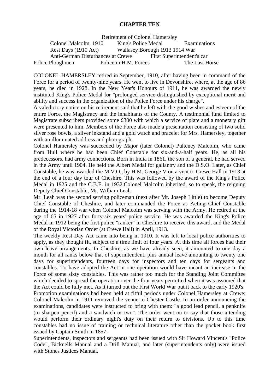### **CHAPTER TEN**

Retirement of Colonel Hamersley

Colonel Malcolm, 1910 King's Police Medal Examinations Rest Days (1910 Act) Wallasey Borough 1913 1914 War Anti-German Disturbances at Crewe First Superintendent's car Police Ploughmen Police in H.M. Forces The Last Horse

COLONEL HAMERSLEY retired in September, 1910, after having been in command of the Force for a period of twenty-nine years. He went to live in Devonshire, where, at the age of 86 years, he died in 1928. In the New Year's Honours of 1911, he was awarded the newly instituted King's Police Medal for "prolonged service distinguished by exceptional merit and ability and success in the organization of the Police Force under his charge".

A valedictory notice on his retirement said that he left with the good wishes and esteem of the entire Force, the Magistracy and the inhabitants of the County. A testimonial fund limited to Magistrate subscribers provided some £300 with which a service of plate and a monetary gift were presented to him. Members of the Force also made a presentation consisting of two solid silver rose bowls, a silver inkstand and a gold watch and bracelet for Mrs. Hamersley, together with an illuminated address and photograph.

Colonel Hamersley was succeeded by Major (later Colonel) Pulteney Malcolm, who came from Hull where he had been Chief Constable for six-and-a-half years. He, as all his predecessors, had army connections. Born in India in 1861, the son of a general, he had served in the Army until 1904. He held the Albert Medal for gallantry and the D.S.O. Later, as Chief Constable, he was awarded the M.V.O., by H.M. George V on a visit to Crewe Hall in 1913 at the end of a four day tour of Cheshire. This was followed by the award of the King's Police Medal in 1925 and the C.B.E. in 1932.Colonel Malcolm inherited, so to speak, the reigning Deputy Chief Constable, Mr. William Leah.

Mr. Leah was the second serving policeman (next after Mr. Joseph Little) to become Deputy Chief Constable of Cheshire, and later commanded the Force as Acting Chief Constable during the 1914-18 war when Colonel Malcolm was serving with the Army. He retired at the age of 65 in 1927 after forty-six years' police service. He was awarded the King's Police Medal in 1912 being the first police "ranker" in Cheshire to receive this award, and the Medal of the Royal Victorian Order (at Crewe Hall) in April, 1913.

The weekly Rest Day Act came into being in 1910. It was left to local police authorities to apply, as they thought fit, subject to a time limit of four years. At this time all forces had their own leave arrangements. In Cheshire, as we have already seen, it amounted to one day a month for all ranks below that of superintendent, plus annual leave amounting to twenty one days for superintendents, fourteen days for inspectors and ten days for sergeants and constables. To have adopted the Act in one operation would have meant an increase in the Force of some sixty constables. This was rather too much for the Standing Joint Committee which decided to spread the operation over the four years permitted when it was assumed that the Act could be fully met. As it turned out the First World War put it back to the early 1920's. Promotion examinations had been held at fitful periods under Colonel Hamersley at Crewe; Colonel Malcolm in 1911 removed the venue to Chester Castle. In an order announcing the examinations, candidates were instructed to bring with them: "a good lead pencil, a penknife (to sharpen pencil) and a sandwich or two". The order went on to say that those attending would perform their ordinary night's duty on their return to divisions. Up to this time constables had no issue of training or technical literature other than the pocket book first issued by Captain Smith in 1857.

Superintendents, inspectors and sergeants had been issued with Sir Howard Vincent's "Police Code", Bicknells Manual and a Drill Manual, and later (superintendents only) were issued with Stones Justices Manual.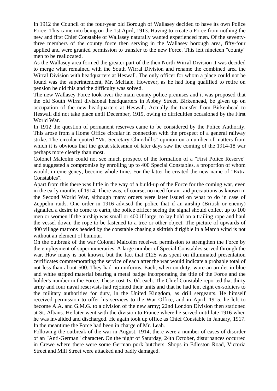In 1912 the Council of the four-year old Borough of Wallasey decided to have its own Police Force. This came into being on the 1st April, 1913. Having to create a Force from nothing the new and first Chief Constable of Wallasey naturally wanted experienced men. Of the seventythree members of the county force then serving in the Wallasey borough area, fifty-four applied and were granted permission to transfer to the new Force. This left nineteen "county" men to be reallocated.

As the Wallasey area formed the greater part of the then North Wirral Division it was decided to merge what remained with the South Wirral Division and rename the combined area the Wirral Division with headquarters at Heswall. The only officer for whom a place could not be found was the superintendent, Mr. McHale. However, as he had long qualified to retire on pension he did this and the difficulty was solved.

The new Wallasey Force took over the main county police premises and it was proposed that the old South Wirral divisional headquarters in Abbey Street, Birkenhead, be given up on occupation of the new headquarters at Heswall. Actually the transfer from Birkenhead to Heswall did not take place until December, 1919, owing to difficulties occasioned by the First World War.

In 1912 the question of permanent reserves came to be considered by the Police Authority. This arose from a Home Office circular in connection with the prospect of a general railway strike. The circular quoted "Mr. Secretary Churchill's" opinion on a number of matters from which it is obvious that the great statesman of later days saw the coming of the 1914-18 war perhaps more clearly than most.

Colonel Malcolm could not see much prospect of the formation of a "First Police Reserve" and suggested a compromise by enrolling up to 400 Special Constables, a proportion of whom would, in emergency, become whole-time. For the latter he created the new name of "Extra Constables".

Apart from this there was little in the way of a build-up of the Force for the coming war, even in the early months of 1914. There was, of course, no need for air raid precautions as known in the Second World War, although many orders were later issued on what to do in case of Zeppelin raids. One order in 1916 advised the police that if an airship (British or enemy) signalled a desire to come to earth, the police officer seeing the signal should collect up to 100 men or women if the airship was small or 400 if large, to lay hold on a trailing rope and haul the vessel down, the rope to be fastened to a tree or other object. The picture of upwards of 400 village matrons headed by the constable chasing a skittish dirigible in a March wind is not without an element of humour.

On the outbreak of the war Colonel Malcolm received permission to strengthen the Force by the employment of supernumeraries. A large number of Special Constables served through the war. How many is not known, but the fact that £125 was spent on illuminated presentation certificates commemorating the service of each after the war would indicate a probable total of not less than about 500. They had no uniforms. Each, when on duty, wore an armlet in blue and white striped material bearing a metal badge incorporating the title of the Force and the holder's number in the Force. These cost 1s. 0d. each. The Chief Constable reported that thirty army and four naval reservists had rejoined their units and that he had lent eight ex-soldiers to the military authorities for duty, in the United Kingdom, as drill sergeants. He himself received permission to offer his services to the War Office, and in April, 1915, he left to become A.A. and G.M.G. to a division of the new army; 22nd London Division then stationed at St. Albans. He later went with the division to France where he served until late 1916 when he was invalided and discharged. He again took up office as Chief Constable in January, 1917. In the meantime the Force had been in charge of Mr. Leah.

Following the outbreak of the war in August, 1914, there were a number of cases of disorder of an "Anti-German" character. On the night of Saturday, 24th October, disturbances occurred in Crewe where there were some German pork butchers. Shops in Edleston Road, Victoria Street and Mill Street were attacked and badly damaged.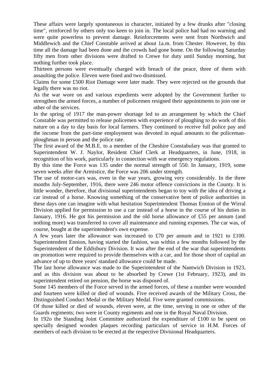These affairs were largely spontaneous in character, initiated by a few drunks after "closing time", reinforced by others only too keen to join in. The local police had had no warning and were quite powerless to prevent damage. Reinforcements were sent from Northwich and Middlewich and the Chief Constable arrived at about 1a.m. from Chester. However, by this time all the damage had been done and the crowds had gone home. On the following Saturday fifty men from other divisions were drafted to Crewe for duty until Sunday morning, but nothing further took place.

Thirteen persons were eventually charged with breach of the peace, three of them with assaulting the police. Eleven were fined and two dismissed.

Claims for some £500 Riot Damage were later made. They were rejected on the grounds that legally there was no riot.

As the war wore on and various expedients were adopted by the Government further to strengthen the armed forces, a number of policemen resigned their appointments to join one or other of the services.

In the spring of 1917 the man-power shortage led to an arrangement by which the Chief Constable was permitted to release policemen with experience of ploughing to do work of this nature on a day to day basis for local farmers. They continued to receive full police pay and the income from the part-time employment was devoted in equal amounts to the policemanploughman in person and the police rate.

The first award of the M.B.E. to a member of the Cheshire Constabulary was that granted to Superintendent W. J. Naylor, Resident Chief Clerk at Headquarters, in June, 1918, in recognition of his work, particularly in connection with war emergency regulations.

By this time the Force was 135 under the normal strength of 550. In January, 1919, some seven weeks after the Armistice, the Force was 206 under strength.

The use of motor-cars was, even in the war years, growing very considerably. In the three months July-September, 1916, there were 246 motor offence convictions in the County. It is little wonder, therefore, that divisional superintendents began to toy with the idea of driving a car instead of a horse. Knowing something of the conservative bent of police authorities in these days one can imagine with what hesitation Superintendent Thomas Ennion of the Wirral Division applied for permission to use a car instead of a horse in the course of his duties in January, 1916. He got his permission and the old horse allowance of £55 per annum (and nothing more) was transferred to cover all maintenance and running expenses. The car was, of course, bought at the superintendent's own expense.

A few years later the allowance was increased to £70 per annum and in 1921 to £100. Superintendent Ennion, having started the fashion, was within a few months followed by the Superintendent of the Eddisbury Division. It was after the end of the war that superintendents on promotion were required to provide themselves with a car, and for those short of capital an advance of up to three years' standard allowance could be made.

The last horse allowance was made to the Superintendent of the Nantwich Division in 1923, and as this division was about to be absorbed by Crewe (1st February, 1923), and its superintendent retired on pension, the horse was disposed of.

Some 145 members of the Force served in the armed forces, of these a number were wounded and fourteen were killed or died of wounds. Five received awards of the Military Cross, the Distinguished Conduct Medal or the Military Medal. Five were granted commissions.

Of those killed or died of wounds, eleven were, at the time, serving in one or other of the Guards regiments; two were in County regiments and one in the Royal Naval Division.

In 1920 the Standing Joint Committee authorized the expenditure of £100 to be spent on specially designed wooden plaques recording particulars of service in H.M. Forces of members of each division to be erected at the respective Divisional Headquarters.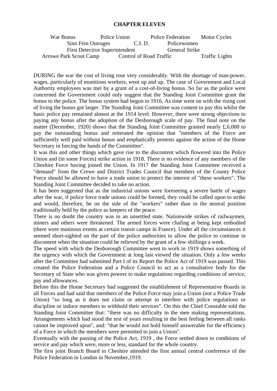#### **CHAPTER ELEVEN**

| War Bonus                     | Police Union                          | <b>Police Federation</b> | <b>Motor Cycles</b>   |
|-------------------------------|---------------------------------------|--------------------------|-----------------------|
| Sinn Fein Outrages            | C.I. D.                               | Policewomen              |                       |
|                               | <b>First Detective Superintendent</b> | <b>General Strike</b>    |                       |
| <b>Arrowe Park Scout Camp</b> |                                       | Control of Road Traffic  | <b>Traffic Lights</b> |

DURING the war the cost of living rose very considerably. With the shortage of man-power, wages, particularly of munitions workers, went up and up. The case of Government and Local Authority employees was met by a grant of a cost-of-living bonus. So far as the police were concerned the Government could only suggest that the Standing Joint Committee grant the bonus to the police. The bonus system had begun in 1916. As time went on with the rising cost of living the bonus got larger. The Standing Joint Committee was content to pay this whilst the basic police pay remained almost at the 1914 level. However, there were strong objections to paying any bonus after the adoption of the Desborough scale of pay. The final note on the matter (December, 1920) shows that the Standing Joint Committee granted nearly £,6,000 to pay the outstanding bonus and reiterated the opinion that "members of the Force are sufficiently well paid without bonus and emphatically protests against the action of the Home Secretary in forcing the hands of the Committee".

It was this and other things which gave rise to the discontent which flowered into the Police Union and (in some Forces) strike action in 1918. There is no evidence of any members of the Cheshire Force having joined the Union. In 1917 the Standing Joint Committee received a "demand" from the Crewe and District Trades Council that members of the County Police Force should be allowed to have a trade union to protect the interest of "these workers". The Standing Joint Committee decided to take no action.

It has been suggested that as the industrial unions were foreseeing a severe battle of wages after the war, if police force trade unions could be formed, they could be called upon to strike and would, therefore, be on the side of the "workers" rather than in the neutral position traditionally held by the police as keepers of the peace.

There is no doubt the country was in an unsettled state. Nationwide strikes of railwaymen, miners and others were threatened. The armed forces were chafing at being kept embodied (there were mutinous events at certain transit camps in France). Under all the circumstances it seemed short-sighted on the part of the police authorities to allow the police to continue in discontent when the situation could be relieved by the grant of a few shillings a week.

The speed with which the Desborough Committee went to work in 1919 shows something of the urgency with which the Government at long last viewed the situation. Only a few weeks after the Committee had submitted Part I of its Report the Police Act of 1919 was passed. This created the Police Federation and a Police Council to act as a consultative body for the Secretary of State who was given powers to make regulations regarding conditions of service, pay and allowances.

Before this the Home Secretary had suggested the establishment of Representative Boards in all Forces and had said that members of the Police Force may join a Union (not a Police Trade Union) "so long as it does not claim or attempt to interfere with police regulations or discipline or induce members to withhold their services". On this the Chief Constable told the Standing Joint Committee that: "there was no difficulty in the men making representations. Arrangements which had stood the test of years resulting in the best feeling between all ranks cannot be improved upon", and: "that he would not hold himself answerable for the efficiency of a Force in which the members were permitted to join a Union".

Eventually with the passing of the Police Act, 1919 , the Force settled down to conditions of service and pay which were, more or less, standard for the whole country.

The first joint Branch Board in Cheshire attended the first annual central conference of the Police Federation in London in November,1919.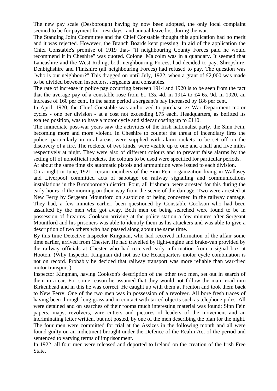The new pay scale (Desborough) having by now been adopted, the only local complaint seemed to be for payment for "rest days" and annual leave lost during the war.

The Standing Joint Committee and the Chief Constable thought this application had no merit and it was rejected. However, the Branch Boards kept pressing. In aid of the application the Chief Constable's promise of 1919 that- "if neighbouring County Forces paid he would recommend it in Cheshire" was quoted. Colonel Malcolm was in a quandary. It seemed that Lancashire and the West Riding, both neighbouring Forces, had decided to pay. Shropshire, Denbighshire and Flintshire (all neighbouring Forces) had refused to pay. The question was "who is our neighbour?" This dragged on until July, 1922, when a grant of £2,000 was made to be divided between inspectors, sergeants and constables.

The rate of increase in police pay occurring between 1914 and 1920 is to be seen from the fact that the average pay of a constable rose from £1 13s. 4d. in 1914 to £4 [6s. 9d. in](http://6s.9d.in/) 1920, an increase of 160 per cent. In the same period a sergeant's pay increased by 186 per cent.

In April, 1920, the Chief Constable was authorized to purchase ex-War Department motor cycles - one per division - at a cost not exceeding £75 each. Headquarters, as befitted its exalted position, was to have a motor cycle and sidecar costing up to £110.

The immediate post-war years saw the activities of the Irish nationalist party, the Sinn Fein, becoming more and more violent. In Cheshire to counter the threat of incendiary fires the police, particularly in rural areas, were supplied with alarm rockets to be set off on the discovery of a fire. The rockets, of two kinds, were visible up to one and a half and five miles respectively at night. They were also of different colours and to prevent false alarms by the setting off of nonofficial rockets, the colours to be used were specified for particular periods.

At about the same time six automatic pistols and ammunition were issued to each division.

On a night in June, 1921, certain members of the Sinn Fein organization living in Wallasey and Liverpool committed acts of sabotage on railway signalling and communications installations in the Bromborough district. Four, all Irishmen, were arrested for this during the early hours of the morning on their way from the scene of the damage. Two were arrested at New Ferry by Sergeant Mountford on suspicion of being concerned in the railway damage. They had, a few minutes earlier, been questioned by Constable Cookson who had been assaulted by the men who got away. Both men on being searched were found to be in possession of firearms. Cookson arriving at the police station a few minutes after Sergeant Mountford and his prisoners was able to identify them as his attackers and was able to give a description of two others who had passed along about the same time.

By this time Detective Inspector Kingman, who had received information of the affair some time earlier, arrived from Chester. He had travelled by light-engine and brake-van provided by the railway officials at Chester who had received early information from a signal box at Hooton. (Why Inspector Kingman did not use the Headquarters motor cycle combination is not on record. Probably he decided that railway transport was more reliable than war-tired motor transport.)

Inspector Kingman, having Cookson's description of the other two men, set out in search of them in a car. For some reason he assumed that they would not follow the main road into Birkenhead and in this he was correct. He caught up with them at Prenton and took them back to New Ferry. One of the two men was in possession of a revolver. All bore fresh traces of having been through long grass and in contact with tarred objects such as telephone poles. All were detained and on searches of their rooms much interesting material was found; Sinn Fein papers, maps, revolvers, wire cutters and pictures of leaders of the movement and an incriminating letter written, but not posted, by one of the men describing the plan for the night. The four men were committed for trial at the Assizes in the following month and all were found guilty on an indictment brought under the Defence of the Realm Act of the period and sentenced to varying terms of imprisonment.

In 1922, all four men were released and deported to Ireland on the creation of the Irish Free State.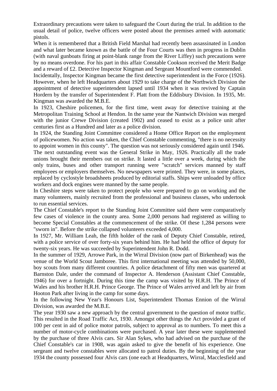Extraordinary precautions were taken to safeguard the Court during the trial. In addition to the usual detail of police, twelve officers were posted about the premises armed with automatic pistols.

When it is remembered that a British Field Marshal had recently been assassinated in London and what later became known as the battle of the Four Courts was then in progress in Dublin (with naval gunboats firing at point-blank range from the River Liffey) such precautions were by no means overdone. For his part in this affair Constable Cookson received the Merit Badge and a reward of £2. Detective Inspector Kingman and Sergeant Mountford were commended.

Incidentally, Inspector Kingman became the first detective superintendent in the Force (1926). However, when he left Headquarters about 1929 to take charge of the Northwich Division the appointment of detective superintendent lapsed until 1934 when it was revived by Captain Hordern by the transfer of Superintendent F. Platt from the Eddisbury Division. In 1935, Mr. Kingman was awarded the M.B.E.

In 1923, Cheshire policemen, for the first time, went away for detective training at the Metropolitan Training School at Hendon. In the same year the Nantwich Division was merged with the junior Crewe Division (created 1902) and ceased to exist as a police unit after centuries first as a Hundred and later as a police division.

In 1924, the Standing Joint Committee considered a Home Office Report on the employment of policewomen. No action was taken, the Chief Constable commenting, "there is no necessity to appoint women in this county". The question was not seriously considered again until 1946. The next outstanding event was the General Strike in May, 1926. Practically all the trade unions brought their members out on strike. It lasted a little over a week, during which the only trains, buses and other transport running were "scratch" services manned by staff employees or employers themselves. No newspapers were printed. They were, in some places, replaced by cyclostyle broadsheets produced by editorial staffs. Ships were unloaded by office workers and dock engines were manned by the same people.

In Cheshire steps were taken to protect people who were prepared to go on working and the many volunteers, mainly recruited from the professional and business classes, who undertook to run essential services.

The Chief Constable's report to the Standing Joint Committee said there were comparatively few cases of violence in the county area. Some 2,000 persons had registered as willing to become Special Constables at the commencement of the strike. Of these 1,284 persons were "sworn in". Before the strike collapsed volunteers exceeded 4,000.

In 1927, Mr. William Leah, the fifth holder of the rank of Deputy Chief Constable, retired, with a police service of over forty-six years behind him. He had held the office of deputy for twenty-six years. He was succeeded by Superintendent John R. Dodd.

In the summer of 1929, Arrowe Park, in the Wirral Division (now part of Birkenhead) was the venue of the World Scout Jamboree. This first international meeting was attended by 50,000, boy scouts from many different countries. A police detachment of fifty men was quartered at Barnston Dale, under the command of Inspector A. Henderson (Assistant Chief Constable, 1946) for over a fortnight. During this time the camp was visited by H.R.H. The Prince of Wales and his brother H.R.H. Prince George. The Prince of Wales arrived and left by air from Hooton Park after living in the camp for some days.

In the following New Year's Honours List, Superintendent Thomas Ennion of the Wirral Division, was awarded the M.B.E.

The year 1930 saw a new approach by the central government to the question of motor traffic. This resulted in the Road Traffic Act, 1930. Amongst other things the Act provided a grant of 100 per cent in aid of police motor patrols, subject to approval as to numbers. To meet this a number of motor-cycle combinations were purchased. A year later these were supplemented by the purchase of three Alvis cars. Sir Alan Sykes, who had advised on the purchase of the Chief Constable's car in 1908, was again asked to give the benefit of his experience. One sergeant and twelve constables were allocated to patrol duties. By the beginning of the year 1934 the county possessed four Alvis cars (one each at Headquarters, Wirral, Macclesfield and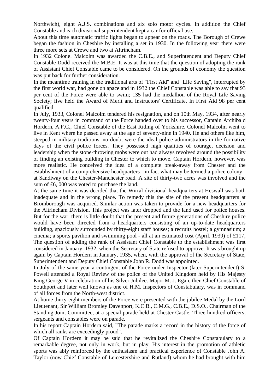Northwich), eight A.J.S. combinations and six solo motor cycles. In addition the Chief Constable and each divisional superintendent kept a car for official use.

About this time automatic traffic lights began to appear on the roads. The Borough of Crewe began the fashion in Cheshire by installing a set in 1930. In the following year there were three more sets at Crewe and two at Altrincham.

In 1932 Colonel Malcolm was awarded the C.B.E., and Superintendent and Deputy Chief Constable Dodd received the M.B.E. It was at this time that the question of adopting the rank of Assistant Chief Constable came to be considered. On the grounds of economy the question was put back for further consideration.

In the meantime training in the traditional arts of "First Aid" and "Life Saving", interrupted by the first world war, had gone on apace and in 1932 the Chief Constable was able to say that 93 per cent of the Force were able to swim; 135 had the medallion of the Royal Life Saving Society; five held the Award of Merit and Instructors' Certificate. In First Aid 98 per cent qualified.

In July, 1933, Colonel Malcolm tendered his resignation, and on 10th May, 1934, after nearly twenty-four years in command of the Force handed over to his successor, Captain Archibald Hordern, A.F.C., Chief Constable of the East Riding of Yorkshire. Colonel Malcolm went to live in Kent where he passed away at the age of seventy-nine in 1940. He and others like him, steeped in military traditions, no doubt were the ideal police administrators in the formative days of the civil police forces. They possessed high qualities of courage, decision and leadership when the stone-throwing mobs were out had always revolved around the possibility of finding an existing building in Chester to which to move. Captain Hordern, however, was more realistic. He conceived the idea of a complete break-away from Chester and the establishment of a comprehensive headquarters - in fact what may be termed a police colony at Sandiway on the Chester-Manchester road. A site of thirty-two acres was involved and the sum of £6, 000 was voted to purchase the land.

At the same time it was decided that the Wirral divisional headquarters at Heswall was both inadequate and in the wrong place. To remedy this the site of the present headquarters at Bromborough was acquired. Similar action was taken to provide for a new headquarters for the Altrincham Division. This project was later dropped and the land used for police houses. But for the war, there is little doubt that the present and future generations of Cheshire police would have been directed from a headquarters consisting of an up-to-date headquarters building, spaciously surrounded by thirty-eight staff houses; a recruits hostel; a gymnasium; a cinema; a sports pavilion and swimming pool - all at an estimated cost (April, 1939) of £117, The question of adding the rank of Assistant Chief Constable to the establishment was first considered in January, 1932, when the Secretary of State refused to approve. It was brought up again by Captain Hordern in January, 1935, when, with the approval of the Secretary of State, Superintendent and Deputy Chief Constable John R. Dodd was appointed.

In July of the same year a contingent of the Force under Inspector (later Superintendent) S. Powell attended a Royal Review of the police of the United Kingdom held by His Majesty King George V in celebration of his Silver Jubilee. Major M. J. Egan, then Chief Constable of Southport and later well known as one of H.M. Inspectors of Constabulary, was in command of all forces from the North-west district.

At home thirty-eight members of the Force were presented with the jubilee Medal by the Lord Lieutenant, Sir William Bromley Davenport, K.C.B., C.M.G., C.B.E., D.S.O., Chairman of the Standing Joint Committee, at a special parade held at Chester Castle. Three hundred officers, sergeants and constables were on parade.

In his report Captain Hordern said, "The parade marks a record in the history of the force of which all ranks are exceedingly proud".

Of Captain Hordern it may be said that he revitalized the Cheshire Constabulary to a remarkable degree, not only in work, but in play. His interest in the promotion of athletic sports was ably reinforced by the enthusiasm and practical experience of Constable John A. Taylor (now Chief Constable of Leicestershire and Rutland) whom he had brought with him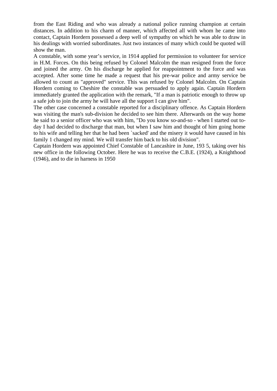from the East Riding and who was already a national police running champion at certain distances. In addition to his charm of manner, which affected all with whom he came into contact, Captain Hordern possessed a deep well of sympathy on which he was able to draw in his dealings with worried subordinates. Just two instances of many which could be quoted will show the man.

A constable, with some year's service, in 1914 applied for permission to volunteer for service in H.M. Forces. On this being refused by Colonel Malcolm the man resigned from the force and joined the army. On his discharge he applied for reappointment to the force and was accepted. After some time he made a request that his pre-war police and army service be allowed to count as "approved" service. This was refused by Colonel Malcolm. On Captain Hordern coming to Cheshire the constable was persuaded to apply again. Captain Hordern immediately granted the application with the remark, "If a man is patriotic enough to throw up a safe job to join the army he will have all the support I can give him".

The other case concerned a constable reported for a disciplinary offence. As Captain Hordern was visiting the man's sub-division he decided to see him there. Afterwards on the way home he said to a senior officer who was with him, "Do you know so-and-so - when I started out today I had decided to discharge that man, but when I saw him and thought of him going home to his wife and telling her that he had been `sacked' and the misery it would have caused in his family 1 changed my mind. We will transfer him back to his old division".

Captain Hordern was appointed Chief Constable of Lancashire in June, 193 5, taking over his new office in the following October. Here he was to receive the C.B.E. (1924), a Knighthood (1946), and to die in harness in 1950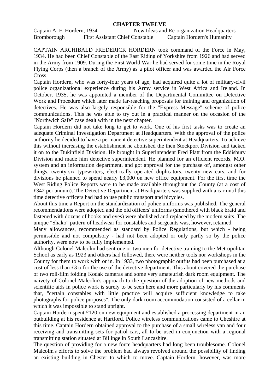## **CHAPTER TWELVE**

Captain A. F. Hordern, 1934 New Ideas and Re-organization Headquarters Bromborough First Assistant Chief Constable Captain Hordern's Humanity

CAPTAIN ARCHIBALD FREDERICK HORDERN took command of the Force in May, 1934. He had been Chief Constable of the East Riding of Yorkshire from 1926 and had served in the Army from 1909. During the First World War he had served for some time in the Royal Flying Corps (then a branch of the Army) as a pilot officer and was awarded the Air Force Cross.

Captain Hordern, who was forty-four years of age, had acquired quite a lot of military-civil police organizational experience during his Army service in West Africa and Ireland. In October, 1935, he was appointed a member of the Departmental Committee on Detective Work and Procedure which later made far-reaching proposals for training and organization of detectives. He was also largely responsible for the "Express Message" scheme of police communications. This he was able to try out in a practical manner on the occasion of the "Northwich Safe" case dealt with in the next chapter.

Captain Hordern did not take long to get to work. One of his first tasks was to create an adequate Criminal Investigation Department at Headquarters. With the approval of the police authority he decided to have a permanent detective superintendent at Headquarters. To achieve this without increasing the establishment he abolished the then Stockport Division and tacked it on to the Dukinfield Division. He brought in Superintendent Fred Platt from the Eddisbury Division and made him detective superintendent. He planned for an efficient records, M.O. system and an information department, and got approval for the purchase of', amongst other things, twenty-six typewriters, electrically operated duplicators, twenty new cars, and for divisions he planned to spend nearly £3,000 on new office equipment. For the first time the West Riding Police Reports were to be made available throughout the County (at a cost of £342 per annum). The Detective Department at Headquarters was supplied with a car until this time detective officers had had to use public transport and bicycles.

About this time a Report on the standardization of police uniforms was published. The general recommendations were adopted and the old officers' uniforms (smothered with black braid and fastened with dozens of hooks and eyes) were abolished and replaced by the modern suits. The unique "Shako" pattern of headwear for constables and sergeants was, however, retained.

Many allowances, recommended as standard by Police Regulations, but which - being permissible and not compulsory - had not been adopted or only partly so by the police authority, were now to be fully implemented.

Although Colonel Malcolm had sent one or two men for detective training to the Metropolitan School as early as 1923 and others had followed, there were neither tools nor workshops in the County for them to work with or in. In 1933, two photographic outfits had been purchased at a cost of less than £3 o for the use of the detective department. This about covered the purchase of two roll-film folding Kodak cameras and some very amateurish dark room equipment. The naivety of Colonel Malcolm's approach to the question of the adoption of new methods and scientific aids in police work is surely to be seen here and more particularly by his comments that, "certain constables with little practice will acquire sufficient knowledge to take photographs for police purposes". The only dark room accommodation consisted of a cellar in which it was impossible to stand upright.

Captain Hordern spent £120 on new equipment and established a processing department in an outbuilding at his residence at Hartford. Police wireless communications came to Cheshire at this time. Captain Hordern obtained approval to the purchase of a small wireless van and four receiving and transmitting sets for patrol cars, all to be used in conjunction with a regional transmitting station situated at Billinge in South Lancashire.

The question of providing for a new force headquarters had long been troublesome. Colonel Malcolm's efforts to solve the problem had always revolved around the possibility of finding an existing building in Chester to which to move. Captain Hordern, however, was more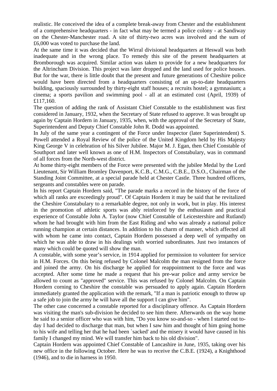realistic. He conceived the idea of a complete break-away from Chester and the establishment of a comprehensive headquarters - in fact what may be termed a police colony - at Sandiway on the Chester-Manchester road. A site of thirty-two acres was involved and the sum of £6,000 was voted to purchase the land.

At the same time it was decided that the Wirral divisional headquarters at Heswall was both inadequate and in the wrong place. To remedy this site of the present headquarters at Bromborough was acquired. Similar action was taken to provide for a new headquarters for the Altrincham Division. This project was later dropped and the land used for police houses. But for the war, there is little doubt that the present and future generations of Cheshire police would have been directed from a headquarters consisting of an up-to-date headquarters building, spaciously surrounded by thirty-eight staff houses; a recruits hostel; a gymnasium; a cinema; a sports pavilion and swimming pool - all at an estimated cost (April, 1939) of £117,160.

The question of adding the rank of Assistant Chief Constable to the establishment was first considered in January, 1932, when the Secretary of State refused to approve. It was brought up again by Captain Hordern in January, 1935, when, with the approval of the Secretary of State, Superintendent and Deputy Chief Constable John R. Dodd was appointed.

In July of the same year a contingent of the Force under Inspector (later Superintendent) S. Powell attended a Royal Review of the police of the United Kingdom held by His Majesty King George V in celebration of his Silver Jubilee. Major M. J. Egan, then Chief Constable of Southport and later well known as one of H.M. Inspectors of Constabulary, was in command of all forces from the North-west district.

At home thirty-eight members of the Force were presented with the jubilee Medal by the Lord Lieutenant, Sir William Bromley Davenport, K.C.B., C.M.G., C.B.E., D.S.O., Chairman of the Standing Joint Committee, at a special parade held at Chester Castle. Three hundred officers, sergeants and constables were on parade.

In his report Captain Hordern said, "The parade marks a record in the history of the force of which all ranks are exceedingly proud". Of Captain Hordern it may be said that he revitalized the Cheshire Constabulary to a remarkable degree, not only in work, but in play. His interest in the promotion of athletic sports was ably reinforced by the enthusiasm and practical experience of Constable John A. Taylor (now Chief Constable of Leicestershire and Rutland) whom he had brought with him from the East Riding and who was already a national police running champion at certain distances. In addition to his charm of manner, which affected all with whom he came into contact, Captain Hordern possessed a deep well of sympathy on which he was able to draw in his dealings with worried subordinates. Just two instances of many which could be quoted will show the man.

A constable, with some year's service, in 1914 applied for permission to volunteer for service in H.M. Forces. On this being refused by Colonel Malcolm the man resigned from the force and joined the army. On his discharge he applied for reappointment to the force and was accepted. After some time he made a request that his pre-war police and army service be allowed to count as "approved" service. This was refused by Colonel Malcolm. On Captain Hordern corning to Cheshire the constable was persuaded to apply again. Captain Hordern immediately granted the application with the remark, "If a man is patriotic enough to throw up a safe job to join the army he will have all the support I can give him".

The other case concerned a constable reported for a disciplinary offence. As Captain Hordern was visiting the man's sub-division he decided to see him there. Afterwards on the way home he said to a senior officer who was with him, "Do you know so-and-so - when I started out today I had decided to discharge that man, but when I saw him and thought of him going home to his wife and telling her that he had been `sacked' and the misery it would have caused in his family I changed my mind. We will transfer him back to his old division".

Captain Hordern was appointed Chief Constable of Lancashire in June, 1935, taking over his new office in the following October. Here he was to receive the C.B.E. (1924), a Knighthood (1946), and to die in harness in 1950.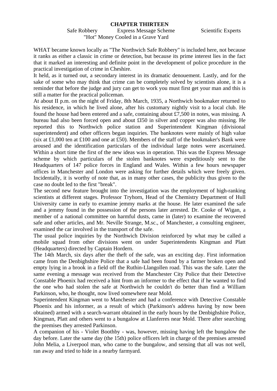#### **CHAPTER THIRTEEN**

Safe Robbery Express Message Scheme Scientific Experts "Hot" Money Cooled in a Grave Yard

WHAT became known locally as "The Northwich Safe Robbery" is included here, not because it ranks as either a classic in crime or detection, but because its prime interest lies in the fact that it marked an interesting and definite point in the development of police procedure in the practical investigation of crime in Cheshire.

It held, as it turned out, a secondary interest in its dramatic denouement. Lastly, and for the sake of some who may think that crime can be completely solved by scientists alone, it is a reminder that before the judge and jury can get to work you must first get your man and this is still a matter for the practical policeman.

At about II p.m. on the night of Friday, 8th March, 1935, a Northwich bookmaker returned to his residence, in which he lived alone, after his customary nightly visit to a local club. He found the house had been entered and a safe, containing about £7,500 in notes, was missing. A bureau had also been forced open and about £I50 in silver and copper was also missing. He reported this to Northwich police station and Superintendent Kingman (divisional superintendent) and other officers began inquiries. The banknotes were mainly of high value (six at £1,000 ten at £100 and one at £50). Members of the staff of the bookmaker's Bank were aroused and the identification particulars of the individual large notes were ascertained. Within a short time the first of the new ideas was in operation. This was the Express Message scheme by which particulars of the stolen banknotes were expeditiously sent to the Headquarters of 147 police forces in England and Wales. Within a few hours newspaper offices in Manchester and London were asking for further details which were freely given. Incidentally, it is worthy of note that, as in many other cases, the publicity thus given to the case no doubt led to the first "break".

The second new feature brought into the investigation was the employment of high-ranking scientists at different stages. Professor Tryhorn, Head of the Chemistry Department of Hull University came in early to examine jemmy marks at the house. He later examined the safe and a jemmy found in the possession of the persons later arrested. Dr. Cooke of Wigan, a member of a national committee on harmful dusts, came in (later) to examine the recovered safe and other articles, and Mr. Neville Strange, M.sc., of Manchester, a consulting engineer, examined the car involved in the transport of the safe.

The usual police inquiries by the Northwich Division reinforced by what may be called a mobile squad from other divisions went on under Superintendents Kingman and Platt (Headquarters) directed by Captain Hordern.

The 14th March, six days after the theft of the safe, was an exciting day. First information came from the Denbighshire Police that a safe had been found by a farmer broken open and empty lying in a brook in a field off the Ruthin-Llangollen road. This was the safe. Later the same evening a message was received from the Manchester City Police that their Detective Constable Phoenix had received a hint from an informer to the effect that if he wanted to find the one who had stolen the safe at Northwich he couldn't do better than find a William Parkinson, who, he thought, now lived somewhere near Mold.

Superintendent Kingman went to Manchester and had a conference with Detective Constable Phoenix and his informer, as a result of which (Parkinson's address having by now been obtained) armed with a search-warrant obtained in the early hours by the Denbighshire Police, Kingman, Platt and others went to a bungalow at Llanferres near Mold. There after searching the premises they arrested Parkinson.

A companion of his - Violet Boothby - was, however, missing having left the bungalow the day before. Later the same day (the 15th) police officers left in charge of the premises arrested John Melia, a Liverpool man, who came to the bungalow, and sensing that all was not well, ran away and tried to hide in a nearby farmyard.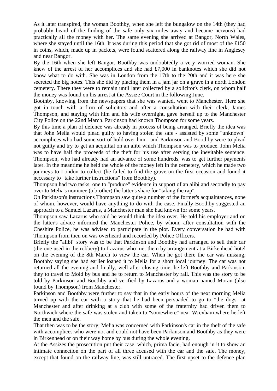As it later transpired, the woman Boothby, when she left the bungalow on the 14th (they had probably heard of the finding of the safe only six miles away and became nervous) had practically all the money with her. The same evening she arrived at Bangor, North Wales, where she stayed until the 16th. It was during this period that she got rid of most of the £150 in coins, which, made up in packets, were found scattered along the railway line in Anglesey and near Bangor.

By the 16th when she left Bangor, Boothby was undoubtedly a very worried woman. She knew of the arrest of her accomplices and she had £7,000 in banknotes which she did not know what to do with. She was in London from the 17th to the 20th and it was here she secreted the big notes. This she did by placing them in a jam jar on a grave in a north London cemetery. There they were to remain until later collected by a solicitor's clerk, on whom half the money was found on his arrest at the Assize Court in the following June.

Boothby, knowing from the newspapers that she was wanted, went to Manchester. Here she got in touch with a firm of solicitors and after a consultation with their clerk, James Thompson, and staying with him and his wife overnight, gave herself up to the Manchester City Police on the 22nd March. Parkinson had known Thompson for some years.

By this time a plan of defence was already in process of being arranged. Briefly the idea was that John Melia would plead guilty to having stolen the safe - assisted by some "unknown" accomplices who had some sort of hold over him - and Parkinson and Boothby were to plead not guilty and try to get an acquittal on an alibi which Thompson was to produce. John Melia was to have half the proceeds of the theft for his use after serving the inevitable sentence. Thompson, who had already had an advance of some hundreds, was to get further payments later. In the meantime he held the whole of the money left in the cemetery, which he made two journeys to London to collect (he failed to find the grave on the first occasion and found it necessary to "take further instructions" from Boothby).

Thompson had two tasks: one to "produce" evidence in support of an alibi and secondly to pay over to Melia's nominee (a brother) the latter's share for "taking the rap".

On Parkinson's instructions Thompson saw quite a number of the former's acquaintances, none of whom, however, would have anything to do with the case. Finally Boothby suggested an approach to a Samuel Lazarus, a Manchester man she had known for some years.

Thompson saw Lazarus who said he would think the idea over. He told his employer and on the latter's advice informed the Manchester Police, by whom, after consultation with the Cheshire Police, he was advised to participate in the plot. Every conversation he had with Thompson from then on was overheard and recorded by Police Officers.

Briefly the "alibi" story was to be that Parkinson and Boothby had arranged to sell their car (the one used in the robbery) to Lazarus who met them by arrangement at a Birkenhead hotel on the evening of the 8th March to view the car. When he got there the car was missing, Boothby saying she had earlier loaned it to Melia for a short local journey. The car was not returned all the evening and finally, well after closing time, he left Boothby and Parkinson, they to travel to Mold by bus and he to return to Manchester by rail. This was the story to be told by Parkinson and Boothby and verified by Lazarus and a woman named Moran (also found by Thompson) from Manchester.

Parkinson and Boothby were further to say that in the early hours of the next morning Melia turned up with the car with a story that he had been persuaded to go to "the dogs" at Manchester and after drinking at a club with some of the fraternity had driven them to Northwich where the safe was stolen and taken to "somewhere" near Wrexham where he left the men and the safe.

That then was to be the story; Melia was concerned with Parkinson's car in the theft of the safe with accomplices who were not and could not have been Parkinson and Boothby as they were in Birkenhead or on their way home by bus during the whole evening.

At the Assizes the prosecution put their case, which, prima facie, had enough in it to show an intimate connection on the part of all three accused with the car and the safe. The money, except that found on the railway line, was still untraced. The first upset to the defence plan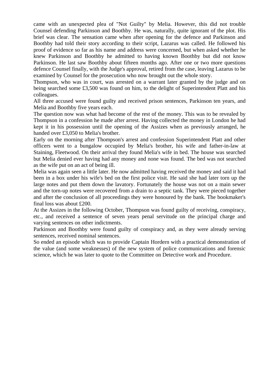came with an unexpected plea of "Not Guilty" by Melia. However, this did not trouble Counsel defending Parkinson and Boothby. He was, naturally, quite ignorant of the plot. His brief was clear. The sensation came when after opening for the defence and Parkinson and Boothby had told their story according to their script, Lazarus was called. He followed his proof of evidence so far as his name and address were concerned, but when asked whether he knew Parkinson and Boothby he admitted to having known Boothby but did not know Parkinson. He last saw Boothby about fifteen months ago. After one or two more questions defence Counsel finally, with the Judge's approval, retired from the case, leaving Lazarus to be examined by Counsel for the prosecution who now brought out the whole story.

Thompson, who was in court, was arrested on a warrant later granted by the judge and on being searched some £3,500 was found on him, to the delight of Superintendent Platt and his colleagues.

All three accused were found guilty and received prison sentences, Parkinson ten years, and Melia and Boothby five years each.

The question now was what had become of the rest of the money. This was to be revealed by Thompson in a confession he made after arrest. Having collected the money in London he had kept it in his possession until the opening of the Assizes when as previously arranged, he handed over £3,050 to Melia's brother.

Early on the morning after Thompson's arrest and confession Superintendent Platt and other officers went to a bungalow occupied by Melia's brother, his wife and father-in-law at Staining, Fleetwood. On their arrival they found Melia's wife in bed. The house was searched but Melia denied ever having had any money and none was found. The bed was not searched as the wife put on an act of being ill.

Melia was again seen a little later. He now admitted having received the money and said it had been in a box under his wife's bed on the first police visit. He said she had later torn up the large notes and put them down the lavatory. Fortunately the house was not on a main sewer and the torn-up notes were recovered from a drain to a septic tank. They were pieced together and after the conclusion of all proceedings they were honoured by the bank. The bookmaker's final loss was about £200.

At the Assizes in the following October, Thompson was found guilty of receiving, conspiracy, etc., and received a sentence of seven years penal servitude on the principal charge and varying sentences on other indictments.

Parkinson and Boothby were found guilty of conspiracy and, as they were already serving sentences, received nominal sentences.

So ended an episode which was to provide Captain Hordern with a practical demonstration of the value (and some weaknesses) of the new system of police communications and forensic science, which he was later to quote to the Committee on Detective work and Procedure.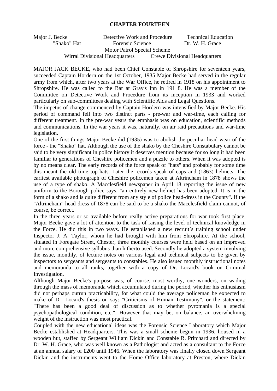## **CHAPTER FOURTEEN**

Major J. Becke Detective Work and Procedure Technical Education "Shako" Hat Forensic Science Dr. W. H. Grace Motor Patrol Special Scheme

Wirral Divisional Headquarters Crewe Divisional Headquarters

MAJOR JACK BECKE, who had been Chief Constable of Shropshire for seventeen years, succeeded Captain Hordern on the 1st October, 1935 Major Becke had served in the regular army from which, after two years at the War Office, he retired in 1918 on his appointment to Shropshire. He was called to the Bar at Gray's Inn in 191 8. He was a member of the Committee on Detective Work and Procedure from its inception in 1933 and worked particularly on sub-committees dealing with Scientific Aids and Legal Questions.

The impetus of change commenced by Captain Hordern was intensified by Major Becke. His period of command fell into two distinct parts - pre-war and war-time, each calling for different treatment. In the pre-war years the emphasis was on education, scientific methods and communications. In the war years it was, naturally, on air raid precautions and war-time legislation.

One of the first things Major Becke did (1935) was to abolish the peculiar head-wear of the force - the "Shako" hat. Although the use of the shako by the Cheshire Constabulary cannot be said to be very significant in police history it deserves mention because for so long it had been familiar to generations of Cheshire policemen and a puzzle to others. When it was adopted is by no means clear. The early records of the force speak of "hats" and probably for some time this meant the old time top-hats. Later the records speak of caps and (1863) helmets. The earliest available photograph of Cheshire policemen taken at Altrincham in 1878 shows the use of a type of shako. A Macclesfield newspaper in April 18 reporting the issue of new uniform to the Borough police says, "an entirely new helmet has been adopted. It is in the form of a shako and is quite different from any style of police head-dress in the County". If the "Altrincham" head-dress of 1878 can be said to be a shako the Macclesfield claim cannot, of course, be correct.

In the three years or so available before really active preparations for war took first place, Major Becke gave a lot of attention to the task of raising the level of technical knowledge in the Force. He did this in two ways. He established a new recruit's training school under Inspector J. A. Taylor, whom he had brought with him from Shropshire. At the school, situated in Foregate Street, Chester, three monthly courses were held based on an improved and more comprehensive syllabus than hitherto used. Secondly he adopted a system involving the issue, monthly, of lecture notes on various legal and technical subjects to be given by inspectors to sergeants and sergeants to constables. He also issued monthly instructional notes and memoranda to all ranks, together with a copy of Dr. Locard's book on Criminal Investigation.

Although Major Becke's purpose was, of course, most worthy, one wonders, on wading through the mass of memoranda which accumulated during the period, whether his enthusiasm did not perhaps outrun practicability, for what could the average policeman be expected to make of Dr. Locard's thesis on say: "Criticisms of Human Testimony", or the statement: "There has been a good deal of discussion as to whether pyromania is a special psychopathological condition, etc.". However that may be, on balance, an overwhelming weight of the instruction was most practical.

Coupled with the new educational ideas was the Forensic Science Laboratory which Major Becke established at Headquarters. This was a small scheme begun in 1936, housed in a wooden hut, staffed by Sergeant William Dickin and Constable R. Pritchard and directed by Dr. W. H. Grace, who was well known as a Pathologist and acted as a consultant to the Force at an annual salary of £200 until 1946. When the laboratory was finally closed down Sergeant Dickin and the instruments went to the Home Office laboratory at Preston, where Dickin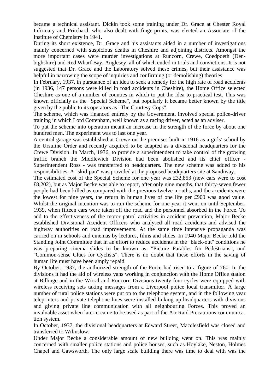became a technical assistant. Dickin took some training under Dr. Grace at Chester Royal Infirmary and Pritchard, who also dealt with fingerprints, was elected an Associate of the Institute of Chemistry in 1941.

During its short existence, Dr. Grace and his assistants aided in a number of investigations mainly concerned with suspicious deaths in Cheshire and adjoining districts. Amongst the more important cases were murder investigations at Runcorn, Crewe, Coedpoeth (Denbighshire) and Red Wharf Bay, Anglesey, all of which ended in trials and convictions. It is not suggested that Dr. Grace and the Laboratory solved these crimes, but their assistance was helpful in narrowing the scope of inquiries and confirming (or demolishing) theories.

In February, 1937, in pursuance of an idea to seek a remedy for the high rate of road accidents (in 1936, 147 persons were killed in road accidents in Cheshire), the Home Office selected Cheshire as one of a number of counties in which to put the idea to practical test. This was known officially as the "Special Scheme", but popularly it became better known by the title given by the public to its operators as "The Courtesy Cops".

The scheme, which was financed entirely by the Government, involved special police-driver training in which Lord Cottenham, well known as a racing driver, acted as an adviser.

To put the scheme into operation meant an increase in the strength of the force by about one hundred men. The experiment was to last one year.

A central garage was established at Crewe on the premises built in 1916 as a girls' school by the Ursuline Order and recently acquired to be adapted as a divisional headquarters for the Crewe Division. In March, 1936, to provide a superintendent to take control of the growing traffic branch the Middlewich Division had been abolished and its chief officer - Superintendent Ross - was transferred to headquarters. The new scheme was added to his responsibilities. A "skid-pan" was provided at the proposed headquarters site at Sandiway.

The estimated cost of the Special Scheme for one year was £32,853 (new cars were to cost £8,202), but as Major Becke was able to report, after only nine months, that thirty-seven fewer people had been killed as compared with the previous twelve months, and the accidents were the lowest for nine years, the return in human lives of one life per £900 was good value. Whilst the original intention was to run the scheme for one year it went on until September, 1939, when fifteen cars were taken off the road and the personnel absorbed in the Force. To add to the effectiveness of the motor patrol activities in accident prevention, Major Becke established Divisional Accident Officers who analysed all road accidents and advised the highway authorities on road improvements. At the same time intensive propaganda was carried on in schools and cinemas by lectures, films and slides. In 1940 Major Becke told the Standing Joint Committee that in an effort to reduce accidents in the "black-out" conditions he was preparing cinema slides to be known as, "Picture Parables for Pedestrians", and "Common-sense Clues for Cyclists". There is no doubt that these efforts in the saving of human life must have been amply repaid.

By October, 1937, the authorized strength of the Force had risen to a figure of 760. In the divisions it had the aid of wireless vans working in conjunction with the Home Office station at Billinge and in the Wirral and Runcorn Divisions twenty-four cycles were equipped with wireless receiving sets taking messages from a Liverpool police local transmitter. A large number of rural police stations were put on to the telephone system, and in the following year teleprinters and private telephone lines were installed linking up headquarters with divisions and giving private line communication with all neighbouring Forces. This proved an invaluable asset when later it came to be used as part of the Air Raid Precautions communication system.

In October, 1937, the divisional headquarters at Edward Street, Macclesfield was closed and transferred to Wilmslow.

Under Major Becke a considerable amount of new building went on. This was mainly concerned with smaller police stations and police houses, such as Hoylake, Neston, Holmes Chapel and Gawsworth. The only large scale building there was time to deal with was the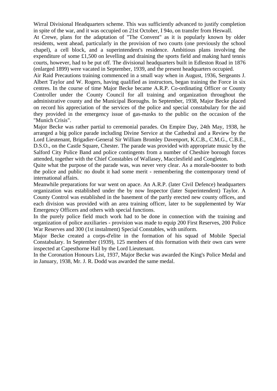Wirral Divisional Headquarters scheme. This was sufficiently advanced to justify completion in spite of the war, and it was occupied on 21st October, I 94o, on transfer from Heswall.

At Crewe, plans for the adaptation of "The Convent" as it is popularly known by older residents, went ahead, particularly in the provision of two courts (one previously the school chapel), a cell block, and a superintendent's residence. Ambitious plans involving the expenditure of some £1,500 on levelling and draining the sports field and making hard tennis courts, however, had to be put off. The divisional headquarters built in Edleston Road in 1876 (enlarged 1899) were vacated in September, 1939, and the present headquarters occupied.

Air Raid Precautions training commenced in a small way when in August, 1936, Sergeants J. Albert Taylor and W. Rogers, having qualified as instructors, began training the Force in six centres. In the course of time Major Becke became A.R.P. Co-ordinating Officer or County Controller under the County Council for all training and organization throughout the administrative county and the Municipal Boroughs. In September, 1938, Major Becke placed on record his appreciation of the services of the police and special constabulary for the aid they provided in the emergency issue of gas-masks to the public on the occasion of the "Munich Crisis".

Major Becke was rather partial to ceremonial parades. On Empire Day, 24th May, 1938, he arranged a big police parade including Divine Service at the Cathedral and a Review by the Lord Lieutenant, Brigadier-General Sir William Bromley Davenport, K.C.B., C.M.G., C.B.E., D.S.O., on the Castle Square, Chester. The parade was provided with appropriate music by the Salford City Police Band and police contingents from a number of Cheshire borough forces attended, together with the Chief Constables of Wallasey, Macclesfield and Congleton.

Quite what the purpose of the parade was, was never very clear. As a morale-booster to both the police and public no doubt it had some merit - remembering the contemporary trend of international affairs.

Meanwhile preparations for war went on apace. An A.R.P. (later Civil Defence) headquarters organization was established under the by now Inspector (later Superintendent) Taylor. A County Control was established in the basement of the partly erected new county offices, and each division was provided with an area training officer, later to be supplemented by War Emergency Officers and others with special functions.

In the purely police field much work had to be done in connection with the training and organization of police auxiliaries - provision was made to equip 200 First Reserves, 200 Police War Reserves and 300 (1st instalment) Special Constables, with uniform.

Major Becke created a corps-d'elite in the formation of his squad of Mobile Special Constabulary. In September (1939), 125 members of this formation with their own cars were inspected at Capesthorne Hall by the Lord Lieutenant.

In the Coronation Honours List, 1937, Major Becke was awarded the King's Police Medal and in January, 1938, Mr. J. R. Dodd was awarded the same medal.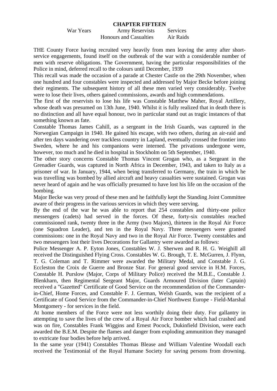#### **CHAPTER FIFTEEN**

War Years **Army Reservists** Services Honours and Casualties Air Raids

THE County Force having recruited very heavily from men leaving the army after shortservice engagements, found itself on the outbreak of the war with a considerable number of men with reserve obligations. The Government, having the particular responsibilities of the Police in mind, deferred recall to the colours until December, 1939

This recall was made the occasion of a parade at Chester Castle on the 29th November, when one hundred and four constables were inspected and addressed by Major Becke before joining their regiments. The subsequent history of all these men varied very considerably. Twelve were to lose their lives, others gained commissions, awards and high commendations.

The first of the reservists to lose his life was Constable Matthew Maher, Royal Artillery, whose death was presumed on 13th June, 1940. Whilst it is fully realized that in death there is no distinction and all have equal honour, two in particular stand out as tragic instances of that something known as fate.

Constable Thomas James Cahill, as a sergeant in the Irish Guards, was captured in the Norwegian Campaign in 1940. He gained his escape, with two others, during an air-raid and after ten days wandering over trackless country in Lapland, eventually crossed the frontier into Sweden, where he and his companions were interned. The privations undergone were, however, too much and he died in hospital in Stockholm on 5th September, 1940.

The other story concerns Constable Thomas Vincent Grogan who, as a Sergeant in the Grenadier Guards, was captured in North Africa in December, 1943, and taken to Italy as a prisoner of war. In January, 1944, when being transferred to Germany, the train in which he was travelling was bombed by allied aircraft and heavy casualties were sustained. Grogan was never heard of again and he was officially presumed to have lost his life on the occasion of the bombing.

Major Becke was very proud of these men and he faithfully kept the Standing Joint Committee aware of their progress in the various services in which they were serving.

By the end of the war he was able to report that 254 constables and thirty-one police messengers (cadets) had served in the forces. Of these, forty-six constables reached commissioned rank, twenty three in the Army (two Majors), thirteen in the Royal Air Force (one Squadron Leader), and ten in the Royal Navy. Three messengers were granted commissions: one in the Royal Navy and two in the Royal Air Force. Twenty constables and two messengers lost their lives Decorations for Gallantry were awarded as follows:

Police Messenger A. P. Eyton Jones, Constables W. J. Sherwen and R. H. G. Weighill all received the Distinguished Flying Cross. Constables W. G. Brough, T. E. McGurren, J. Flynn, T. G. Coleman and T. Rimmer were awarded the Military Medal, and Constable J. G. Eccleston the Croix de Guerre and Bronze Star. For general good service in H.M. Forces, Constable H. Purslow (Major, Corps of Military Police) received the M.B.E., Constable J. Blenkharn, then Regimental Sergeant Major, Guards Armoured Division (later Captain) received a "Gazetted" Certificate of Good Service on the recommendation of the Commanderin-Chief, Home Forces, and Constable F. J. German, Welsh Guards, was the recipient of a Certificate of Good Service from the Commander-in-Chief Northwest Europe - Field-Marshal Montgomery - for services in the field.

At home members of the Force were not less worthily doing their duty. For gallantry in attempting to save the lives of the crew of a Royal Air Force bomber which had crashed and was on fire, Constables Frank Wiggins and Ernest Pocock, Dukinfield Division, were each awarded the B.E.M. Despite the flames and danger from exploding ammunition they managed to extricate four bodies before help arrived.

In the same year (1941) Constables Thomas Blease and William Valentine Woodall each received the Testimonial of the Royal Humane Society for saving persons from drowning.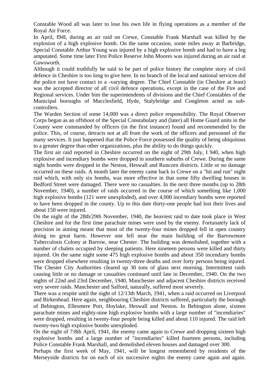Constable Wood all was later to lose his own life in flying operations as a member of the Royal Air Force.

In April, I94I, during an air raid on Crewe, Constable Frank Marshall was killed by the explosion of a high explosive bomb. On the same occasion, some miles away at Barbridge, Special Constable Arthur Young was injured by a high explosive bomb and had to have a leg amputated. Some time later First Police Reserve John Moores was injured during an air raid at Gawsworth.

Although it could truthfully be said to be part of police history the complete story of civil defence in Cheshire is too long to give here. In no branch of the local and national services did the police not have contact to a -varying degree. The Chief Constable (in Cheshire at least) was the accepted director of all civil defence operations, except in the case of the Fire and Regional services. Under him the superintendents of divisions and the Chief Constables of the Municipal boroughs of Macclesfield, Hyde, Stalybridge and Congleton acted as subcontrollers.

The Warden Section of some 14,000 was a direct police responsibility. The Royal Observer Corps began as an offshoot of the Special Constabulary and (later) all Home Guard units in the County were commanded by officers (in the first instance) found and recommended by the police. This, of course, detracts not at all from the work of the officers and personnel of the many services. It just happened that the Police Force possessed the quality of being ubiquitous to a greater degree than other organizations, plus the ability to do things quickly.

The first air raid reported in Cheshire occurred on the night of 29th July, I 940, when high explosive and incendiary bombs were dropped in southern suburbs of Crewe. During the same night bombs were dropped in the Neston, Heswall and Runcorn districts. Little or no damage occurred on these raids. A month later the enemy came back to Crewe on a "hit and run" night raid which, with only six bombs, was more effective in that some fifty dwelling houses in Bedford Street were damaged. There were no casualties. In the next three months (up to 28th November, 1940), a number of raids occurred in the course of which something like 1,000 high explosive bombs (121 were unexploded), and over 4,000 incendiary bombs were reported to have been dropped in the county. Up to this date thirty-one people had lost their lives and about 150 were injured.

On the night of the 28th/29th November, 1940, the heaviest raid to date took place in West Cheshire and for the first time parachute mines were used by the enemy. Fortunately lack of precision in aiming meant that most of the twenty-four mines dropped fell in open country doing no great harm. However one fell near the main building of the Barrowmore Tuberculosis Colony at Barrow, near Chester. The building was demolished, together with a number of chalets occupied by sleeping patients. Here nineteen persons were killed and thirty injured. On the same night some 475 high explosive bombs and about 350 incendiary bombs were dropped elsewhere resulting in twenty-three deaths and over forty persons being injured. The Chester City Authorities cleared up 30 tons of glass next morning. Intermittent raids causing little or no damage or casualties continued until late in December, 1940. On the two nights of 22nd and 23rd December, 1940, Manchester and adjacent Cheshire districts received very severe raids. Manchester and Salford, naturally, suffered most severely.

There was a respite until the night of 12/13th March, 1941, when a raid occurred on Liverpool and Birkenhead. Here again, neighbouring Cheshire districts suffered, particularly the borough of Bebington, Ellesmere Port, Hoylake, Heswall and Neston. In Bebington alone, sixteen parachute mines and eighty-nine high explosive bombs with a large number of "incendiaries" were dropped, resulting in twenty-four people being killed and about 110 injured. The raid left twenty-two high explosive bombs unexploded.

On the night of 7/8th April, 1941, the enemy came again to Crewe and dropping sixteen high explosive bombs and a large number of "incendiaries" killed fourteen persons, including Police Constable Frank Marshall, and demolished eleven houses and damaged over 300.

Perhaps the first week of May, 1941, will be longest remembered by residents of the Merseyside districts for on each of six successive nights the enemy came again and again.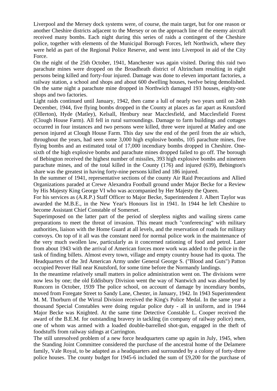Liverpool and the Mersey dock systems were, of course, the main target, but for one reason or another Cheshire districts adjacent to the Mersey or on the approach line of the enemy aircraft received many bombs. Each night during this series of raids a contingent of the Cheshire police, together with elements of the Municipal Borough Forces, left Northwich, where they were held as part of the Regional Police Reserve, and went into Liverpool in aid of the City Force.

On the night of the 25th October, 1941, Manchester was again visited. During this raid two parachute mines were dropped on the Broadheath district of Altrincham resulting in eight persons being killed and forty-four injured. Damage was done to eleven important factories, a railway station, a school and shops and about 600 dwelling houses, twelve being demolished. On the same night a parachute mine dropped in Northwich damaged 193 houses, eighty-one shops and two factories.

Light raids continued until January, 1942, then came a lull of nearly two years until on 24th December, 1944, five flying bombs dropped in the County at places as far apart as Knutsford (Ollerton), Hyde (Matley), Kelsall, Henbury near Macclesfield, and Macclesfield Forest (Clough House Farm). All fell in rural surroundings. Damage to farm buildings and cottages occurred in four instances and two persons were killed, three were injured at Matley and one person injured at Clough House Farm. This day saw the end of the peril from the air which, throughout the years, had seen some 3,000 high explosive bombs, 105 parachute mines, five flying bombs and an estimated total of 17,000 incendiary bombs dropped in Cheshire. Onesixth of the high explosive bombs and parachute mines dropped failed to go off. The borough of Bebington received the highest number of missiles, 393 high explosive bombs and nineteen parachute mines, and of the total killed in the County (176) and injured (639), Bebington's share was the greatest in having forty-nine persons killed and 186 injured.

In the summer of 1941, representative sections of the county Air Raid Precautions and Allied Organizations paraded at Crewe Alexandra Football ground under Major Becke for a Review by His Majesty King George VI who was accompanied by Her Majesty the Queen.

For his services as (A.R.P.) Staff Officer to Major Becke, Superintendent J. Albert Taylor was awarded the M.B.E., in the New Year's Honours list in 1941. In 1944 he left Cheshire to become Assistant Chief Constable of Somerset.

Superimposed on the latter part of the period of sleepless nights and wailing sirens came preparations to meet the threat of invasion. This meant much "conferencing" with military authorities, liaison with the Home Guard at all levels, and the reservation of roads for military convoys. On top of it all was the constant need for normal police work in the maintenance of the very much swollen law, particularly as it concerned rationing of food and petrol. Later from about 1943 with the arrival of American forces more work was added to the police in the task of finding billets. Almost every town, village and empty country house had its quota. The Headquarters of the 3rd American Army under General George S. ("Blood and Guts") Patton occupied Peover Hall near Knutsford, for some time before the Normandy landings.

In the meantime relatively small matters in police administration went on. The divisions were now less by one; the old Eddisbury Division went the way of Nantwich and was absorbed by Runcorn in October, 1939 The police school, on account of damage by incendiary bombs, moved from Foregate Street to Sandy Lane, Chester, in January, 1942. In 1943 Superintendent M. M. Thorburn of the Wirral Division received the King's Police Medal. In the same year a thousand Special Constables were doing regular police duty - all in uniform, and in 1944 Major Becke was Knighted. At the same time Detective Constable L. Cooper received the award of the B.E.M. for outstanding bravery in tackling (in company of railway police) men, one of whom was armed with a loaded double-barrelled shot-gun, engaged in the theft of foodstuffs from railway sidings at Carrington.

The still unresolved problem of a new force headquarters came up again in July, 1945, when the Standing Joint Committee considered the purchase of the ancestral home of the Delamere family, Vale Royal, to be adapted as a headquarters and surrounded by a colony of forty-three police houses. The county budget for 1945-6 included the sum of £9,200 for the purchase of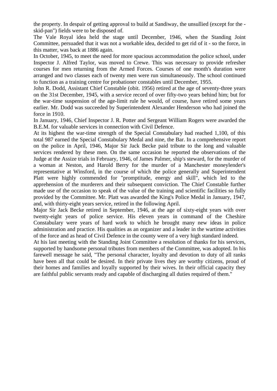the property. In despair of getting approval to build at Sandiway, the unsullied (except for the skid-pan") fields were to be disposed of.

The Vale Royal idea held the stage until December, 1946, when the Standing Joint Committee, persuaded that it was not a workable idea, decided to get rid of it - so the force, in this matter, was back at 1886 again.

In October, 1945, to meet the need for more spacious accommodation the police school, under Inspector J. Alfred Taylor, was moved to Crewe. This was necessary to provide refresher courses for men returning from the Armed Forces. Courses of one month's duration were arranged and two classes each of twenty men were run simultaneously. The school continued to function as a training centre for probationer constables until December, 1955.

John R. Dodd, Assistant Chief Constable (obit. 1956) retired at the age of seventy-three years on the 31st December, 1945, with a service record of over fifty-two years behind him; but for the war-time suspension of the age-limit rule he would, of course, have retired some years earlier. Mr. Dodd was succeeded by Superintendent Alexander Henderson who had joined the force in 1910.

In January, 1946, Chief Inspector J. R. Potter and Sergeant William Rogers were awarded the B.E.M. for valuable services in connection with Civil Defence.

At its highest the war-time strength of the Special Constabulary had reached 1,100, of this total 987 earned the Special Constabulary Medal and nine, the Bar. In a comprehensive report on the police in April, 1946, Major Sir Jack Becke paid tribute to the long and valuable services rendered by these men. On the same occasion he reported the observations of the Judge at the Assize trials in February, 1946, of James Palmer, ship's steward, for the murder of a woman at Neston, and Harold Berry for the murder of a Manchester moneylender's representative at Winsford, in the course of which the police generally and Superintendent Platt were highly commended for "promptitude, energy and skill", which led to the apprehension of the murderers and their subsequent conviction. The Chief Constable further made use of the occasion to speak of the value of the training and scientific facilities so fully provided by the Committee. Mr. Platt was awarded the King's Police Medal in January, 1947, and, with thirty-eight years service, retired in the following April.

Major Sir Jack Becke retired in September, 1946, at the age of sixty-eight years with over twenty-eight years of police service. His eleven years in command of the Cheshire Constabulary were years of hard work to which he brought many new ideas in police administration and practice. His qualities as an organizer and a leader in the wartime activities of the force and as head of Civil Defence in the county were of a very high standard indeed.

At his last meeting with the Standing Joint Committee a resolution of thanks for his services, supported by handsome personal tributes from members of the Committee, was adopted. In his farewell message he said, "The personal character, loyalty and devotion to duty of all ranks have been all that could be desired. In their private lives they are worthy citizens, proud of their homes and families and loyally supported by their wives. In their official capacity they are faithful public servants ready and capable of discharging all duties required of them."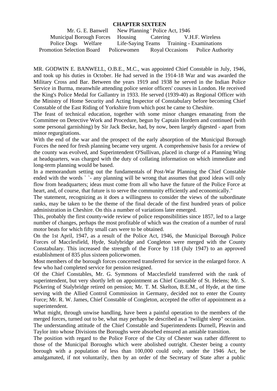## **CHAPTER SIXTEEN**

|                                                           | Mr. G. E. Banwell New Planning 'Police Act, 1946 |  |
|-----------------------------------------------------------|--------------------------------------------------|--|
| Municipal Borough Forces Housing Catering V.H.F. Wireless |                                                  |  |
| Police Dogs Welfare                                       | Life-Saying Teams Training - Examinations        |  |
| Promotion Selection Board                                 | Policewomen Royal Occasions Police Authority     |  |

MR. GODWIN E. BANWELL, O.B.E., M.C., was appointed Chief Constable in July, 1946, and took up his duties in October. He had served in the 1914-18 War and was awarded the Military Cross and Bar. Between the years 1919 and 1938 he served in the Indian Police Service in Burma, meanwhile attending police senior officers' courses in London. He received the King's Police Medal for Gallantry in 1933. He served (1939-40) as Regional Officer with the Ministry of Home Security and Acting Inspector of Constabulary before becoming Chief Constable of the East Riding of Yorkshire from which post he came to Cheshire.

The feast of technical education, together with some minor changes emanating from the Committee on Detective Work and Procedure, begun by Captain Hordern and continued (with some personal garnishing) by Sir Jack Becke, had, by now, been largely digested - apart from minor regurgitations.

With the end of the war and the prospect of the early absorption of the Municipal Borough Forces the need for fresh planning became very urgent. A comprehensive basis for a review of the county was evolved, and Superintendent O'Sullivan, placed in charge of a Planning Wing at headquarters, was charged with the duty of collating information on which immediate and long-term planning would be based.

In a memorandum setting out the fundamentals of Post-War Planning the Chief Constable ended with the words ` `- any planning will be wrong that assumes that good ideas will only flow from headquarters; ideas must come from all who have the future of the Police Force at heart, and, of course, that future is to serve the community efficiently and economically."

The statement, recognizing as it does a willingness to consider the views of the subordinate ranks, may be taken to be the theme of the final decade of the first hundred years of police administration in Cheshire. On this a number of variations later emerged.

This, probably the first county-wide review of police responsibilities since 1857, led to a large number of changes, perhaps the most profitable of which was the creation of a number of rural motor beats for which fifty small cars were to be obtained.

On the 1st April, 1947, as a result of the Police Act, 1946, the Municipal Borough Police Forces of Macclesfield, Hyde, Stalybridge and Congleton were merged with the County Constabulary. This increased the strength of the Force by 118 (July 1947) to an approved establishment of 835 plus sixteen policewomen.

Most members of the borough forces concerned transferred for service in the enlarged force. A few who had completed service for pension resigned.

Of the Chief Constables, Mr. G. Symmons of Macclesfield transferred with the rank of superintendent, but very shortly left on appointment as Chief Constable of St. Helens; Mr. S. Pickering of Stalybridge retired on pension; Mr. T. M. Skelton, B.E.M., of Hyde, at the time serving with the Allied Control Commission in Germany, decided not to enter the County Force; Mr. R. W. James, Chief Constable of Congleton, accepted the offer of appointment as a superintendent.

What might, through unwise handling, have been a painful operation to the members of the merged forces, turned out to be, what may perhaps be described as a "twilight sleep" occasion. The understanding attitude of the Chief Constable and Superintendents Durnell, Pleavin and Taylor into whose Divisions the Boroughs were absorbed ensured an amiable transition.

The position with regard to the Police Force of the City of Chester was rather different to those of the Municipal Boroughs which were abolished outright. Chester being a county borough with a population of less than 100,000 could only, under the 1946 Act, be amalgamated, if not voluntarily, then by an order of the Secretary of State after a public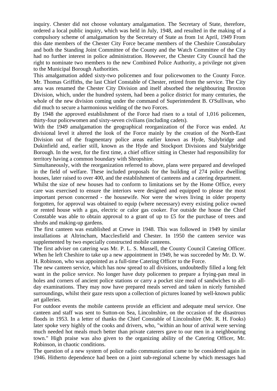inquiry. Chester did not choose voluntary amalgamation. The Secretary of State, therefore, ordered a local public inquiry, which was held in July, 1948, and resulted in the making of a compulsory scheme of amalgamation by the Secretary of State as from 1st April, 1949 From this date members of the Chester City Force became members of the Cheshire Constabulary and both the Standing Joint Committee of the County and the Watch Committee of the City had no further interest in police administration. However, the Chester City Council had the right to nominate two members to the new Combined Police Authority, a privilege not given to the Municipal Borough Authorities.

This amalgamation added sixty-two policemen and four policewomen to the County Force. Mr. Thomas Griffiths, the last Chief Constable of Chester, retired from the service. The City area was renamed the Chester City Division and itself absorbed the neighbouring Broxton Division, which, under the hundred system, had been a police district for many centuries, the whole of the new division coming under the command of Superintendent B. O'Sullivan, who did much to secure a harmonious welding of the two Forces.

By 1948 the approved establishment of the Force had risen to a total of 1,016 policemen, thirty-four policewomen and sixty-seven civilians (including cadets).

With the 1949 amalgamation the geographical reorganization of the Force was ended. At divisional level it altered the look of the Force mainly by the creation of the North-East Division out of the fragmentary police areas earlier known as Hyde, Stalybridge and Dukinfield and, earlier still, known as the Hyde and Stockport Divisions and Stalybridge Borough. In the west, for the first time, a chief officer sitting in Chester had responsibility for territory having a common boundary with Shropshire.

Simultaneously, with the reorganization referred to above, plans were prepared and developed in the field of welfare. These included proposals for the building of 274 police dwelling houses, later raised to over 400, and the establishment of canteens and a catering department.

Whilst the size of new houses had to conform to limitations set by the Home Office, every care was exercised to ensure the interiors were designed and equipped to please the most important person concerned - the housewife. Nor were the wives living in older property forgotten, for approval was obtained to equip (where necessary) every existing police owned or rented house with a gas, electric or calor gas cooker. For outside the house the Chief Constable was able to obtain approval to a grant of up to £5 for the purchase of trees and shrubs and making-up gardens.

The first canteen was established at Crewe in 1948. This was followed in 1949 by similar installations at Altrincham, Macclesfield and Chester. In 1950 the canteen service was supplemented by two especially constructed mobile canteens.

The first adviser on catering was Mr. P. L. S. Mussell, the County Council Catering Officer. When he left Cheshire to take up a new appointment in 1949, he was succeeded by Mr. D. W. H. Robinson, who was appointed as a full-time Catering Officer to the Force.

The new canteen service, which has now spread to all divisions, undoubtedly filled a long felt want in the police service. No longer have duty policemen to prepare a frying-pan meal in holes and corners of ancient police stations or carry a pocket size meal of sandwiches to allday examinations. They may now have prepared meals served and taken in nicely furnished surroundings, whilst their gaze rests upon a collection of pictures loaned by well-known public art galleries.

For outdoor events the mobile canteens provide an efficient and adequate meal service. One canteen and staff was sent to Sutton-on Sea, Lincolnshire, on the occasion of the disastrous floods in 1953. In a letter of thanks the Chief Constable of Lincolnshire (Mr. R. H. Fooks) later spoke very highly of the cooks and drivers, who, "within an hour of arrival were serving much needed hot meals much better than private caterers gave to our men in a neighbouring town." High praise was also given to the organizing ability of the Catering Officer, Mr. Robinson, in chaotic conditions.

The question of a new system of police radio communication came to be considered again in 1946. Hitherto dependence had been on a joint sub-regional scheme by which messages had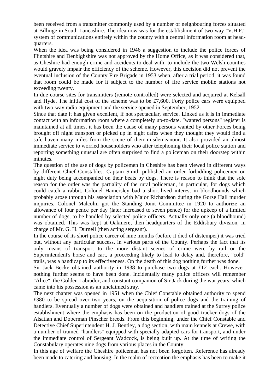been received from a transmitter commonly used by a number of neighbouring forces situated at Billinge in South Lancashire. The idea now was for the establishment of two-way "V.H.F." system of communications entirely within the county with a central information room at headquarters.

When the idea was being considered in 1946 a suggestion to include the police forces of Flintshire and Denbighshire was not approved by the Home Office, as it was considered that, as Cheshire had enough crime and accidents to deal with, to include the two Welsh counties would gravely impair the efficiency of the scheme. However, this decision did not prevent the eventual inclusion of the County Fire Brigade in 1953 when, after a trial period, it was found that room could be made for it subject to the number of fire service mobile stations not exceeding twenty.

In due course sites for transmitters (remote controlled) were selected and acquired at Kelsall and Hyde. The initial cost of the scheme was to be £7,600. Forty police cars were equipped with two-way radio equipment and the service opened in September, 1952.

Since that date it has given excellent, if not spectacular, service. Linked as it is in immediate contact with an information room where a completely up-to-date. "wanted persons" register is maintained at all times, it has been the cause of many persons wanted by other Forces being brought off night transport or picked up in night cafes when they thought they would find a safe haven many miles from the scene of their misdemeanour. It also provided an almost immediate service to worried householders who after telephoning their local police station and reporting something unusual are often surprised to find a policeman on their doorstep within minutes.

The question of the use of dogs by policemen in Cheshire has been viewed in different ways by different Chief Constables. Captain Smith published an order forbidding policemen on night duty being accompanied on their beats by dogs. There is reason to think that the sole reason for the order was the partiality of the rural policeman, in particular, for dogs which could catch a rabbit. Colonel Hamersley bad a short-lived interest in bloodhounds which probably arose through his association with Major Richardson during the Gorse Hall murder inquiries. Colonel Malcolm got the Standing Joint Committee in 1920 to authorize an allowance of four pence per day (later increased to seven pence) for the upkeep of a limited number of dogs, to be handled by selected police officers. Actually only one (a bloodhound) was obtained. This was kept at Oakmere, then headquarters of the Eddisbury division, in charge of Mr. G. H. Durnell (then acting sergeant).

In the course of its short police career of nine months (before it died of distemper) it was tried out, without any particular success, in various parts of the County. Perhaps the fact that its only means of transport to the more distant scenes of crime were by rail or the Superintendent's horse and cart, a proceeding likely to lead to delay and, therefore, "cold" trails, was a handicap to its effectiveness. On the death of this dog nothing further was done.

Sir Jack Becke obtained authority in 1938 to purchase two dogs at £12 each. However, nothing further seems to have been done. Incidentally many police officers will remember "Alice", the Golden Labrador, and constant companion of Sir Jack during the war years, which came into his possession as an unclaimed stray.

The next chapter was opened in 1951 when the Chief Constable obtained authority to spend £380 to be spread over two years, on the acquisition of police dogs and the training of handlers. Eventually a number of dogs were obtained and handlers trained at the Surrey police establishment where the emphasis has been on the production of good tracker dogs of the Alsatian and Doberman Pinscher breeds. From this beginning, under the Chief Constable and Detective Chief Superintendent H. J. Bentley, a dog section, with main kennels at Crewe, with a number of trained "handlers" equipped with specially adapted cars for transport, and under the immediate control of Sergeant Wadcock, is being built up. At the time of writing the Constabulary operates nine dogs from various places in the County.

In this age of welfare the Cheshire policeman has not been forgotten. Reference has already been made to catering and housing. In the realm of recreation the emphasis has been to make it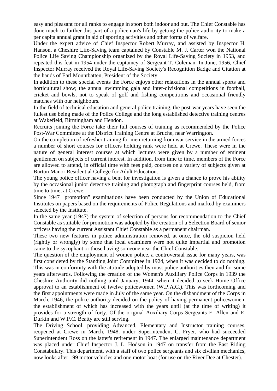easy and pleasant for all ranks to engage in sport both indoor and out. The Chief Constable has done much to further this part of a policeman's life by getting the police authority to make a per capita annual grant in aid of sporting activities and other forms of welfare.

Under the expert advice of Chief Inspector Robert Murray, and assisted by Inspector H. Hanson, a Cheshire Life-Saving team captained by Constable M. J. Carter won the National Police Life Saving Championship organized by the Royal Life-Saving Society in 1953, and repeated this feat in 1954 under the captaincy of Sergeant T. Coleman. In June, 1956, Chief Inspector Murray received the Royal Life-Saving Society's Recognition Badge and Citation at the hands of Earl Mountbatten, President of the Society.

In addition to these special events the Force enjoys other relaxations in the annual sports and horticultural show; the annual swimming gala and inter-divisional competitions in football, cricket and bowls, not to speak of golf and fishing competitions and occasional friendly matches with our neighbours.

In the field of technical education and general police training, the post-war years have seen the fullest use being made of the Police College and the long established detective training centres at Wakefield, Birmingham and Hendon.

Recruits joining the Force take their full courses of training as recommended by the Police Post-War Committee at the District Training Centre at Bruche, near Warrington.

On the completion of refresher training for men returning from war service in the armed forces a number of short courses for officers holding rank were held at Crewe. These were in the nature of general interest courses at which lectures were given by a number of eminent gentlemen on subjects of current interest. In addition, from time to time, members of the Force are allowed to attend, in official time with fees paid, courses on a variety of subjects given at Burton Manor Residential College for Adult Education.

The young police officer having a bent for investigation is given a chance to prove his ability by the occasional junior detective training and photograph and fingerprint courses held, from time to time, at Crewe.

Since 1947 "promotion" examinations have been conducted by the Union of Educational Institutes on papers based on the requirements of Police Regulations and marked by examiners selected by the Institute.

In the same year (1947) the system of selection of persons for recommendation to the Chief Constable as suitable for promotion was adopted by the creation of a Selection Board of senior officers having the current Assistant Chief Constable as a permanent chairman.

These two new features in police administration removed, at once, the old suspicion held (rightly or wrongly) by some that local examiners were not quite impartial and promotion came to the sycophant or those having someone near the Chief Constable.

The question of the employment of women police, a controversial issue for many years, was first considered by the Standing Joint Committee in 1924, when it was decided to do nothing. This was in conformity with the attitude adopted by most police authorities then and for some years afterwards. Following the creation of the Women's Auxiliary Police Corps in 1939 the Cheshire Authority did nothing until January, 1944, when it decided to seek Home Office approval to an establishment of twelve policewomen (W.P.A.C.). This was forthcoming and the first appointments were made in July of the same year. On the disbandment of the Corps in March, 1946, the police authority decided on the policy of having permanent policewomen, the establishment of which has increased with the years until (at the time of writing) it provides for a strength of forty. Of the original Auxiliary Corps Sergeants E. Allen and E. Durkin and W.P.C. Beatty are still serving.

The Driving School, providing Advanced, Elementary and Instructor training courses, reopened at Crewe in March, 1948, under Superintendent C. Fryer, who had succeeded Superintendent Ross on the latter's retirement in 1947. The enlarged maintenance department was placed under Chief Inspector J. L. Hodson in 1947 on transfer from the East Riding Constabulary. This department, with a staff of two police sergeants and six civilian mechanics, now looks after 199 motor vehicles and one motor boat (for use on the River Dee at Chester).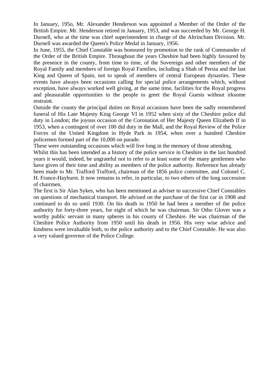In January, 195o, Mr. Alexander Henderson was appointed a Member of the Order of the British Empire. Mr. Henderson retired in January, 1953, and was succeeded by Mr. George H. Durnell, who at the time was chief superintendent in charge of the Altrincham Division. Mr. Durnell was awarded the Queen's Police Medal in January, 1956.

In June, 1955, the Chief Constable was honoured by promotion to the rank of Commander of the Order of the British Empire. Throughout the years Cheshire had been highly favoured by the presence in the county, from time to time, of the Sovereign and other members of the Royal Family and members of foreign Royal Families, including a Shah of Persia and the last King and Queen of Spain, not to speak of members of central European dynasties. These events have always been occasions calling for special police arrangements which, without exception, have always worked well giving, at the same time, facilities for the Royal progress and pleasurable opportunities to the people to greet the Royal Guests without irksome restraint.

Outside the county the principal duties on Royal occasions have been the sadly remembered funeral of His Late Majesty King George VI in 1952 when sixty of the Cheshire police did duty in London; the joyous occasion of the Coronation of Her Majesty Queen Elizabeth If in 1953, when a contingent of over 100 did duty in the Mall, and the Royal Review of the Police Forces of the United Kingdom in Hyde Park in 1954, when over a hundred Cheshire policemen formed part of the 10,000 on parade.

These were outstanding occasions which will live long in the memory of those attending.

Whilst this has been intended as a history of the police service in Cheshire in the last hundred years it would, indeed, be ungrateful not to refer to at least some of the many gentlemen who have given of their time and ability as members of the police authority. Reference has already been made to Mr. Trafford Trafford, chairman of the 1856 police committee, and Colonel C. H. France-Hayhurst. It now remains to refer, in particular, to two others of the long succession of chairmen.

The first is Sir Alan Sykes, who has been mentioned as adviser to successive Chief Constables on questions of mechanical transport. He advised on the purchase of the first car in 1908 and continued to do so until 1930. On his death in 1950 he had been a member of the police authority for forty-three years, for eight of which he was chairman. Sir Otho Glover was a worthy public servant in many spheres in his county of Cheshire. He was chairman of the Cheshire Police Authority from 1950 until his death in 1956. His very wise advice and kindness were invaluable both, to the police authority and to the Chief Constable. He was also a very valued governor of the Police College.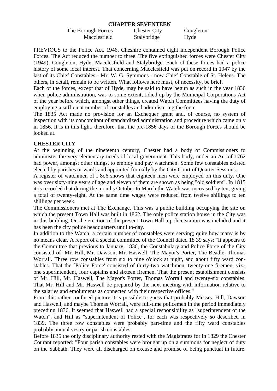#### **CHAPTER SEVENTEEN**

The Borough Forces Chester City Congleton Macclesfield Stalybridge Hyde

PREVIOUS to the Police Act, 1946, Cheshire contained eight independent Borough Police Forces. The Act reduced the number to three. The five extinguished forces were Chester City (1949), Congleton, Hyde, Macclesfield and Stalybridge. Each of these forces had a police history of some local interest. That concerning Macclesfield was put on record in 1947 by the last of its Chief Constables - Mr. W. G. Symmons - now Chief Constable of St. Helens. The others, in detail, remain to be written. What follows here must, of necessity, be brief.

Each of the forces, except that of Hyde, may be said to have begun as such in the year 1836 when police administration, was to some extent, tidied up by the Municipal Corporations Act of the year before which, amongst other things, created Watch Committees having the duty of employing a sufficient number of constables and administering the force.

The 1835 Act made no provision for an Exchequer grant and, of course, no system of inspection with its concomitant of standardized administration and procedure which came only in 1856. It is in this light, therefore, that the pre-1856 days of the Borough Forces should be looked at.

## **CHESTER CITY**

At the beginning of the nineteenth century, Chester had a body of Commissioners to administer the very elementary needs of local government. This body, under an Act of 1762 had power, amongst other things, to employ and pay watchmen. Some few constables existed elected by parishes or wards and appointed formally by the City Court of Quarter Sessions.

A register of watchmen of I 8o6 shows that eighteen men were employed on this duty. One was over sixty-nine years of age and eleven of them are shown as being "old soldiers". In 1815 it is recorded that during the months October to March the Watch was increased by ten, giving a total of twenty-eight. At the same time wages were reduced from twelve shillings to ten shillings per week.

The Commissioners met at The Exchange. This was a public building occupying the site on which the present Town Hall was built in 1862. The only police station house in the City was in this building. On the erection of the present Town Hall a police station was included and it has been the city police headquarters until to-day.

In addition to the Watch, a certain number of constables were serving; quite how many is by no means clear. A report of a special committee of the Council dated 18 39 says: "It appears to the Committee that previous to January, 1836, the Constabulary and Police Force of the City consisted of- Mr. Hill, Mr. Dawson, Mr. Haswell, The Mayor's Porter, The Beadle, Thomas Worrall. Three row constables from six to nine o'clock at night, and about fifty ward constables. That the `Police Force' consisted of thirty-two watchmen, twenty-one firemen, viz., one superintendent, four captains and sixteen firemen. That the present establishment consists of Mr. Hill, Mr. Haswell, The Mayor's Porter, Thomas Worrall and twenty-six constables. That Mr. Hill and Mr. Haswell be prepared by the next meeting with information relative to the salaries and emoluments as connected with their respective offices."

From this rather confused picture it is possible to guess that probably Messrs. Hill, Dawson and Haswell, and maybe Thomas Worrall, were full-time policemen in the period immediately preceding 1836. It seemed that Haswell had a special responsibility as "superintendent of the Watch", and Hill as "superintendent of Police", for each was respectively so described in 1839. The three row constables were probably part-time and the fifty ward constables probably annual vestry or parish constables.

Before 1835 the only disciplinary authority rested with the Magistrates for in 1829 the Chester Courant reported: "Four parish constables were brought up on a summons for neglect of duty on the Sabbath. They were all discharged on excuse and promise of being punctual in future.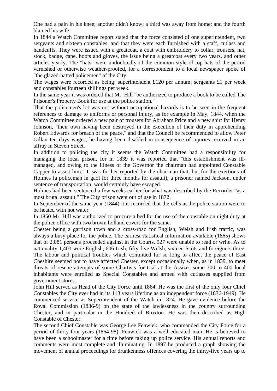One had a pain in his knee; another didn't know; a third was away from home; and the fourth blamed his wife."

In 1844 a Watch Committee report stated that the force consisted of one superintendent, two sergeants and sixteen constables, and that they were each furnished with a staff, cutlass and handcuffs. They were issued with a greatcoat, a coat with embroidery to collar, trousers, hat, stock, badge, cape, boots and gloves, the issue being a greatcoat every two years, and other articles yearly. The "hats" were undoubtedly of the common style of top-hats of the period varnished or otherwise weather-proofed, for a correspondent to a local newspaper spoke of "the glazed-hatted policemen" of the City.

The wages were recorded as being: superintendent £120 per annum; sergeants £1 per week and constables fourteen shillings per week.

In the same year it was ordered that Mr. Hill "be authorized to produce a book to be called The Prisoner's Property Book for use at the police station."

That the policemen's lot was not without occupational hazards is to be seen in the frequent references to damage to uniforms or personal injury, as for example in May, 1844, when the Watch Committee ordered a new pair of trousers for Abraham Price and a new shirt for Henry Johnson, "their own having been destroyed in the execution of their duty in apprehending Robert Edwards for breach of the peace," and that the Council be recommended to allow Peter Gillan ten days wages, he having been disabled in consequence of injuries received in an affray in Steven Street.

In addition to policing the city it seems the Watch Committee had a responsibility for managing the local prison, for in 1839 it was reported that "this establishment was illmanaged, and owing to the illness of the Governor the chairman had appointed Constable Capper to assist him." It was further reported by the chairman that, but for the exertions of Holmes (a policeman in gaol for three months for assault), a prisoner named Jackson, under sentence of transportation, would certainly have escaped.

Holmes had been sentenced a few weeks earlier for what was described by the Recorder "as a most brutal assault." The City prison went out of use in 1872.

In September of the same year (1844) it is recorded that the cells at the police station were to be heated with hot water.

In 1850 Mr. Hill was authorized to procure a bed for the use of the constable on night duty at the police office with two brown holland covers for the same.

Chester being a garrison town and a cross-road for English, Welsh and Irish traffic, was always a busy place for the police. The earliest statistical information available (1865) shows that of 2,081 persons proceeded against in the Courts, 927 were unable to read or write. As to nationality 1,401 were English, 606 Irish, fifty-five Welsh, sixteen Scots and foreigners three. The labour and political troubles which continued for so long to affect the peace of East Cheshire seemed not to have affected Chester, except occasionally when, as in 1839, to meet threats of rescue attempts of some Chartists for trial at the Assizes some 300 to 400 local inhabitants were enrolled as Special Constables and armed with cutlasses supplied from government stores.

John Hill served as Head of the City Force until 1864. He was the first of the only four Chief Constables the City ever had in its 113 years lifetime as an independent force (1836-1949). He commenced service as Superintendent of the Watch in 1824. He gave evidence before the Royal Commission (1836-9) on the state of the lawlessness in the country surrounding Chester, and in particular in the Hundred of Broxton. He was then described as High Constable of Chester.

The second Chief Constable was George Lee Fenwiek, who commanded the City Force for a period of thirty-four years (1864-98). Fenwick was a well educated man. He is believed to have been a schoolmaster for a time before taking up police service. His annual reports and comments were most complete and illuminating. In 1897 he produced a graph showing the movement of annual proceedings for drunkenness offences covering the thirty-five years up to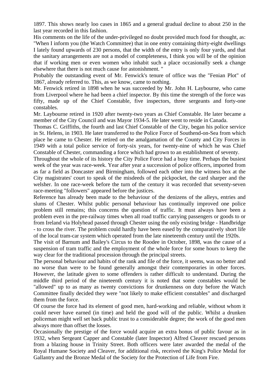1897. This shows nearly loo cases in 1865 and a general gradual decline to about 250 in the last year recorded in this fashion.

His comments on the life of the under-privileged no doubt provided much food for thought, as: "When I inform you (the Watch Committee) that in one entry containing thirty-eight dwellings I lately found upwards of 230 persons, that the width of the entry is only four yards, and that the sanitary arrangements are not a model of completeness, I think you will be of the opinion that if working men or even women who inhabit such a place occasionally seek a change elsewhere that there is not much cause for astonishment. "

Probably the outstanding event of Mr. Fenwick's tenure of office was the "Fenian Plot" of 1867, already referred to. This, as we know, came to nothing.

Mr. Fenwick retired in 1898 when he was succeeded by Mr. John H. Laybourne, who came from Liverpool where he had been a chief inspector. By this time the strength of the force was fifty, made up of the Chief Constable, five inspectors, three sergeants and forty-one constables.

Mr. Laybourne retired in 1920 after twenty-two years as Chief Constable. He later became a member of the City Council and was Mayor 1934-5. He later went to reside in Canada.

Thomas C. Griffiths, the fourth and last Chief Constable of the City, began his police service in St. Helens, in 1903. He later transferred to the Police Force of Southend-on-Sea from which place he came to Chester. He retired on the amalgamation of the County and City Forces in 1949 with a total police service of forty-six years, for twenty-nine of which he was Chief Constable of Chester, commanding a force which had grown to an establishment of seventy.

Throughout the whole of its history the City Police Force had a busy time. Perhaps the busiest week of the year was race-week. Year after year a succession of police officers, imported from as far a field as Doncaster and Birmingham, followed each other into the witness box at the City magistrates' court to speak of the misdeeds of the pickpocket, the card sharper and the welsher. In one race-week before the turn of the century it was recorded that seventy-seven race-meeting "followers" appeared before the justices.

Reference has already been made to the behaviour of the denizens of the alleys, entries and slums of Chester. Whilst public personal behaviour has continually improved one police problem still remains; this concerns the question of traffic. It must always have been a problem even in the pre-railway times when all road traffic carrying passengers or goods to or from Ireland via Holyhead passed through Chester using the only existing bridge - Handbridge - to cross the river. The problem could hardly have been eased by the comparatively short life of the local tram-car system which operated from the late nineteenth century until the 1920s.

The visit of Barnum and Bailey's Circus to the Roodee in October, 1898, was the cause of a suspension of tram traffic and the employment of the whole force for some hours to keep the way clear for the traditional procession through the principal streets.

The personal behaviour and habits of the rank and file of the force, it seems, was no better and no worse than were to be found generally amongst their contemporaries in other forces. However, the latitude given to some offenders is rather difficult to understand. During the middle third period of the nineteenth century it is noted that some constables would be "allowed" up to as many as twenty convictions for drunkenness on duty before the Watch Committee finally decided they were "not likely to make efficient constables" and discharged them from the force.

Of course the force had its element of good men, hard-working and reliable, without whom it could never have earned (in time) and held the good will of the public. Whilst a drunken policeman might well set back public trust to a considerable degree; the work of the good men always more than offset the losses.

Occasionally the prestige of the force would acquire an extra bonus of public favour as in 1932, when Sergeant Capper and Constable (later Inspector) Alfred Cleaver rescued persons from a blazing house in Trinity Street. Both officers were later awarded the medal of the Royal Humane Society and Cleaver, for additional risk, received the King's Police Medal for Gallantry and the Bronze Medal of the Society for the Protection of Life from Fire.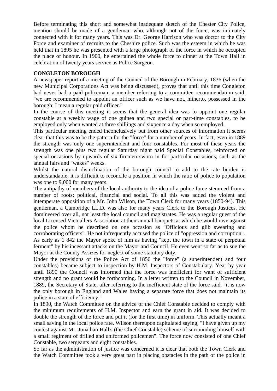Before terminating this short and somewhat inadequate sketch of the Chester City Police, mention should be made of a gentleman who, although not of the force, was intimately connected with it for many years. This was Dr. George Harrison who was doctor to the City Force and examiner of recruits to the Cheshire police. Such was the esteem in which he was held that in 1895 he was presented with a large photograph of the force in which he occupied the place of honour. In 1900, he entertained the whole force to dinner at the Town Hall in celebration of twenty years service as Police Surgeon.

## **CONGLETON BOROUGH**

A newspaper report of a meeting of the Council of the Borough in February, 1836 (when the new Municipal Corporations Act was being discussed), proves that until this time Congleton had never had a paid policeman; a member referring to a committee recommendation said, "we are recommended to appoint an officer such as we have not, hitherto, possessed in the borough; I mean a regular paid officer."

In the course of this meeting it seems that the general idea was to appoint one regular constable at a weekly wage of one guinea and two special or part-time constables, to be employed only when wanted at three shillings and sixpence a day when so employed.

This particular meeting ended inconclusively but from other sources of information it seems clear that this was to be the pattern for the "force" for a number of years. In fact, even in 1889 the strength was only one superintendent and four constables. For most of these years the strength was one plus two regular Saturday night paid Special Constables, reinforced on special occasions by upwards of six firemen sworn in for particular occasions, such as the annual fairs and "wakes" weeks.

Whilst the natural disinclination of the borough council to add to the rate burden is understandable, it is difficult to reconcile a position in which the ratio of police to population was one to 9,000 for many years.

The antipathy of members of the local authority to the idea of a police force stemmed from a number of roots; political, financial and social. To all this was added the violent and intemperate opposition of a Mr. John Wilson, the Town Clerk for many years (1850-94). This gentleman, a Cambridge LL.D. was also for many years Clerk to the Borough Justices. He domineered over all, not least the local council and magistrates. He was a regular guest of the local Licensed Victuallers Association at their annual banquets at which he would rave against the police whom he described on one occasion as "Officious and glib swearing and corroborating officers". He not infrequently accused the police of "oppression and corruption". As early as 1 842 the Mayor spoke of him as having "kept the town in a state of perpetual ferment" by his incessant attacks on the Mayor and Council. He even went so far as to sue the Mayor at the County Assizes for neglect of some statutory duty.

Under the provisions of the Police Act of 1856 the "force" (a superintendent and four constables) became subject to inspection by H.M. Inspectors of Constabulary. Year by year until 1890 the Council was informed that the force was inefficient for want of sufficient strength and no grant would be forthcoming. In a letter written to the Council in November, 1889, the Secretary of State, after referring to the inefficient state of the force said, "it is now the only borough in England and Wales having a separate force that does not maintain its police in a state of efficiency."

In 1890, the Watch Committee on the advice of the Chief Constable decided to comply with the minimum requirements of H.M. Inspector and earn the grant in aid. It was decided to double the strength of the force and put it (for the first time) in uniform. This actually meant a small saving in the local police rate. Wilson thereupon capitulated saying, "I have given up my contest against Mr. Jonathan Hall's (the Chief Constable) scheme of surrounding himself with a small regiment of drilled and uniformed policemen". The force now consisted of one Chief Constable, two sergeants and eight constables.

So far as the administration of justice was concerned it is clear that both the Town Clerk and the Watch Committee took a very great part in placing obstacles in the path of the police in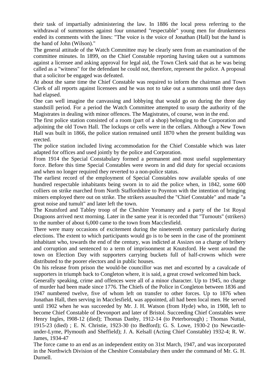their task of impartially administering the law. In 1886 the local press referring to the withdrawal of summonses against four unnamed "respectable" young men for drunkenness ended its comments with the lines: "The voice is the voice of Jonathan (Hall) but the hand is the hand of John (Wilson)."

The general attitude of the Watch Committee may be clearly seen from an examination of the committee minutes. In 1899, on the Chief Constable reporting having taken out a summons against a licensee and asking approval for legal aid, the Town Clerk said that as he was being called as a "witness" for the defendant he could not, therefore, represent the police. A proposal that a solicitor be engaged was defeated.

At about the same time the Chief Constable was required to inform the chairman and Town Clerk of all reports against licensees and he was not to take out a summons until three days had elapsed.

One can well imagine the canvassing and lobbying that would go on during the three day standstill period. For a period the Watch Committee attempted to usurp the authority of the Magistrates in dealing with minor offences. The Magistrates, of course, won in the end.

The first police station consisted of a room (part of a shop) belonging to the Corporation and adjoining the old Town Hall. The lockups or cells were in the cellars. Although a New Town Hall was built in 1866, the police station remained until 1870 when the present building was erected.

The police station included living accommodation for the Chief Constable which was later adapted for offices and used jointly by the police and Corporation.

From 1914 the Special Constabulary formed a permanent and most useful supplementary force. Before this time Special Constables were sworn in and did duty for special occasions and when no longer required they reverted to a non-police status.

The earliest record of the employment of Special Constables now available speaks of one hundred respectable inhabitants being sworn in to aid the police when, in 1842, some 600 colliers on strike marched from North Staffordshire to Poynton with the intention of bringing miners employed there out on strike. The strikers assaulted the "Chief Constable" and made "a great noise and tumult" and later left the town.

The Knutsford and Tabley troop of the Cheshire Yeomanry and a party of the 1st Royal Dragoons arrived next morning. Later in the same year it is recorded that "Turnouts" (strikers) to the number of about 6,000 came to the town from Macclesfield.

There were many occasions of excitement during the nineteenth century particularly during elections. The extent to which participants would go is to be seen in the case of the prominent inhabitant who, towards the end of the century, was indicted at Assizes on a charge of bribery and corruption and sentenced to a term of imprisonment at Knutsford. He went around the town on Election Day with supporters carrying buckets full of half-crowns which were distributed to the poorer electors and in public houses.

On his release from prison the would-be councillor was met and escorted by a cavalcade of supporters in triumph back to Congleton where, it is said, a great crowd welcomed him back.

Generally speaking, crime and offences were all of a minor character. Up to 1945, no charge of murder had been made since 1776. The Chiefs of the Police in Congleton between 1836 and 1947 numbered twelve, five of whom left on transfer to other forces. Up to 1876 when Jonathan Hall, then serving in Macclesfield, was appointed, all had been local men. He served until 1902 when he was succeeded by Mr. J. H. Watson (from Hyde) who, in 1908, left to become Chief Constable of Devonport and later of Bristol. Succeeding Chief Constables were Henry Ingles, I908-12 (died); Thomas Danby, 1912-14 (to Peterborough) ; Thomas Nuttal, 1915-23 (died) ; E. N. Christie, 1923-30 (to Bedford); G. S. Lowe, 1930-2 (to Newcastleunder-Lyme, Plymouth and Sheffield); J. A. Kelsall (Acting Chief Constable) 1932-4; R. W. James, 1934-47

The force came to an end as an independent entity on 31st March, 1947, and was incorporated in the Northwich Division of the Cheshire Constabulary then under the command of Mr. G. H. Durnell.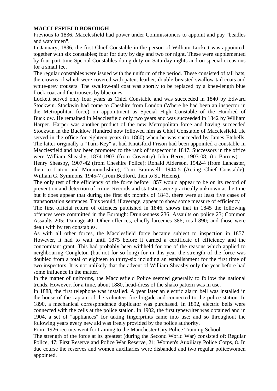# **MACCLESFIELD BOROUGH**

Previous to 1836, Macclesfield had power under Commissioners to appoint and pay "beadles and watchmen".

In January, 1836, the first Chief Constable in the person of William Lockett was appointed, together with six constables; four for duty by day and two for night. These were supplemented by four part-time Special Constables doing duty on Saturday nights and on special occasions for a small fee.

The regular constables were issued with the uniform of the period. These consisted of tall hats, the crowns of which were covered with patent leather, double-breasted swallow-tail coats and white-grey trousers. The swallow-tail coat was shortly to be replaced by a knee-length blue frock coat and the trousers by blue ones.

Lockett served only four years as Chief Constable and was succeeded in 1840 by Edward Stockwin. Stockwin had come to Cheshire from London (Where he had been an inspector in the Metropolitan force) on appointment as Special High Constable of the Hundred of Bucklow. He remained in Macclesfield only two years and was succeeded in 1842 by William Harper. Harper was another product of the new Metropolitan force and having succeeded Stockwin in the Bucklow Hundred now followed him as Chief Constable of Macclesfield. He served in the office for eighteen years (to 1860) when he was succeeded by James Etchells. The latter originally a "Turn-Key" at had Knutsford Prison had been appointed a constable in Macclesfield and had been promoted to the rank of inspector in 1847. Successors in the office were William Sheasby, 1874-1903 (from Coventry) John Berry, 1903-08; (to Barrow) ; . Henry Sheasby, 1907-42 (from Cheshire Police); Ronald Alderson, 1942-4 (from Lancaster, then to Luton and Monmouthshire); Tom Bramwell, 1944-5 (Acting Chief Constable), William G. Symmons, 1945-7 (from Bedford, then to St. Helens).

The only test of the efficiency of the force before 1857 would appear to be on its record of prevention and detection of crime. Records and statistics were practically unknown at the time but it does appear that during the first six months of 1843, there were at least five cases of transportation sentences. This would, if average, appear to show some measure of efficiency

The first official return of offences published in 1846, shows that in 1845 the following offences were committed in the Borough: Drunkenness 236; Assaults on police 23; Common Assaults 205; Damage 40; Other offences, chiefly larcenies 386; total 890; and those were dealt with by ten constables.

As with all other forces, the Macclesfield force became subject to inspection in 1857. However, it had to wait until 1875 before it earned a certificate of efficiency and the concomitant grant. This had probably been withheld for one of the reasons which applied to neighbouring Congleton (but not for so long) for in this year the strength of the force was doubled from a total of eighteen to thirty-six including an establishment for the first time of two inspectors. It is not unlikely that the advent of William Sheasby only the year before had some influence in the matter.

In the matter of uniforms, the Macclesfield Police seemed generally to follow the national trends. However, for a time, about 1880, head-dress of the shako pattern was in use.

In 1888, the first telephone was installed. A year later an electric alarm bell was installed in the house of the captain of the volunteer fire brigade and connected to the police station. In 1890, a mechanical correspondence duplicator was purchased. In 1892, electric bells were connected with the cells at the police station. In 1902, the first typewriter was obtained and in 1904, a set of "appliances" for taking fingerprints came into use; and so throughout the following years every new aid was freely provided by the police authority.

From 1926 recruits went for training to the Manchester City Police Training School.

The strength of the force at its greatest (during the Second World War) consisted of: Regular Police, 47; First Reserve and Police War Reserve, 21; Women's Auxiliary Police Corps, 8. In due course the reserves and women auxiliaries were disbanded and two regular policewomen appointed.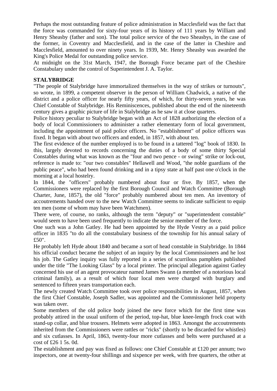Perhaps the most outstanding feature of police administration in Macclesfield was the fact that the force was commanded for sixty-four years of its history of 111 years by William and Henry Sheasby (father and son). The total police service of the two Sheasbys, in the case of the former, in Coventry and Macclesfield, and in the case of the latter in Cheshire and Macclesfield, amounted to over ninety years. In 1939, Mr. Henry Sheasby was awarded the King's Police Medal for outstanding police service.

At midnight on the 31st March, 1947, the Borough Force became part of the Cheshire Constabulary under the control of Superintendent J. A. Taylor.

## **STALYBRIDGE**

"The people of Stalybridge have immortalized themselves in the way of strikes or turnouts", so wrote, in 1899, a competent observer in the person of William Chadwick, a native of the district and a police officer for nearly fifty years, of which, for thirty-seven years, he was Chief Constable of Stalybridge. His Reminiscences, published about the end of the nineteenth century gives a graphic picture of life in Stalybridge as he saw it at close quarters.

Police history peculiar to Stalybridge began with an Act of 1828 authorizing the election of a body of local Commissioners to administer a rather elementary form of local government, including the appointment of paid police officers. No "establishment" of police officers was fixed. It began with about two officers and ended, in 1857, with about ten.

The first evidence of the number employed is to be found in a tattered "log" book of 1830. In this, largely devoted to records concerning the duties of a body of some thirty Special Constables during what was known as the "four and two pence - or swing" strike or lock-out, reference is made to: "our two constables" Hellawell and Wood, "the noble guardians of the public peace", who had been found drinking and in a tipsy state at half past one o'clock in the morning at a local hostelry.

In 1844, the "officers" probably numbered about four or five. By 1857, when the Commissioners were replaced by the first Borough Council and Watch Committee (Borough Charter, June, 1857), the old "force" probably numbered about ten men. An inventory of accoutrements handed over to the new Watch Committee seems to indicate sufficient to equip ten men (some of whom may have been Watchmen).

There were, of course, no ranks, although the term "deputy" or "superintendent constable" would seem to have been used frequently to indicate the senior member of the force.

One such was a John Gatley. He had been appointed by the Hyde Vestry as a paid police officer in 1835 "to do all the constabulary business of the township for his annual salary of £50".

He probably left Hyde about 1840 and became a sort of head constable in Stalybridge. In 1844 his official conduct became the subject of an inquiry by the local Commissioners and he lost his job. The Gatley inquiry was fully reported in a series of scurrilous pamphlets published under the title "The Looking Glass" by a local printer. The principal allegation against Gatley concerned his use of an agent provocateur named James Swann (a member of a notorious local criminal family), as a result of which four local men were charged with burglary and sentenced to fifteen years transportation each.

The newly created Watch Committee took over police responsibilities in August, 1857, when the first Chief Constable, Joseph Sadler, was appointed and the Commissioner held property was taken over.

Some members of the old police body joined the new force which for the first time was probably attired in the usual uniform of the period, top-hat, blue knee-length frock coat with stand-up collar, and blue trousers. Helmets were adopted in 1863. Amongst the accoutrements inherited from the Commissioners were rattles or "ricks" (shortly to be discarded for whistles) and six cutlasses. In April, 1863, twenty-four more cutlasses and belts were purchased at a cost of £26 1 5s. 0d.

The establishment and pay was fixed as follows: one Chief Constable at £120 per annum; two inspectors, one at twenty-four shillings and sixpence per week, with free quarters, the other at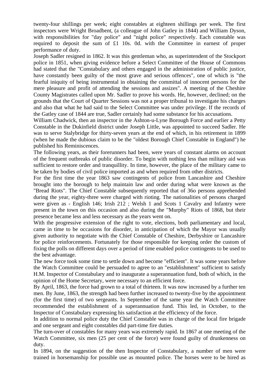twenty-four shillings per week; eight constables at eighteen shillings per week. The first inspectors were Wright Broadbent, (a colleague of John Gatley in 1844) and William Dyson, with responsibilities for "day police" and "night police" respectively. Each constable was required to deposit the sum of £1 10s. 0d. with the Committee in earnest of proper performance of duty.

Joseph Sadler resigned in 1862. It was this gentleman who, as superintendent of the Stockport police in 1851, when giving evidence before a Select Committee of the House of Commons had stated that the "Constabulary and others engaged in the administration of public justice, have constantly been guilty of the most grave and serious offences", one of which is "the fearful iniquity of being instrumental in obtaining the committal of innocent persons for the mere pleasure and profit of attending the sessions and assizes". A meeting of the Cheshire County Magistrates called upon Mr. Sadler to prove his words. He, however, declined; on the grounds that the Court of Quarter Sessions was not a proper tribunal to investigate his charges and also that what he had said to the Select Committee was under privilege. If the records of the Gatley case of 1844 are true, Sadler certainly had some substance for his accusations.

William Chadwick, then an inspector in the Ashton-u-Lyne Borough Force and earlier a Petty Constable in the Dukinfield district under Joseph Little, was appointed to succeed Sadler. He was to serve Stalybridge for thirty-seven years at the end of which, in his retirement in 1899 (when he made the dubious claim to be the "oldest Borough Chief Constable in England") he published his Reminiscences.

The following years, as their forerunners had been, were years of constant alarms on account of the frequent outbreaks of public disorder. To begin with nothing less than military aid was sufficient to restore order and tranquillity. In time, however, the place of the military came to be taken by bodies of civil police imported as and when required from other districts.

For the first time the year 1863 saw contingents of police from Lancashire and Cheshire brought into the borough to help maintain law and order during what were known as the "Bread Riots". The Chief Constable subsequently reported that of 36o persons apprehended during the year, eighty-three were charged with rioting. The nationalities of persons charged were given as - English 146; Irish 212 ; Welsh 1 and Scots 1 Cavalry and Infantry were present in the town on this occasion and also during the "Murphy" Riots of 1868, but their presence became less and less necessary as the years went on.

With the progressive extension of the right to vote, elections, both parliamentary and local, came in time to be occasions for disorder, in anticipation of which the Mayor was usually given authority to negotiate with the Chief Constable of Cheshire, Derbyshire or Lancashire for police reinforcements. Fortunately for those responsible for keeping order the custom of fixing the polls on different days over a period of time enabled police contingents to be used to the best advantage.

The new force took some time to settle down and become "efficient". It was some years before the Watch Committee could be persuaded to agree to an "establishment" sufficient to satisfy H.M. Inspector of Constabulary and to inaugurate a superannuation fund, both of which, in the opinion of the Home Secretary, were necessary to an efficient force.

By April, 1863, the force had grown to a total of thirteen. It was now increased by a further ten men. By June, 1863, the strength had been further increased to twenty-five by the appointment (for the first time) of two sergeants. In September of the same year the Watch Committee recommended the establishment of a superannuation fund. This led, in October, to the Inspector of Constabulary expressing his satisfaction at the efficiency of the force.

In addition to normal police duty the Chief Constable was in charge of the local fire brigade and one sergeant and eight constables did part-time fire duties.

The turn-over of constables for many years was extremely rapid. In 1867 at one meeting of the Watch Committee, six men (25 per cent of the force) were found guilty of drunkenness on duty.

In 1894, on the suggestion of the then Inspector of Constabulary, a number of men were trained in horsemanship for possible use as mounted police. The horses were to be hired as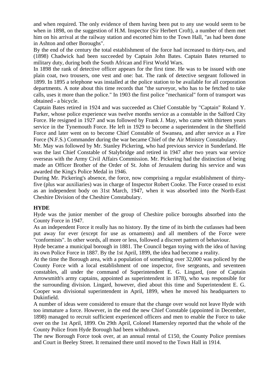and when required. The only evidence of them having been put to any use would seem to be when in 1898, on the suggestion of H.M. Inspector (Sir Herbert Croft), a number of them met him on his arrival at the railway station and escorted him to the Town Hall, "as had been done in Ashton and other Boroughs".

By the end of the century the total establishment of the force had increased to thirty-two, and (1898) Chadwick had been succeeded by Captain John Bates. Captain Bates returned to military duty, during both the South African and First World Wars.

In 1898 the rank of detective officer appears for the first time. He was to be issued with one plain coat, two trousers, one vest and one: bat. The rank of detective sergeant followed in 1899. In 1895 a telephone was installed at the police station to be available for all corporation departments. A note about this time records that "the surveyor, who has to be fetched to take calls, uses it more than the police." In 1903 the first police "mechanical" form of transport was obtained - a bicycle.

Captain Bates retired in 1924 and was succeeded as Chief Constable by "Captain" Roland Y. Parker, whose police experience was twelve months service as a constable in the Salford City Force. He resigned in 1927 and was followed by Frank J. May, who came with thirteen years service in the Tynemouth Force. He left in 1929 to become a superintendent in the Sheffield Force and later went on to become Chief Constable of Swansea, and after service as a Fire Force (N.F.S.) Commander during the war became Chief of the Air Ministry Constabulary.

Mr. May was followed by Mr. Stanley Pickering, who had previous service in Sunderland. He was the last Chief Constable of Stalybridge and retired in 1947 after two years war service overseas with the Army Civil Affairs Commission. Mr. Pickering had the distinction of being made an Officer Brother of the Order of St. John of Jerusalem during his service and was awarded the King's Police Medal in 1946.

During Mr. Pickering's absence, the force, now comprising a regular establishment of thirtyfive (plus war auxiliaries) was in charge of Inspector Robert Cooke. The Force ceased to exist as an independent body on 31st March, 1947, when it was absorbed into the North-East Cheshire Division of the Cheshire Constabulary.

# **HYDE**

Hyde was the junior member of the group of Cheshire police boroughs absorbed into the County Force in 1947.

As an independent Force it really has no history. By the time of its birth the cutlasses had been put away for ever (except for use as ornaments) and all members of the Force were "conformists". In other words, all more or less, followed a discreet pattern of behaviour.

Hyde became a municipal borough in 1881. The Council began toying with the idea of having its own Police Force in 1887. By the 1st April, 1899, the idea had become a reality.

At the time the Borough area, with a population of something over 32,000 was policed by the County Force with a local establishment of one inspector, five sergeants, and seventeen constables, all under the command of Superintendent E. G. Lingard, (one of Captain Arrowsmith's army captains, appointed as superintendent in 1878), who was responsible for the surrounding division. Lingard, however, died about this time and Superintendent E. G. Cooper was divisional superintendent in April, 1899, when he moved his headquarters to Dukinfield.

A number of ideas were considered to ensure that the change over would not leave Hyde with too immature a force. However, in the end the new Chief Constable (appointed in December, 1898) managed to recruit sufficient experienced officers and men to enable the Force to take over on the 1st April, 1899. On 29th April, Colonel Hamersley reported that the whole of the County Police from Hyde Borough had been withdrawn.

The new Borough Force took over, at an annual rental of £150, the County Police premises and Court in Beeley Street. It remained there until moved to the Town Hall in 1914.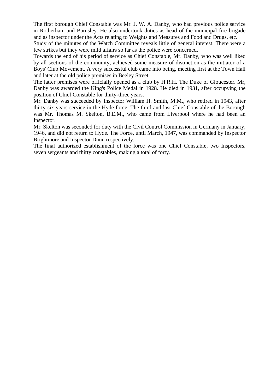The first borough Chief Constable was Mr. J. W. A. Danby, who had previous police service in Rotherham and Barnsley. He also undertook duties as head of the municipal fire brigade and as inspector under the Acts relating to Weights and Measures and Food and Drugs, etc.

Study of the minutes of the Watch Committee reveals little of general interest. There were a few strikes but they were mild affairs so far as the police were concerned.

Towards the end of his period of service as Chief Constable, Mr. Danby, who was well liked by all sections of the community, achieved some measure of distinction as the initiator of a Boys' Club Movement. A very successful club came into being, meeting first at the Town Hall and later at the old police premises in Beeley Street.

The latter premises were officially opened as a club by H.R.H. The Duke of Gloucester. Mr, Danby was awarded the King's Police Medal in 1928. He died in 1931, after occupying the position of Chief Constable for thirty-three years.

Mr. Danby was succeeded by Inspector William H. Smith, M.M., who retired in 1943, after thirty-six years service in the Hyde force. The third and last Chief Constable of the Borough was Mr. Thomas M. Skelton, B.E.M., who came from Liverpool where he had been an Inspector.

Mr. Skelton was seconded for duty with the Civil Control Commission in Germany in January, 1946, and did not return to Hyde. The Force, until March, 1947, was commanded by Inspector Brightmore and Inspector Dunn respectively.

The final authorized establishment of the force was one Chief Constable, two Inspectors, seven sergeants and thirty constables, making a total of forty.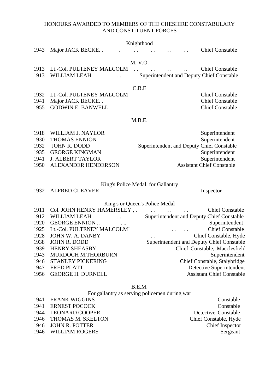## HONOURS AWARDED TO MEMBERS OF THE CHESHIRE CONSTABULARY AND CONSTITUENT FORCES

|                                 |  | Knighthood                                                                                             |  |                                           |
|---------------------------------|--|--------------------------------------------------------------------------------------------------------|--|-------------------------------------------|
| 1943 Major JACK BECKE           |  | $\mathbf{r}$ and $\mathbf{r}$ are the set of $\mathbf{r}$ and $\mathbf{r}$ are the set of $\mathbf{r}$ |  | <b>Chief Constable</b>                    |
|                                 |  |                                                                                                        |  |                                           |
|                                 |  | M. V.O.                                                                                                |  |                                           |
| 1913 Lt.-Col. PULTENEY MALCOLM. |  |                                                                                                        |  | <b>Chief Constable</b>                    |
| 1913 WILLIAM LEAH               |  |                                                                                                        |  | Superintendent and Deputy Chief Constable |
|                                 |  |                                                                                                        |  |                                           |

#### C.B.E

| 1932 Lt.-Col. PULTENEY MALCOLM | <b>Chief Constable</b> |
|--------------------------------|------------------------|
| 1941 Major JACK BECKE          | <b>Chief Constable</b> |
| 1955 GODWIN E. BANWELL         | <b>Chief Constable</b> |

#### M.B.E.

| 1918 WILLIAM J. NAYLOR   | Superintendent                            |
|--------------------------|-------------------------------------------|
| 1930 THOMAS ENNION       | Superintendent                            |
| 1932 JOHN R. DODD        | Superintendent and Deputy Chief Constable |
| 1935 GEORGE KINGMAN      | Superintendent                            |
| 1941 J. ALBERT TAYLOR    | Superintendent                            |
| 1950 ALEXANDER HENDERSON | <b>Assistant Chief Constable</b>          |

#### King's Police Medal. for Gallantry

1932 ALFRED CLEAVER Inspector

Constable Constable

# King's or Queen's Police Medal

|      | 1911 Col. JOHN HENRY HAMERSLEY,.          | <b>Chief Constable</b>                                                      |
|------|-------------------------------------------|-----------------------------------------------------------------------------|
| 1912 | WILLIAM LEAH<br>$\sim 100$ and $\sim 100$ | Superintendent and Deputy Chief Constable                                   |
| 1920 | <b>GEORGE ENNION</b>                      | Superintendent                                                              |
|      | 1925 Lt.-Col. PULTENEY MALCOLM`           | <b>Chief Constable</b>                                                      |
| 1928 | JOHN W. A. DANBY                          | Chief Constable, Hyde<br>$\mathbf{r}$ , and $\mathbf{r}$ , and $\mathbf{r}$ |
| 1938 | JOHN R. DODD                              | Superintendent and Deputy Chief Constable                                   |
| 1939 | <b>HENRY SHEASBY</b>                      | Chief Constable, Macclesfield                                               |
| 1943 | MURDOCH M.THORBURN                        | Superintendent                                                              |
| 1946 | <b>STANLEY PICKERING</b>                  | Chief Constable, Stalybridge                                                |
| 1947 | <b>FRED PLATT</b>                         | Detective Superintendent                                                    |
|      | 1956 GEORGE H. DURNELL                    | <b>Assistant Chief Constable</b>                                            |

## B.E.M.

For gallantry as serving policemen during war

| 1941 FRANK WIGGINS     | Constable             |
|------------------------|-----------------------|
| 1941 ERNEST POCOCK     | Constable             |
| 1944 LEONARD COOPER    | Detective Constable   |
| 1946 THOMAS M. SKELTON | Chief Constable, Hyde |
| 1946 JOHN R. POTTER    | Chief Inspector       |
| 1946 WILLIAM ROGERS    | Sergeant              |
|                        |                       |